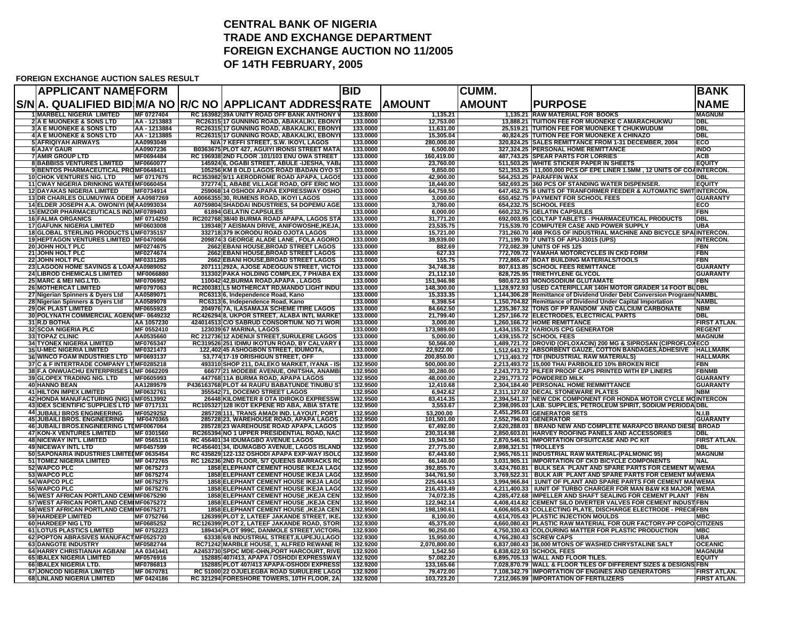## **CENTRAL BANK OF NIGERIA TRADE AND EXCHANGE DEPARTMENTFOREIGN EXCHANGE AUCTION NO 11/2005 OF 14TH FEBRUARY, 2005**

## **FOREIGN EXCHANGE AUCTION SALES RESULT**

| <b>APPLICANT NAMEFORM</b>                                                           |                               |                                                                                              | <b>BID</b>           |                                      | <b>CUMM.</b>          |                                                                                                                                         | <b>BANK</b>                     |
|-------------------------------------------------------------------------------------|-------------------------------|----------------------------------------------------------------------------------------------|----------------------|--------------------------------------|-----------------------|-----------------------------------------------------------------------------------------------------------------------------------------|---------------------------------|
|                                                                                     |                               | S/N A. QUALIFIED BID M/A NO R/C NO APPLICANT ADDRESS RATE AMOUNT                             |                      |                                      | <b>AMOUNT</b>         | <b>PURPOSE</b>                                                                                                                          | <b>NAME</b>                     |
| <b>1 MARBELL NIGERIA LIMITED</b>                                                    | MF 0727404                    | RC 163982139A UNITY ROAD OFF BANK ANTHONY                                                    | 133.8000             | 1,135.21                             |                       | 1.135.21 RAW MATERIAL FOR BOOKS                                                                                                         | <b>MAGNUM</b>                   |
| <b>2 A E MUONEKE &amp; SONS LTD</b>                                                 | AA - 1213883                  | RC2631517 GUNNING ROAD, ABAKALIKI, EBONY                                                     | 133.0000             | 12,753.00                            |                       | 13,888.21 TUITION FEE FOR MUONEKE C AMARACHUKWU                                                                                         | <b>DBL</b>                      |
| <b>3 A E MUONEKE &amp; SONS LTD</b>                                                 | AA - 1213884                  | RC26315 17 GUNNING ROAD, ABAKALIKI, EBONY                                                    | 133.0000             | 11,631.00                            |                       | 25,519.21 TUITION FEE FOR MUONEKE T CHUKWUDUM                                                                                           | DBL                             |
| <b>4 A E MUONEKE &amp; SONS LTD</b>                                                 | AA - 1213885<br>AA0993049     | RC26315 17 GUNNING ROAD, ABAKALIKI, EBONY                                                    | 133.0000<br>133.0000 | 15,305.04                            |                       | 40,824.25 TUITION FEE FOR MUONEKE A CHINAZO<br>320,824.25 SALES REMITTANCE FROM 1-31 DECEMBER, 2004                                     | <b>DBL</b><br>ECO               |
| <b>5 AFRIQIYAH AIRWAYS</b><br><b>6 AJAY GAUR</b>                                    | AA0907236                     | N/A 7 KEFFI STREET, S.W. IKOYI, LAGOS<br>B0363675 PLOT 427, AGUIYI IRONSI STREET MATA        | 133.0000             | 280,000.00<br>6,500.00               |                       | 327,324.25 PERSONAL HOME REMITTANCE                                                                                                     | <b>INDO</b>                     |
| <b>7 AMIR GROUP LTD</b>                                                             | MF0694484                     | RC 196938 2ND FLOOR .101/103 ENU OWA STREET                                                  | 133.0000             | 160.419.00                           |                       | <b>487.743.25 SPEAR PARTS FOR LORRIES</b>                                                                                               | <b>ACB</b>                      |
| <b>8 BABBISS VENTURES LIMITED</b>                                                   | MF0660077                     | 145924 6, OGABI STREET, ABULE -IJESHA, YAB                                                   | 133.0000             | 23,760.00                            |                       | 511,503.25 WHITE STICKER PAPER IN SHEETS                                                                                                | <b>EQUITY</b>                   |
| 9 BENTOS PHARMACEUTICAL PROMF0648411                                                |                               | 105256 KM 8 OLD LAGOS ROAD IBADAN OYO S'                                                     | 133.0000             | 9,850.00                             |                       | 521,353.25   11,000,000 PCS OF EPE LINER 1.5MM, 12 UNITS OF COAINTERCON.                                                                |                                 |
| <b>10 CHOK VENTURES NIG. LTD</b>                                                    | MF 0717675                    | RC353982 9/11 AERODROME ROAD APAPA, LAGOS                                                    | 133.0000             | 42,900.00                            |                       | 564,253.25 PARAFFIN WAX                                                                                                                 | DBL                             |
| 11 CWAY NIGERIA DRINKING WATERMF0660454                                             |                               | 3727741, ABABE VILLAGE ROAD, OFF ERIC MO                                                     | 133.0000             | 18,440.00                            |                       | 582,693.25 360 PCS OF STANDING WATER DISPENSER.                                                                                         | <b>EQUITY</b>                   |
| <b>12 DAYAKAS NIGERIA LIMITED</b>                                                   | MF0734914                     | 259068 14 OSHODI APAPA EXPRESSWAY OSHO                                                       | 133.0000             | 64,759.50                            |                       | 647,452.75 6 UNITS OF TRANFORMER FEEDER & AUTOMATIC SWIT INTERCON.                                                                      |                                 |
| 13 DR CHARLES OLUMUYIWA ODEIN AA0987269<br>14 ELDER JOSEPH A.A. OWONIYI (MAA0993034 |                               | A0066355 30, RUMENS ROAD, IKOYI LAGOS                                                        | 133,0000<br>133.0000 | 3.000.00<br>3,780.00                 |                       | 650.452.75 PAYMENT FOR SCHOOL FEES                                                                                                      | <b>GUARANTY</b><br>ECO          |
| 15 EMZOR PHARMACEUTICALS IND MF0789403                                              |                               | A0759804 SHADDAI INDUSTRIES, 54 DOPEMU AGE<br>61894 GELATIN CAPSULES                         | 133.0000             | 6,000.00                             |                       | 654,232.75 SCHOOL FEES<br>660,232.75 GELATIN CAPSULES                                                                                   | <b>FBN</b>                      |
| <b>16 FALMA ORGANICS</b>                                                            | MF 0714250                    | RC202768 38/40 BURMA ROAD APAPA, LAGOS STA                                                   | 133.0000             | 31,771.20                            |                       | 692,003.95 COLTAP TABLETS - PHARMACEUTICAL PRODUCTS                                                                                     | <b>DBL</b>                      |
| <b>17 GAFUNK NIGERIA LIMITED</b>                                                    | MF0603008                     | 139348 7 AEISMAN DRIVE, ANIFOWOSHE,IKEJA                                                     | 133.0000             | 23,535.75                            |                       | 715,539.70 COMPUTER CASE AND POWER SUPPLY                                                                                               | UBA                             |
| 18 GLOBAL STERLING PRODUCTS LIMF0735157                                             |                               | 332718 379 IKORODU ROAD OJOTA LAGOS                                                          | 133,0000             | 15,721.00                            |                       | 731,260.70 408 PKGS OF INDUSTRIAL MACHINE AND BICYCLE SP.                                                                               | <b>NINTERCON.</b>               |
| 19 HEPTAGON VENTURES LIMITED MF0470066                                              |                               | 209874 3 GEORGE ALADE LANE, FOLA AGORO                                                       | 133.0000             | 39,939.00                            |                       | 771,199.70 7 UNITS OF APU-33015 (UPS)                                                                                                   | <b>INTERCON.</b>                |
| 20 JOHN HOLT PLC                                                                    | MF0274675                     | 2662 EBANI HOUSE, BROAD STREET LAGOS                                                         | 133,0000             | 882.69                               |                       | 772,082.39 UNITS OF HS 125                                                                                                              | <b>FBN</b>                      |
| 21 JOHN HOLT PLC                                                                    | MF0274674                     | 2662 EBANI HOUSE, BROAD STREET LAGOS                                                         | 133.0000             | 627.33                               |                       | 772,709.72 YAMAHA MOTORCYCLES IN CKD FORM                                                                                               | FBN                             |
| <b>22 JOHN HOLT PLC</b>                                                             | MF0331285                     | 2662 EBANI HOUSE, BROAD STREET LAGOS                                                         | 133.0000             | 155.75                               |                       | 772,865.47 BOAT BUILDING MATERIALS/TOOLS                                                                                                | <b>FBN</b>                      |
| 23 LAGOON HOME SAVINGS & LOANAA0989052                                              |                               | 207111 292A, AJOSE ADEOGUN STREET, VICTO                                                     | 133.0000             | 34,748.38                            |                       | 807,613.85 SCHOOL FEES REMITTANCE                                                                                                       | <b>GUARANTY</b>                 |
| <b>24 LIBROD CHEMICALS LIMITED</b><br>25 MARC & MEI NIG.LTD.                        | MF0066880<br>MF0706992        | 313302 PAKA HOLDING COMPLEX, 7 PH/ABA EX<br>110042 42, BURMA ROAD, APAPA, LAGOS              | 133,0000<br>133.0000 | 21,112.10<br>151,946.98              |                       | 828,725.95 TRIETHYLENE GLYCOL<br>980,672.93 MONOSODIUM GLUTAMATE                                                                        | <b>GUARANTY</b><br><b>FBN</b>   |
| <b>26 MOTHERCAT LIMITED</b>                                                         | MF0797063                     | RC200381IL5 MOTHERCAT RD.MANDO LIGHT INDU                                                    | 133,0000             | 148.300.00                           |                       | 1.128.972.93 IUSED CATERPILLAR 140H MOTOR GRADER 14 FOOT BUDBL                                                                          |                                 |
| 27 Nigerian Spinners & Dyers Ltd                                                    | AA0589071                     | RC631316, Independence Road, Kano                                                            | 133,0000             | 15,333.35                            |                       | 1,144,306.28 Remittance of Dividend Under Debt Conversion Program NAMBL                                                                 |                                 |
| 28 Nigerian Spinners & Dyers Ltd                                                    | AA0589078                     | RC6313 6, Independence Road, Kano                                                            | 133.0000             | 6,398.54                             |                       | 1,150,704.82 Remittance of Dividend Under Capital Importation                                                                           | <b>NAMBL</b>                    |
| <b>29 OK PLAST LIMITED</b>                                                          | MF0655923                     | 204976 7A, ILASAMAJA SCHEME ITIRE LAGOS                                                      | 133.0000             | 84,662.50                            |                       | 1,235,367.32 TONS OF PP RANDOM AND CALCIUM CARBONATE                                                                                    | <b>NBM</b>                      |
| 30 POLYNATH COMMERCIAL AGEN(MF-0649232                                              |                               | RC426294 8, UKPOR STREET, ALABA INTL MARKE                                                   | 133.0000             | 21,799.40                            |                       | 1,257,166.72 ELECTRODES, ELECTRICAL PARTS                                                                                               | <b>DBL</b>                      |
| <b>31 R.D BOTHA</b>                                                                 | AA 1057230                    | 424014513 C/O SABRUD CONSORTIUM. NO 71 WOR                                                   | 133.0000             | 3,000.00                             |                       | 1,260,166.72 HOME REMITTANCE                                                                                                            | FIRST ATLAN.                    |
| <b>32 SCOA NIGERIA PLC</b>                                                          | MF 0552410                    | 123039 67 MARINA, LAGOS                                                                      | 133.0000             | 173.989.00                           |                       | 1.434.155.72 VARIOUS CPG GENERATOR                                                                                                      | <b>REGENT</b>                   |
| <b>33 TOPAZ CLINIC</b>                                                              | AA0535660                     | RC 212736 12 ADENIJI STREET, SURULERE LAGOS                                                  | 133.0000             | 5.000.00                             |                       | 1,439,155.72 SCHOOL FEES                                                                                                                | <b>MAGNUM</b>                   |
| <b>34 TYONEX NIGERIA LIMITED</b><br><b>35 U-MEC NIGERIA LIMITED</b>                 | <b>MF0765347</b><br>MF0321473 | RC319526 251 IDIMU IKOTUN ROAD, BY CALVARY<br>122,402 45 ASHOGBON STREET, IDUMOTA,           | 133.0000<br>133.0000 | 50,566.00<br>22,922.00               |                       | 1,489,721.72 DROVID (OFLOXACIN) 200 MG & SIPROSAN (CIPROFLOXECO<br>1,512,643.72   ABSORBENT GAUZE, COTTON BANDAGES, ADHESIVE   HALLMARK |                                 |
| 36 WINCO FOAM INDUSTRIES LTD MF0693137                                              |                               | 53,774 17-19 ORISHIGUN STREET, OFF                                                           | 133.0000             | 200,850.00                           |                       | 1,713,493.72 TDI (INDUSTRIAL RAW MATERIALS)                                                                                             | <b>HALLMARK</b>                 |
| 37 C & F INTERTRADE COMPANY LTMF0285218                                             |                               | 493310 SHOP 211, DALEKO MARKET, IYANA - IS                                                   | 132.9500             | 500.000.00                           |                       | 2,213,493.72 15,000 THAI PARBOILED 10% BROKEN RICE                                                                                      | <b>FBN</b>                      |
| 38 F.A ONWUACHU ENTERPRISES L MF 0662209                                            |                               | 66677 21 MODEBE AVENUE, ONITSHA, ANAMBI                                                      | 132.9500             | 30,280.00                            |                       | 2,243,773.72 PILFER PROOF CAPS PRINTED WITH EP LINERS                                                                                   | <b>FBNMB</b>                    |
| 39 GLOPEX TRADING NIG. LTD                                                          | MF0605993                     | 447768 11A BURMA ROAD, APAPA LAGOS                                                           | 132.9500             | 48,000.00                            |                       | 2,291,773.72 POWDERED MILK                                                                                                              | <b>GUARANTY</b>                 |
| <b>40 HANNO BEAN</b>                                                                | AA1289579                     | P436163768 PLOT 44 RAUFU BABATUNDE TINUBU S'                                                 | 132.9500             | 12.410.68                            |                       | 2.304.184.40 PERSONAL HOME REMMITTANCE                                                                                                  | <b>GUARANTY</b>                 |
| <b>41 HILTON IMPEX LIMITED</b>                                                      | MF0632761                     | 355542 71, DOCEMO STREET LAGOS                                                               | 132.9500             | 6,942.62                             |                       | 2,311,127.02 DECAL STONEWARE PLATES                                                                                                     | <b>NBM</b>                      |
| 42 HONDA MANUFACTURING (NIG) LMF0513992                                             |                               | 26448 KILOMETER 8 OTA IDIROKO EXPRESSW                                                       | 132.9500             | 83,414.35                            |                       | 2,394,541.37 NEW CDK COMPONENT FOR HONDA MOTOR CYCLE MOINTERCON                                                                         |                                 |
| 43 IDEX SCIENTIFIC SUPPLIES LTD MF 0717131                                          |                               | RC105327 128 IKOT EKPENE RD ABA, ABIA STATE                                                  | 132.9500             | 3,553.67                             |                       | 2,398,095.03 LAB. SUPPLIES, PETROLEUM SPIRIT, SODIUM PERIODAIDBL                                                                        |                                 |
| 44 JUBAILI BROS ENGINEERING<br>45 JUBAILI BROS. ENGINEERING                         | MF0529252<br>MF0470365        | <u> 285728 111, TRANS AMADI IND. LAYOUT, PORT</u><br>285728 23, WAREHOUSE ROAD, APAPA LAGOS  | 132.9500<br>132.9500 | $\overline{53,200.00}$<br>101,501.00 |                       | 2,451,295.03 GENERATOR SETS<br>2,552,796.03 GENERATOR                                                                                   | <b>N.I.B</b><br><b>GUARANTY</b> |
| 46 JUBAILI BROS.ENGINEERING LTIMF0067064                                            |                               | 285728 23 WAREHOUSE ROAD APAPA, LAGOS                                                        | 132.9500             | 67.492.00                            |                       | 2,620,288.03   BRAND NEW AND COMPLETE MARAPCO BRAND DIESE BROAD                                                                         |                                 |
| <b>47 KON-X VENTURES LIMITED</b>                                                    | <b>MF 0301560</b>             | RC265394 NO 1 UPPER PRESIDENTIAL ROAD, NAC                                                   | 132.9500             | 230,314.98                           |                       | 2,850,603.01 HARVEY ROOFING PANELS AND ACCESSORIES                                                                                      | <b>DBL</b>                      |
| <b>48 NICEWAY INT'L LIMITED</b>                                                     | <b>MF 0565116</b>             | RC 456401 34 IDUMAGBO AVENUE LAGOS                                                           | 132.9500             | 19.943.50                            |                       | 2,870,546.51 IMPORTATION OFSUITCASE AND PC KIT                                                                                          | FIRST ATLAN.                    |
| <b>49 NICEWAY INTL LTD</b>                                                          | MF0457599                     | RC456401 34, IDUMAGBO AVENUE, LAGOS ISLAND                                                   | 132.9500             | 27,775.00                            | 2,898,321.51 TROLLEYS |                                                                                                                                         | <b>DBL</b>                      |
| 50 SAPONARIA INDUSTRIES LIMITEUMF 0635454                                           |                               | RC 435829 122-132 OSHODI APAPA EXP-WAY ISOLO                                                 | 132.9500             | 67,443.60                            |                       | 2,965,765.11 INDUSTRIAL RAW MATERIAL-(PALMONIC 95)                                                                                      | <b>MAGNUM</b>                   |
| <b>51 TOMEZ NIGERIA LIMITED</b>                                                     | MF 0472765                    | RC 126236 2ND FLOOR, 5/7 QUEENS BARRACKS RO                                                  | 132.9500             | 66,140.00                            |                       | 3,031,905.11 IMPORTATION OF CKD BICYCLE COMPONENTS                                                                                      | <b>NAL</b>                      |
| 52 WAPCO PLC<br>53 WAPCO PLC                                                        | MF 0675273<br>MF 0675274      | <b>1858 ELEPHANT CEMENT HOUSE IKEJA LAGO</b><br><b>1858 ELEPHANT CEMENT HOUSE IKEJA LAGO</b> | 132.9500<br>132.9500 | 392,855.70<br>344,761.50             |                       | 3,424,760.81   BULK SEA PLANT AND SPARE PARTS FOR CEMENT MIWEMA<br>3,769,522.31 BULK AIR PLANT AND SPARE PARTS FOR CEMENT MAWEMA        |                                 |
| 54 WAPCO PLC                                                                        | MF 0675275                    | <b>1858 ELEPHANT CEMENT HOUSE IKEJA LAGO</b>                                                 | 132.9500             | 225.444.53                           |                       | 3.994.966.84   1UNIT OF PLANT AND SPARE PARTS FOR CEMENT MAINWEMA                                                                       |                                 |
| 55 WAPCO PLC                                                                        | MF 0675276                    | <b>1858 ELEPHANT CEMENT HOUSE IKEJA LAGO</b>                                                 | 132.9500             | 216,433.49                           |                       | 4,211,400.33   IUNIT OF TURBO CHARGER FOR MAN B&W K8 MAJOR   WEMA                                                                       |                                 |
| 56 WEST AFRICAN PORTLAND CEMIMF0675290                                              |                               | <b>1858 ELEPHANT CEMENT HOUSE , IKEJA CEN</b>                                                | 132.9500             | 74,072.35                            |                       | 4,285,472.68 IMPELLER AND SHAFT SEALING FOR CEMENT PLANT FBN                                                                            |                                 |
| 57 WEST AFRICAN PORTLAND CEMIMF0675272                                              |                               | <b>1858 ELEPHANT CEMENT HOUSE , IKEJA CEN</b>                                                | 132.9500             | 122,942.14                           |                       | 4,408,414.82 CEMENT SILO DIVERTER VALVES FOR CEMENT INDUST FBN                                                                          |                                 |
| 58 WEST AFRICAN PORTLAND CEMIMF0675271                                              |                               | <b>1858 ELEPHANT CEMENT HOUSE , IKEJA CEN</b>                                                | 132.9500             | 198,190.61                           |                       | 4,606,605.43 COLLECTING PLATE, DISCHARGE ELECTRODE - PRECIFFBN                                                                          |                                 |
| <b>59 HARDEEP LIMITED</b>                                                           | <b>MF 0752766</b>             | 126399 PLOT 2, LATEEF JAKANDE STREET, IKE,                                                   | 132.9300             | 8.100.00                             |                       | 4.614.705.43 PLASTIC INJECTION MOULDS                                                                                                   | <b>MBC</b>                      |
| <b>60 HARDEEP NIG LTD</b>                                                           | MF0685252                     | RC126399 PLOT 2, LATEEF JAKANDE ROAD, STOR                                                   | 132.9300             | 45,375.00                            |                       | 4,660,080.43 PLASTIC RAW MATERIAL FOR OUR FACTORY-PP COPO CITIZENS                                                                      |                                 |
| <b>61 LOTUS PLASTICS LIMITED</b>                                                    | MF 0752223                    | 189434 PLOT 999C, DANMOLE STREET, VICTORI                                                    | 132.9300             | 90,250.00                            |                       | 4,750,330.43 COLOURING MATTER FOR PLASTIC PRODUCTION                                                                                    | <b>MBC</b>                      |
| 62 POPTON ABRASIVES MANUFACTMF0525720<br><b>63 DANGOTE INDUSTRY</b>                 | <b>MF0582744</b>              | 63338 6/8 INDUSTRIAL STREET, ILUPEJU, LAGO                                                   | 132.9300<br>132.9200 | 15,950.00<br>2,070,800.00            |                       | 4,766,280.43 SCREW CAPS<br>6,837,080.43 36,000 MTONS OF WASHED CHRYSTALINE SALT                                                         | <b>UBA</b>                      |
| 64 HARRY CHRISTIANAH AGBANI                                                         | AA 0341441                    | RC71242 MARBLE HOUSE, 1, ALFRED REWANE R<br>A2453730 SPDC MDE-OHN,PORT HARCOURT, RIVE        | 132.9200             | 1,542.50                             |                       | 6,838,622.93 SCHOOL FEES                                                                                                                | <b>OCEANIC</b><br><b>MAGNUM</b> |
| <b>65 IBALEX NIGERIA LIMITED</b>                                                    | MF0576916                     | 152885 407/413, APAPA / OSHODI EXPRESSWAY                                                    | 132.9200             | 57.082.20                            |                       | 6.895.705.13 WALL AND FLOOR TILES.                                                                                                      | <b>EQUITY</b>                   |
| 66 IBALEX NIGERIA LTD.                                                              | MF0786813                     | 152885 PLOT 407/413 APAPA-OSHODI EXPRESS                                                     | 132.9200             | 133,165.66                           |                       | 7,028,870.79 WALL & FLOOR TILES OF DIFFERENT SIZES & DESIGNS FBN                                                                        |                                 |
| <b>67 JONCOD NIGERIA LIMITED</b>                                                    | MF 0670781                    | RC 51000 22 OJUELEGBA ROAD SURULERE LAGO                                                     | 132.9200             | 79,472.00                            |                       | 7,108,342.79 IMPORTATION OF ENGINES AND GENERATORS                                                                                      | <b>FIRST ATLAN.</b>             |
| <b>68 LINLAND NIGERIA LIMITED</b>                                                   | MF 0424186                    | RC 321294 FORESHORE TOWERS, 10TH FLOOR, 2A                                                   | 132.9200             | 103,723.20                           |                       | 7,212,065.99 IMPORTATION OF FERTILIZERS                                                                                                 | <b>FIRST ATLAN.</b>             |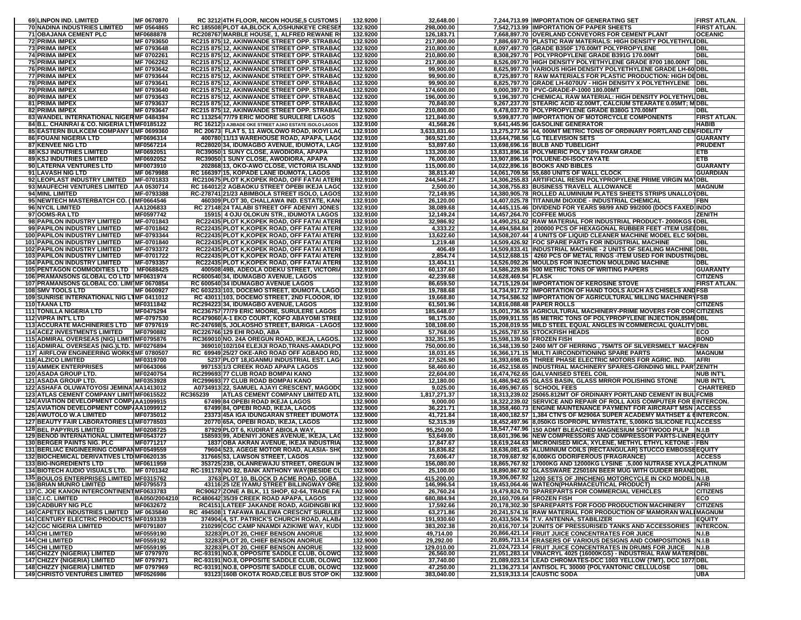| 69 LINPON IND. LIMITED                                                                  | MF 0670870                            | RC 3212 4TH FLOOR, NICON HOUSE,5 CUSTOMS                                                         | 132.9200             | 32,648.00                |                           | 7,244,713.99 IMPORTATION OF GENERATING SET                                                                                                  | <b>FIRST ATLAN.</b>          |
|-----------------------------------------------------------------------------------------|---------------------------------------|--------------------------------------------------------------------------------------------------|----------------------|--------------------------|---------------------------|---------------------------------------------------------------------------------------------------------------------------------------------|------------------------------|
| <b>70 NADINA INDUSTRIES LIMITED</b>                                                     | MF 0564865                            | RC 185508 PLOT 4A, BLOCK A, OSHUNKEYE CRESE                                                      | 132.9200             | 298,000.00               |                           | 7,542,713.99 IMPORTATION OF PAPER SHEETS                                                                                                    | FIRST ATLAN.                 |
| 71 OBAJANA CEMENT PLC                                                                   | MF0688878                             | RC208767 MARBLE HOUSE, 1, ALFRED REWANE R                                                        | 132.9200             | 126,183.71               |                           | 7,668,897.70 OVERLAND CONVEYORS FOR CEMENT PLANT                                                                                            | <b>OCEANIC</b>               |
| 72 PRIMA IMPEX                                                                          | MF 0793650                            | RC215 875 12, AKINWANDE STREET OPP. STRABA<br>RC215 875 12, AKINWANDE STREET OPP, STRABA         | 132.9200             | 217,800.00               |                           | 7,886,697.70   PLASTIC RAW MATERIALS: HIGH DENSITY POLYETHYLIDBL                                                                            |                              |
| <b>73 PRIMA IMPEX</b><br>74 PRIMA IMPEX                                                 | MF 0793648<br>MF 0702261              | RC215 875 12, AKINWANDE STREET OPP. STRABA                                                       | 132.9200<br>132.9200 | 210,800.00<br>210,800.00 |                           | 8,097,497.70 GRADE B350F 170.00MT POLYPROPYLENE<br>8,308,297.70   POLYPROPYLENE GRADE B391G 170.00M1                                        | <b>DBL</b><br>DBL            |
| <b>75 PRIMA IMPEX</b>                                                                   | MF 7062262                            | RC215 875 12, AKINWANDE STREET OPP. STRABA                                                       | 132.9200             | 217,800.00               |                           | 8,526,097.70 HIGH DENSITY POLYETHYLENE GRADE 8700 180.00NT                                                                                  | <b>IDBL</b>                  |
| <b>76 PRIMA IMPEX</b>                                                                   | MF 0793642                            | RC215 875 12, AKINWANDE STREET OPP. STRABA                                                       | 132.9200             | 99,900.00                |                           | 8,625,997.70 VARIOUS HIGH DENSITY POLYETHYLENE GRADE LH-60 DBL                                                                              |                              |
| 77 PRIMA IMPEX                                                                          | MF 0793644                            | RC215 875 12, AKINWANDE STREET OPP. STRABA                                                       | 132.9200             | 99,900.00                |                           | 8,725,897.70   RAW MATERIALS FOR PLASTIC PRODUCTION: HIGH DEDBL                                                                             |                              |
| <b>78 PRIMA IMPEX</b>                                                                   | MF 0793641                            | RC215 875 12, AKINWANDE STREET OPP. STRABA                                                       | 132.9200             | 99,900.00                |                           | 8,825,797.70 GRADE LH-6070UV - HIGH DENSITY X POLYETHYLENE   DBL                                                                            |                              |
| <b>79 PRIMA IMPEX</b>                                                                   | MF 0793640                            | RC215 875 12, AKINWANDE STREET OPP. STRABA                                                       | 132.9200             | 174,600.00               |                           | 9,000,397.70 PVC-GRADE-P-1000 180.00MT                                                                                                      | <b>DBL</b>                   |
| <b>80 PRIMA IMPEX</b>                                                                   | MF 0793643                            | RC215 875 12, AKINWANDE STREET OPP. STRABA                                                       | 132.9200             | 196,000.00               |                           | 9,196,397.70 CHEMICAL RAW MATERIAL: HIGH DENSITY POLYETHYLIDBL                                                                              |                              |
| 81 PRIMA IMPEX                                                                          | MF 0793637                            | RC215 875 12, AKINWANDE STREET OPP. STRABA                                                       | 132.9200             | 70,840.00                |                           | 9,267,237.70 STEARIC ACID 42.00MT, CALCIUM STEARATE 0.05MT; M DBL                                                                           |                              |
| <b>82 PRIMA IMPEX</b>                                                                   | MF 0793647                            | RC215 875 12, AKINWANDE STREET OPP. STRABA                                                       | 132.9200             | 210,800.00               |                           | 9,478,037.70 POLYPROPYLENE GRADE B380G 170.00MT                                                                                             | DBL                          |
| 83 WANDEL INTERNATIONAL NIGERMF 0484394                                                 |                                       | RC 113254 77/79 ERIC MOORE SURULERE LAGOS                                                        | 132.9200             | 121,840.00               |                           | 9,599,877.70 IMPORTATION OF MOTORCYCLE COMPONENTS                                                                                           | FIRST ATLAN.                 |
| 84 B.L. CHAINRAI & CO. NIGERIA LTIMF0185122                                             |                                       | RC 16212 3 AJIBADE OKE STREET AJAO ESTATE ISOLO LAGOS                                            | 132.9100             | 41,568.26                |                           | 9,641,445.96 GASOLINE GENERATOR                                                                                                             | HABIB                        |
| 85 EASTERN BULKCEM COMPANY LMF 0699360                                                  |                                       | RC 20673 FLAT 5, 11 AWOLOWO ROAD, IKOYI LA                                                       | 132.9100             | 3,633,831.60             |                           | 13,275,277.56 44, 000MT METRIC TONS OF ORDINARY PORTLAND CEMFIDELITY                                                                        |                              |
| <b>86 FOUANI NIGERIA LTD</b>                                                            | MF0696314                             | 400780 11/13 WAREHOUSE ROAD, APAPA, LAGO                                                         | 132.9100             | 369,521.00               |                           | 13,644,798.56 LG TELEVISION SETS                                                                                                            | <b>GUARANTY</b>              |
| <b>87 KENVEE NIG LTD</b><br><b>88 KSJ INDUTRIES LIMITED</b>                             | MF0567214<br>MF0692051                | RC28020 34, IDUMAGBO AVENUE, IDUMOTA, LAG<br>RC39050 1 SUNY CLOSE, AWODIORA, APAPA               | 132.9100<br>132.9100 | 53,897.60<br>133,200.00  |                           | 13,698,696.16 BULB AND TUBELIGHT<br>13,831,896.16 POLYMERIC POLY 10% FOAM GRADE                                                             | <b>PRUDENT</b><br><b>ETB</b> |
| <b>89 KSJ INDUTRIES LIMITED</b>                                                         | MF0692052                             | RC39050 1 SUNY CLOSE, AWODIORA, APAPA                                                            | 132.9100             | 76,000.00                |                           | 13,907,896.16 TOLUENE-DI-ISOCYAYATE                                                                                                         | <b>ETB</b>                   |
| 90 LATERNA VENTURES LTD                                                                 | MF0073910                             | 202868 13, OKO-AWO CLOSE, VICTORIA ISLAND                                                        | 132.9100             | 115,000.00               |                           | 14,022,896.16 BOOKS AND BIBLES                                                                                                              | <b>GUARANTY</b>              |
| 91 LAVASH NIG LTD                                                                       | MF 0679988                            | RC 166397 15, KOPADE LANE IDUMOTA, LAGOS                                                         | 132.9100             | 38,813.40                |                           | 14,061,709.56 55,680 UNITS OF WALL CLOCK                                                                                                    | <b>GUARDIAN</b>              |
| 92 LEOPLAST INDUSTRY LIMITED                                                            | MF-0701833                            | RC210675 PLOT K, KOPEK ROAD, OFF FATAI ATER                                                      | 132.9100             | 244,546.27               |                           | 14,306,255.83 ARTIFICIAL RESIN POLYPROPYLENE PRIME VIRGIN MA                                                                                | DBL                          |
| 93 MAUFECHI VENTURES LIMITED AA 0530714                                                 |                                       | RC 164012 2 AGBAOKU STREET OPEBI IKEJA LAG                                                       | 132.9100             | 2,500.00                 |                           | 14,308,755.83 BUSINESS TRAVELL ALLOWANCE                                                                                                    | <b>MAGNUM</b>                |
| 94 MINL LIMITED                                                                         | MF-0793388                            | RC-278741 21/23 ABIMBOLA STREET ISOLO, LAGO                                                      | 132.9100             | 72,149.95                |                           | 14,380,905.78 ROLLED ALUMINIUM PLATES SHEETS STRIPS UNALLOYDBL                                                                              |                              |
| 95 NEWTECH MASTERBATCH CO. (IMF0664546                                                  |                                       | 460309 PLOT 30, CHALLAWA IND. ESTATE, KAN                                                        | 132.9100             | 26,120.00                |                           | 14,407,025.78 TITANIUM DIOXIDE - INDUSTRIAL CHEMICAL                                                                                        | <b>FBN</b>                   |
| 96 NYCIL LIMITED                                                                        | AA1206833                             | RC 27148 24 TALABI STREET OFF ADENIYI JONES                                                      | 132.9100             | 38,089.68                |                           | 14,445,115.46 DIVIDEND FOR YEARS 98/99 AND 99/2000 (DOCS FAXED INDO                                                                         |                              |
| 97 OOMS-RALTD                                                                           | MF0597742                             | 15915 4 OJU OLOKUN STR., IDUMOTA LAGOS                                                           | 132.9100             | 12,149.24                |                           | 14,457,264.70 COFFEE MUGS                                                                                                                   | ZENITH                       |
| 98 PAPILON INDUSTRY LIMITED                                                             | MF-0701843                            | RC22435 PLOT K, KOPEK ROAD, OFF FATAI ATER                                                       | 132.9100             | 32,986.92                |                           | 14,490,251.62 RAW MATERIAL FOR INDUSTRIAL PRODUCT-2000KGS (DBL                                                                              |                              |
| 99 PAPILON INDUSTRY LIMITED                                                             | MF-0701842                            | RC22435 PLOT K, KOPEK ROAD, OFF FATAI ATER                                                       | 132.9100             | 4,333.22                 |                           | 14,494,584.84   200000 PCS OF HEXAGONAL RUBBER FEET - ITEM USEIDBL                                                                          |                              |
| <b>100 PAPILON INDUSTRY LIMITED</b>                                                     | MF-0793344                            | RC22435 PLOT K,KOPEK ROAD, OFF FATAI ATER                                                        | 132.9100             | 13,622.60                |                           | 14,508,207.44   4 UNITS OF LIQUID CLEANER MACHINE MODEL ELC 500 DBL                                                                         |                              |
| <b>101 PAPILON INDUSTRY LIMITED</b>                                                     | MF-0701840                            | RC22435 PLOT K, KOPEK ROAD, OFF FATAI ATER                                                       | 132.9100             | 1,219.48                 |                           | 14,509,426.92 FOC SPARE PARTs FOR INDUSTRIAL MACHINE                                                                                        | DBL                          |
| <b>102 PAPILON INDUSTRY LIMITED</b><br><b>103 PAPILON INDUSTRY LIMITED</b>              | MF-0793372<br>MF-0701722              | RC22435 PLOT K, KOPEK ROAD, OFF FATAI ATER<br>RC22435 PLOT K, KOPEK ROAD, OFF FATAI ATER         | 132.9100<br>132.9100 | 406.49<br>2,854.74       |                           | 14,509,833.41 IINDUSTRIAL MACHINE - 2 UNITS OF SEALING MACHINE DBL<br>14,512,688.15   4260 PCS OF METAL RINGS -ITEM USED FOR INDUSTRI/DBL   |                              |
| <b>104 PAPILON INDUSTRY LIMITED</b>                                                     | MF-0793357                            | RC22435 PLOT K, KOPEK ROAD, OFF FATAI ATER                                                       | 132.9100             | 13,404.11                |                           | 14,526,092.26 MOULDS FOR INJECTION MOULDING MACHINE                                                                                         | <b>DBL</b>                   |
| 105 PENTAGON COMMODITIES LTD   MF0688425                                                |                                       | 400508 49B, ADEOLA ODEKU STREET, VICTORI                                                         | 132.9100             | 60,137.60                |                           | 14,586,229.86 500 METRIC TONS OF WRITING PAPERS                                                                                             | <b>GUARANTY</b>              |
| 106 PRAMANSONS GLOBAL CO LTD MF0631974                                                  |                                       | RC600540 34, IDUMAGBO AVENUE, LAGOS                                                              | 132.9100             | 42,239.68                | 14,628,469.54 FLASK       |                                                                                                                                             | <b>CITIZENS</b>              |
| 107 PRAMANSONS GLOBAL CO. LIMI MF 0670854                                               |                                       | RC 600540134 IDUMAGBO AVENUE LAGOS                                                               | 132.9100             | 86,659.50                |                           | 14,715,129.04 IMPORTATION OF KEROSINE STOVE                                                                                                 | FIRST ATLAN.                 |
| <b>108 SMV TOOLS LTD</b>                                                                | MF 0600927                            | RC 603233 103, DOCEMO STREET, IDUMOTA, LAGO                                                      | 132.9100             | 19,788.68                |                           | 14,734,917.72  IMPORTATION OF HAND TOOLS AUCH AS CHISELS AND FSB                                                                            |                              |
| 109 SUNRISE INTERNATIONAL NIG LTMF 0411012                                              |                                       | RC 43011 103, DOCEMO STREET, 2ND FLOOOR, ID                                                      | 132.9100             | 19,668.80                |                           | 14,754,586.52 IMPORTATION OF AGRICULTURAL MILLING MACHINERYFSB                                                                              |                              |
| 110 TAANA LTD                                                                           | MF0311842                             | RC294223 34, IDUMAGBO AVENUE, LAGOS                                                              | 132.9100             | 61,501.96                |                           | 14,816,088.48 PAPER ROLLS                                                                                                                   | <b>CITIZENS</b>              |
| <b>111 TONILLA NIGERIA LTD</b>                                                          | MF0475294                             | RC236757 77/79 ERIC MOORE, SURULERE LAGOS                                                        | 132.9100             | 185,648.07               |                           | 15,001,736.55 AGRICULTURAL MACHINERY-PRIME MOVERS FOR CORCITIZENS                                                                           |                              |
| <b>112 VIPRA INT'L LTD</b>                                                              | MF-0797530                            | RC479060 A-1 EKO COURT, KOFO ABAYOMI STREI                                                       | 132.9100             | 98,175.00                |                           | 15,099,911.55 85 METRIC TONS OF POLYPROPYLENE INJECTION,85MEDBL                                                                             |                              |
| <b>113 ACCURATE MACHINERIES LTD</b>                                                     | MF 0797619                            | RC-247698 5, JOLAOSHO STREET, BARIGA - LAGO:                                                     | 132.9000             | 108,108.00               |                           | 15,208,019.55 MILD STEEL EQUAL ANGLES IN COMMERCIAL QUALITY DBL                                                                             |                              |
| <b>114 ACEZ INVESTMENTS LIMITED</b>                                                     | MF0790882                             | RC226766 129 EHI ROAD, ABA                                                                       | 132.9000             | 57,768.00                |                           | 15,265,787.55 STOCKFISH HEADS                                                                                                               | ECO                          |
| 115 ADMIRAL OVERSEAS (NIG) LIMITIMF0795876<br>116 ADMIRAL OVERSEAS (NIG.)LTD. MF0276894 |                                       | RC369010 NO. 24A OREGUN ROAD, IKEJA, LAGOS                                                       | 132.9000             | 332,351.95               |                           | 15,598,139.50 FROZEN FISH                                                                                                                   | <b>BOND</b>                  |
|                                                                                         |                                       |                                                                                                  |                      |                          |                           |                                                                                                                                             |                              |
|                                                                                         |                                       | 369010 102/104 ELEJIJI ROAD, TRANS-AMADI, PO                                                     | 132.9000             | 750,000.00               |                           | 16,348,139.50 2400 M/T OF HERRING, 75M/TS OF SILVERSMELT MACHFBN                                                                            |                              |
| 117 AIRFLOW ENGINEERING WORKSMF 0780507                                                 |                                       | RC 69949 25/27 OKE-ARO ROAD OFF AGBADO RD.                                                       | 132.9000             | 18,031.65                |                           | 16,366,171.15 MULTI AIRCONDITIONING SPARE PARTS                                                                                             | <b>MAGNUM</b>                |
| <b>118 ALZICO LIMITED</b>                                                               | MF0319700                             | 5237 PLOT 18, IGANMU INDUSTRIAL EST. LAG                                                         | 132.9000             | 27,526.90                |                           | 16,393,698.05   THREE PHASE ELECTRIC MOTORS FOR AGRIC. IND.                                                                                 | AFRI                         |
| <b>119 AMMEK ENTERPRISES</b>                                                            | MF0643066                             | 997153 1/3 CREEK ROAD APAPA LAGOS                                                                | 132.9000             | 58,460.60                |                           | 16,452,158.65 INDUSTRIAL MACHINERY SPARES-GRINDING MILL PARTZENITH                                                                          |                              |
| <b>120 ASADA GROUP LTD.</b><br>121 ASADA GROUP LTD.                                     | MF0240754<br>MF0353928                | RC299693 77 CLUB ROAD BOMPAI KANO<br>RC299693 77 CLUB ROAD BOMPAI KANO                           | 132.9000<br>132.9000 | 22,604.00<br>12,180.00   |                           | 16,474,762.65 GALVANISED STEEL COIL                                                                                                         | NUB INT'L<br>NUB INT'L       |
|                                                                                         |                                       |                                                                                                  | 132.9000             |                          |                           | 16,486,942.65 GLASS BASIN, GLASS MRROR POLISHING STONE                                                                                      | <b>CHARTERED</b>             |
| 122 ASHAFA OLUWATOYOSI JEMINA AA1413012<br>123 ATLAS CEMENT COMPANY LIMITIMF0615522     |                                       | A0734913 22, SAMUEL AJAYI CRESCENT, MAGOD<br>RC365239<br><b>ATLAS CEMENT COMPANY LIMITED ATL</b> | 132.9000             | 9,025.00<br>1,817,271.37 |                           | 16,495,967.65   SCHOOL FEES<br>18,313,239.02 25065.812MT OF ORDINARY PORTLAND CEMENT IN BULIFCMB                                            |                              |
| 124 AVIATION DEVELOPMENT COMP/AA1099915                                                 |                                       | 67499 84 OPEBI ROAD IKEJA LAGOS                                                                  | 132.9000             | 9,000.00                 |                           | 18,322,239.02 SERVICE AND REPAIR OF ROLL AXIS COMPUTER FOR EINTERCON.                                                                       |                              |
| <b>125 AVIATION DEVELOPMENT COMPAAA1099912</b>                                          |                                       | 67499 84, OPEBI ROAD, IKEJA, LAGOS                                                               | 132.9000             | 36,221.71                |                           | 18,358,460.73 ENGINE MAINTENANCE PAYMENT FOR AIRCRAFT MSN   ACCESS                                                                          |                              |
| <b>126 AWUTOLO W.A LIMITED</b>                                                          | MF0735012                             | 23373 45A IGA IDUNGARAN STREET IDUMOTA                                                           | 132.9000             | 41,721.84                |                           | 18,400,182.57 1,384 CTN'S OF M2906A SUPER ACADEMY MATHSET & 6INTERCON.                                                                      |                              |
| 127 BEAUTY FAIR LABORATORIES LIMF0778503                                                |                                       | 20770 65A, OPEBI ROAD, IKEJA, LAGOS                                                              | 132.9000             | 52,315.39                |                           | 18,452,497.96 8,050KG ISOPROPIL MYRISTATE, 5,000KG SILICONE FLUACCESS                                                                       |                              |
| <b>128 BEL PAPYRUS LIMITED</b>                                                          | MF0208725                             | 87929 PLOT 6, KUDIRAT ABIOLA WAY.                                                                | 132.9000             | 95,250.00                |                           | 18,547,747.96 150 ADMT BLEACHED MAGNESIUM SOFTWOOD PULP   N.I.B                                                                             |                              |
| 129 BENOD INTERNATIONAL LIMITED MF0543727                                               |                                       | 158593 99, ADENIYI JONES AVENUE, IKEJA, LA                                                       | 132.9000             | 53,649.00                |                           | 18,601,396.96  NEW COMPRESSORS AND COMPRESSOR PARTS-LINEREQUITY                                                                             |                              |
| <b>130 BERGER PAINTS NIG. PLC</b>                                                       | MF0771217                             | 1837 OBA AKRAN AVENUE, IKEJA INDUSTRIA                                                           | 132.9000             | 17,847.67                |                           | 18,619,244.63   MICRONISED MICA, XYLENE, METHYL ETHYL KETONE - FBN                                                                          |                              |
| 131 BERLIAC ENGINEERING COMPANMF0549559                                                 |                                       | 79604 523, AGEGE MOTOR ROAD, ALASIA-SH                                                           | 132.9000             | 16,836.82                |                           | 18,636,081.45 ALUMINIUM COILS (RECTANGULAR) STUCCO EMBOSSEEQUITY                                                                            |                              |
| <b>132 BIOCHEMICAL DERIVATIVES LTD MF0620135</b>                                        |                                       | 317665153, LAWSON STREET, LAGOS                                                                  | 132.9000             | 73,606.47                |                           | 18,709,687.92 6,000KG ODORIFEROUS (FRAGRANCE)                                                                                               | <b>ACCESS</b>                |
| <b>133 BIO-INGREDIENTS LTD</b><br><b>134 BIOTECH AUDIO VISUALS LTD.</b>                 | MF0611959<br><b>IMF 0701342</b>       | 353725 23B, OLANREWAJU STREET, OREGUN IP<br><b>RC-191178INO 82, BANK ANTHONY WAY(BESIDE CU</b>   | 132.9000<br>132.9000 | 156,080.00<br>25.100.00  |                           | 18,865,767.92   17000KG AND 12000KG LYSINE ,5,000 NUTRASE XYLA, 2PLATINUM<br>18.890.867.92 IGLASSWARE Z25016N BEER MUG WITH GUIDER BRANDDBL |                              |
|                                                                                         |                                       |                                                                                                  |                      |                          |                           |                                                                                                                                             |                              |
| 135 BOULOS ENTERPRISES LIMITED MF0315762<br><b>136 BRIAN MUNRO LIMITED</b>              | MF0795573                             | 3763 PLOT 10, BLOCK D ACME ROAD, OGBA<br>43116 25 IZE IYAMU STREET BILLINGWAY ORE                | 132.9000<br>132.9000 | 415,200.00<br>146,996.54 |                           | 19,306,067.92 1200 SETS OF JINCHENG MOTORCYCLE IN CKD MODEL N.I.B<br>19,453,064.46 WATEON(PHARMACEUTICAL PRODUCT)                           | <b>AFRI</b>                  |
| 137 C. JOE KANON INTERCONTINENTMF0633783                                                |                                       | RC90627 ZONE A BLK, 11 SHOP, 62-64, TRADE FA                                                     | 132.9000             | 26,760.24                |                           | 19,479,824.70 SPAREPARTS FOR COMMERCIAL VEHICLES                                                                                            | <b>CITIZENS</b>              |
| 138 C.I.C. LIMITED                                                                      | BA050/2004210                         | RC480642 35/39 CREEK ROAD APAPA, LAGOS                                                           | 132.9000             | 680,884.94               | 20,160,709.64 FROZEN FISH |                                                                                                                                             | ECO                          |
| <b>139 CADBURY NIG PLC</b>                                                              | MF0632672                             | RC4151 LATEEF JAKANDE ROAD, AGIDINGBI IKI                                                        | 132.9000             | 17,592.66                |                           | 20,178,302.30 SPAREPARTS FOR FOOD PRODUCTION MACHINERY                                                                                      | <b>CITIZENS</b>              |
| 140 CAPETEX INDUSTRIES LIMITED MF 0635840                                               |                                       | RC 494508 1 TAFAWA BALEWA CRESCNT SURULE                                                         | 132.9000             | 63,271.86                |                           | 20,241,574.16 RAW MATERIAL FOR PRODUCTION OF MAMORAN WALIMAGNUM                                                                             |                              |
| 141 CENTURY ELECTRIC PRODUCTS MF0193339                                                 |                                       | 374904 4, ST. PATRICK'S CHURCH ROAD, ALAB.                                                       | 132.9000             | 191,930.60               |                           | 20,433,504.76 T.V. ANTENNA, STABILIZER                                                                                                      | <b>EQUITY</b>                |
| <b>142 CGC NIGERIA LIMITED</b>                                                          | MF0791807                             | 210299 CGC CAMP NNAMDI AZIKIWE WAY, KUD                                                          | 132.9000             | 383,202.38               |                           | 20,816,707.14 2UNITS OF PRESSURISED TANKS AND ACCESSORIES                                                                                   | <b>INTERCON.</b>             |
| <b>143 CHI LIMITED</b>                                                                  | MF0559190                             | 32283 PLOT 20. CHIEF BENSON ANORUE                                                               | 132.9000             | 49,714.00                |                           | 20,866,421.14 FRUIT JUICE CONCENTRATES FOR JUICE                                                                                            | N.I.B                        |
| <b>144 CHI LIMITED</b>                                                                  | MF0559192                             | 32283 PLOT 20. CHIEF BENSON ANORUE                                                               | 132.9000             | 29,292.00                |                           | 20,895,713.14 ERASERS OF VARIOUS DESIGNS AND COMPOSITIONS                                                                                   | <b>N.I.B</b>                 |
| <b>145 CHI LIMITED</b>                                                                  | MF0559195                             | 32283 PLOT 20, CHIEF BENSON ANORUE                                                               | 132.9000             | 129,010.00               |                           | 21,024,723.14 FRUIT JUICE CONCENTRATES IN DRUMS FOR JUICE                                                                                   | <b>N.I.B</b>                 |
| <b>146 CHIZZY {NIGERIA} LIMITED</b>                                                     | MF 0797970                            | RC-93191 NO.8, OPPOSITE SADDLE CLUB, OLOWO                                                       | 132.9000<br>132.9000 | 26,560.00<br>37,740.00   |                           | 21,051,283.14 VINACRYL 4025 {16000KGS} - INDUSTRIAL RAW MATERIDBL                                                                           |                              |
| 147 CHIZZY {NIGERIA} LIMITED<br><b>148 CHIZZY {NIGERIA} LIMITED</b>                     | MF 0797971<br>MF 0797969<br>MF0526986 | RC-93191 NO.8, OPPOSITE SADDLE CLUB, OLOWO<br>RC-93191 NO.8, OPPOSITE SADDLE CLUB, OLOWO         | 132.9000             | 47,250.00                |                           | 21,089,023.14 LEAD CHROMATES-DCC 1003 YELLOW {7MT}, DCC 1077 DBL<br>21,136,273.14 ANTISOL FL 30000 {POLYANTONIC CELLULOSE                   | DBL                          |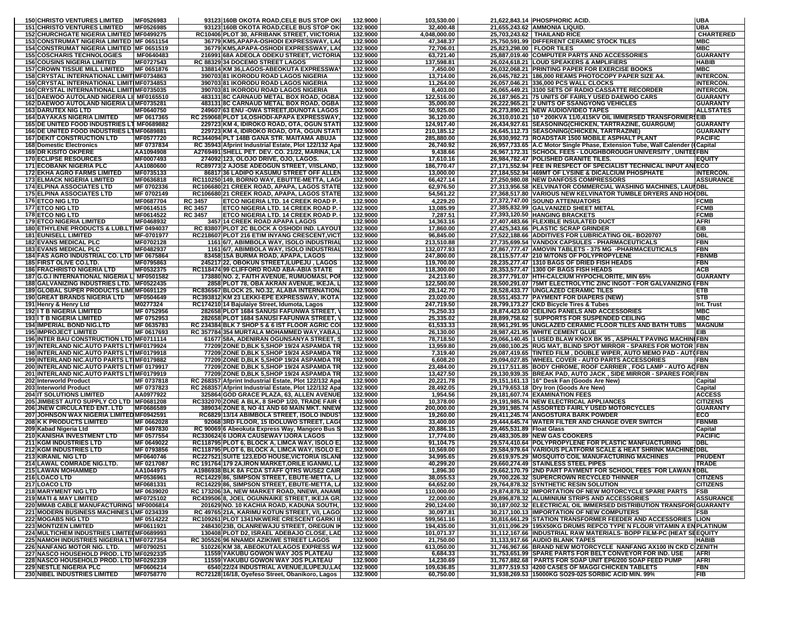| <b>150 CHRISTO VENTURES LIMITED</b>                                                           | MF0526983                |                | 93123 160B OKOTA ROAD, CELE BUS STOP OK                                                       | 132.9000             | 103,530.00                |                           | 21,622,843.14 PHOSPHORIC ACID.                                                                                       | <b>UBA</b>                           |
|-----------------------------------------------------------------------------------------------|--------------------------|----------------|-----------------------------------------------------------------------------------------------|----------------------|---------------------------|---------------------------|----------------------------------------------------------------------------------------------------------------------|--------------------------------------|
| <b>151 CHRISTO VENTURES LIMITED</b>                                                           | MF0526985                |                | 931231160B OKOTA ROAD, CELE BUS STOP OK                                                       | 132.9000             | 32,400.48                 |                           | 21.655.243.62 AMMONIA LIQUID.                                                                                        | <b>UBA</b>                           |
| 152 CHURCHGATE NIGERIA LIMITED MF0499275<br>153 CONSTRUMAT NIGERIA LIMITED MF 0651154         |                          |                | RC10406 PLOT 30, AFRIBANK STREET, VIICTORIA<br>36779 KM5, APAPA-OSHODI EXPRESSWAY, LA         | 132.9000<br>132.9000 | 4,048,000.00<br>47,348.37 |                           | 25,703,243.62 THAILAND RICE<br>25,750,591.99 DIFFERENT CERAMIC STOCK TILES                                           | <b>CHARTERED</b><br>MBC              |
| 154 CONSTRUMAT NIGERIA LIMITED MF 0651519                                                     |                          |                | 36779 KM5.APAPA-OSHODI EXPRESSWAY, LA                                                         | 132.9000             | 72,706.01                 |                           | 25,823,298.00   FLOOR TILES                                                                                          | <b>MBC</b>                           |
| <b>155 COSCHARIS TECHNOLOGIES</b>                                                             | MF0640483                |                | 216991 68A ADEOLA ODEKU STREET, VICTORIA                                                      | 132.9000             | 63,721.40                 |                           | 25,887,019.40 COMPUTER PARTS AND ACCESSORIES                                                                         | <b>GUARANTY</b>                      |
| <b>156 COUSINS NIGERIA LIMITED</b>                                                            | MF0727543                |                | RC 88329 34 DOCEMO STREET LAGOS                                                               | 132.9000             | 137,598.81                |                           | 26,024,618.21 LOUD SPEAKERS & AMPLIFIERS                                                                             | HABIB                                |
| <b>157 CROWN TISSUE MILL LIMITED</b>                                                          | MF 0651876               |                | 138814 KM 36, LAGOS-ABEOKUTA EXPRESSWA                                                        | 132.9000             | 7,450.00                  |                           | 26,032,068.21 PRINTING PAPER FOR EXERCISE BOOKS                                                                      | <b>MBC</b>                           |
| 158 CRYSTAL INTERNATIONAL LIMITIMF0734863                                                     |                          |                | 390703 81 IKORODU ROAD LAGOS NIGERIA                                                          | 132.9000             | 13,714.00                 |                           | 26,045,782.21 186,000 REAMS PHOTOCOPY PAPER SIZE A4.                                                                 | <b>INTERCON.</b>                     |
| 159 CRYSTAL INTERNATIONAL LIMITIMF0734853<br><b>160ICRYSTAL INTERNATIONAL LIMITIMF0735035</b> |                          |                | 390703 81 IKORODU ROAD LAGOS NIGERIA<br>390703 81 IKORODU ROAD LAGOS NIGERIA                  | 132.9000<br>132.9000 | 11,264.00<br>8,403.00     |                           | 26,057,046.21 336,000 PCS WALL CLOCKS<br>26,065,449.21 3100 SETS OF RADIO CASSATTE RECORDER                          | <b>INTERCON.</b><br><b>INTERCON.</b> |
| 161 DAEWOO AUTOLAND NIGERIA LII MF0165510                                                     |                          |                | 483131 8C CARNAUD METAL BOX ROAD, OGBA                                                        | 132.9000             | 122,516.00                |                           | 26,187,965.21 75 UNITS OF FAIRLY USED DAEWOO CARS                                                                    | <b>GUARANTY</b>                      |
| 162 DAEWOO AUTOLAND NIGERIA LI MF0735281                                                      |                          |                | 483131 8C CARNAUD METAL BOX ROAD, OGBA                                                        | 132.9000             | 35,000.00                 |                           | 26,222,965.21 2 UNITS OF SSANGYONG VEHICLES                                                                          | <b>GUARANTY</b>                      |
| 163 DARUTEX NIG LTD                                                                           | MF0640750                |                | 249607 63 ENU - OWA STREET, IDUNOTA LAGOS                                                     | 132.9000             | 50,925.00                 |                           | 26,273,890.21 NEW AUDIO/VIDEO TAPES                                                                                  | <b>ALLSTATES</b>                     |
| <b>164 DAYAKAS NIGERIA LIMITED</b>                                                            | MF 0617365               |                | RC 259068 PLOT 14, OSHODI-APAPA EXPRESSWAY                                                    | 132.9000             | 36,120.00                 |                           | 26,310,010.21   10 * 200KVA 11/0,415KV OIL IMMERSED TRANSFORMER\$EIB                                                 |                                      |
| 165 DE UNITED FOOD INDUSTRIES LT MF0689882                                                    |                          |                | 229723 KM 4, IDIROKO ROAD, OTA, OGUN STAT                                                     | 132.9000             | 124.917.40                |                           | 26,434,927.61 SEASONING(CHICKEN, TARTRAZINE, GUARGUM)                                                                | <b>GUARANTY</b>                      |
| 166 DE UNITED FOOD INDUSTRIES LTMF0689881<br><b>167 DEKIT CONSTRUCTION LTD</b>                | MF0577720                |                | 229723 KM 4, IDIROKO ROAD, OTA, OGUN STAT<br>RC344094 PLT 148B GANA STR. MAITAMA ABUJA        | 132.9000<br>132.9000 | 210.185.12<br>285,880.00  |                           | 26,645,112.73 SEASONING(CHICKEN, TARTRAZINE)<br>26,930,992.73 ROADSTAR 1500 MOBILE ASPHALT PLANT                     | <b>GUARANTY</b><br><b>PACIFIC</b>    |
| <b>168 Domestic Electronics</b>                                                               | MF 0737834               |                | RC 35943 Afprint Industrial Estate, Plot 122/132 Apa                                          | 132.9000             | 26,740.92                 |                           | 26,957,733.65 A.C Motor Single Phase, Extension Tube, Wall Calender (Capital                                         |                                      |
| <b>169 DR KISITO OKPERE</b>                                                                   | AA1094908                |                | A2769491 SHELL PET. DEV. CO. 21/22, MARINA, LA                                                | 132.9000             | 9,438.66                  |                           | 26,967,172.31 SCHOOL FEES - LOUGHBOROUGH UNIVERSITY, UNITELFBN                                                       |                                      |
| <b>170 ECLIPSE RESOURCES</b>                                                                  | MF0007493                |                | 274092 123, OLOJO DRIVE, OJO, LAGOS.                                                          | 132.9000             | 17,610.16                 |                           | 26,984,782.47 POLISHED GRANITE TILES.                                                                                | <b>EQUITY</b>                        |
| <b>171 ECOBANK NIGERIA PLC</b>                                                                | AA1080600                |                | RC89773 2 AJOSE ADEOGUN STREET, V/ISLAND,                                                     | 132.9000             | 186,770.47                |                           | 27,171,552.94 FEE IN RESPECT OF SPECIALIST TECHNICAL INPUT ANIECO                                                    |                                      |
| <b>172 EKHA AGRO FARMS LIMITED</b><br><b>173 ELMACK NIGERIA LIMITED</b>                       | MF0735133<br>MF0636818   |                | 86817 36 LADIPO KASUMU STREET OFF ALLEI<br>RC110250 149, BORNO WAY, EBUTTE-METTA, LAG         | 132.9000<br>132.9000 | 13,000.00<br>66,427.14    |                           | 27,184,552.94 469MT OF LYSINE & DICALCIUM PHOSPHATE<br>27,250,980.08 NEW DANFOSS COMPRESSORS                         | <b>INTERCON.</b><br><b>ASSURANCE</b> |
| <b>174 ELPINA ASSOCIATES LTD</b>                                                              | MF 0702336               |                | RC106680 21 CREEK ROAD, APAPA, LAGOS STATE                                                    | 132.9000             | 62,976.50                 |                           | 27,313,956.58 KELVINATOR COMMERCIAL WASHING MACHINES, LAUNDBL                                                        |                                      |
| <b>175 ELPINA ASSOCIATES LTD</b>                                                              | MF 0702149               |                | RC106680 21 CREEK ROAD, APAPA, LAGOS STATE                                                    | 132.9000             | 54,561.22                 |                           | 27,368,517.80 VARIOUS NEW KELVINATOR TUMBLE DRYERS AND HO(DBL                                                        |                                      |
| <b>176 ETCO NIG LTD</b>                                                                       | MF0687704                | <b>RC 3457</b> | ETCO NIGERIA LTD. 14 CREEK ROAD P.                                                            | 132.9000             | 4,229.20                  |                           | 27,372,747.00 SOUND ATTENUATORS                                                                                      | <b>FCMB</b>                          |
| 177 ETCO NIG LTD                                                                              | MF0614515                | <b>RC 3457</b> | ETCO NIGERIA LTD. 14 CREEK ROAD P.                                                            | 132.9000             | 13,085.99                 |                           | 27,385,832.99 GALVANIZED SHEET METAL                                                                                 | <b>FCMB</b>                          |
| <b>178 ETCO NIG LTD</b>                                                                       | MF0614522                | <b>RC 3457</b> | ETCO NIGERIA LTD. 14 CREEK ROAD P.                                                            | 132.9000             | 7,287.51                  |                           | 27,393,120.50 HANGING BRACKETS                                                                                       | <b>FCMB</b>                          |
| <b>179 ETCO NIGERIA LIMITED</b><br>180 ETHYLENE PRODUCTS & LUB.LTIMF 0494037                  | MF0468932                |                | 3457 14 CREEK ROAD APAPA LAGOS<br>RC 83807 PLOT 2C BLOCK A OSHODI IND. LAYOUT                 | 132.9000<br>132.9000 | 14,363.16<br>17,860.00    |                           | 27,407,483.66 FLEXIBLE INSULATED DUCT<br>27,425,343.66 PLASTIC SCRAP GRINDER                                         | AFRI<br>EIB                          |
| <b>181 EUNISELL LIMITED</b>                                                                   | MF-0701977               |                | RC218607 PLOT 216 ETIM INYANG CRESCENT, VICT                                                  | 132.9000             | 96.845.00                 |                           | 27,522,188.66 ADDITIVES FOR LUBRICATING OIL- BO20707                                                                 | <b>DBL</b>                           |
| <b>182 EVANS MEDICAL PLC</b>                                                                  | MF0702128                |                | 1161 6/7, ABIMBOLA WAY, ISOLO INDUSTRIAL                                                      | 132.9000             | 213,510.88                |                           | 27,735,699.54 VANDOX CAPSULES - PHARMACEUTICALS                                                                      | <b>FBN</b>                           |
| <b>183 EVANS MEDICAL PLC</b>                                                                  | MF0482937                |                | 1161 6/7, ABIMBOLA WAY, ISOLO INDUSTRIA                                                       | 132.9000             | 132,077.93                |                           | 27,867,777.47 AMOVIN TABLETS - 375 MG -PHARMACEUTICALS                                                               | <b>FBN</b>                           |
| 184 FAS AGRO INDUSTRIAL CO. LTD IMF 0675864                                                   |                          |                | 83458 15A BURMA ROAD, APAPA, LAGOS                                                            | 132.9000             | 247,800.00                |                           | 28,115,577.47 210 M/TONS OF POLYPROPYLENE                                                                            | <b>FBNMB</b>                         |
| <b>185 FIRST OLIVE CO.LTD.</b>                                                                | MF0795863                |                | 245217 22, OBOKUN STREET, ILUPEJU, LAGOS                                                      | 132.9000             | 119,700.00                |                           | 28,235,277.47 1310 BAGS OF DRIED FISH HEADS                                                                          | FBN                                  |
| <b>186 FRACHRISTO NIGERIA LTD</b><br>187 G.G.I INTERNATIONAL NIGERIA L MF0501582              | MF0532375                |                | RC118474 99 CLIFFORD ROAD ABA-ABIA STATE<br>173880 NO. 2, FAITH AVENUE, RUMUOMASI, PO         | 132.9000<br>132.9000 | 118,300.00<br>24,213.60   |                           | 28,353,577.47 1300 OF BAGS FISH HEADS<br>28,377,791.07 HTH-CALCIUM HYPOCHLORITE, MIN 65%                             | <b>ACB</b><br><b>GUARANTY</b>        |
| 188 GALVANIZING INDUSTRIES LTD. MF0522435                                                     |                          |                | 2858 PLOT 78, OBA AKRAN AVENUE, IKEJA, I                                                      | 132.9000             | 122,500.00                |                           | 28,500,291.07 75MT ELECTROLYTIC ZINC INGOT - FOR GALVANIZING                                                         | I FBN                                |
| 189 GLOBAL SUPER PRODUCTS LIMINF0691129                                                       |                          |                | RC836567 BLOCK 25, NO.32, ALABA INTERNATION                                                   | 132.9000             | 28,142.70                 |                           | 28,528,433.77 UNGLAZED CERAMIC TILES                                                                                 | ETB                                  |
| <b>190 GREAT BRANDS NIGERIA LTD</b>                                                           | MF0504649                |                | RC393812 KM 23 LEKKI-EPE EXPRESSWAY, IKOTA                                                    | 132.9000             | 23,020.00                 |                           | 28,551,453.77 PAYMENT FOR DIAPERS (NEW)                                                                              | <b>STB</b>                           |
| 191 Henry & Henry Ltd                                                                         | M0277324                 |                | RC174210 14 Bajulaiye Street, Idumota, Lagos                                                  | 132.9000             | 247,719.50                |                           | 28,799,173.27 CKD Bicycle Tires & Tubes                                                                              | Int. Trust                           |
| <b>192 I T B NIGERIA LIMITED</b><br><b>1931 T B NIGERIA LIMITED</b>                           | MF 0752956<br>MF 0752953 |                | 282658 PLOT 1684 SANUSI FAFUNWA STREET,<br>282658 PLOT 1684 SANUSI FAFUNWA STREET,            | 132.9000<br>132.9000 | 75,250.33<br>25,335.02    |                           | 28,874,423.60 CEILING PANELS AND ACCESSORIES<br>28,899,758.62   SUPPORTS FOR SUSPENDED CEILING                       | <b>MBC</b><br><b>MBC</b>             |
|                                                                                               |                          |                |                                                                                               |                      |                           |                           |                                                                                                                      |                                      |
|                                                                                               |                          |                |                                                                                               |                      |                           |                           |                                                                                                                      |                                      |
| <b>194 IMPERIAL BOND NIG.LTD</b><br><b>195 IMPROJECT LIMITED</b>                              | MF 0635783<br>MF 0617693 |                | RC 234384 BLK 7 SHOP 5 & 6 IST FLOOR AGRIC CO<br>RC 357784 354 MURTALA MOHAMMED WAY, YABA,    | 132.9000<br>132.9000 | 61,533.33<br>26,130.00    |                           | 28,961,291.95 UNGLAZED CERAMIC FLOOR TILES AND BATH TUBS<br>28,987,421.95 WHITE CEMENT GLUE                          | <b>MAGNUM</b><br>EIB                 |
| 196 INTER BAU CONSTRUCTION LTD MF0711114                                                      |                          |                | 61677 58A, ADENIRAN OGUNSANYA STREET,                                                         | 132.9000             | 78,718.50                 |                           | 29,066,140.45  1 USED BLAW KNOX BK 95, ASPHALT PAVING MACHINIFBN                                                     |                                      |
| 197 INTERLAND NIC.AUTO PARTS LTIMF0179924                                                     |                          |                | 77209 ZONE D,BLK 5,SHOP 19/24 ASPAMDA TR                                                      | 132.9000             | 13,959.80                 |                           | 29,080,100.25 RUG MAT, BLIND SPOT MIRROR - SPARES FOR MOTOR FBN                                                      |                                      |
| 198 INTERLAND NIC.AUTO PARTS LTIMF0179918                                                     |                          |                | 77209 ZONE D, BLK 5, SHOP 19/24 ASPAMDA TR                                                    | 132.9000             | 7,319.40                  |                           | 29,087,419.65 TINTED FILM, DOUBLE WIPER, AUTO MEMO PAD - AUTOFBN                                                     |                                      |
| 199 INTERLAND NIC.AUTO PARTS LTIMF0179882<br>200 INTERLAND NIC.AUTO PARTS LTIMF 0179917       |                          |                | 77209 ZONE D,BLK 5,SHOP 19/24 ASPAMDA TR<br>77209 ZONE D, BLK 5, SHOP 19/24 ASPAMDA TF        | 132.9000<br>132.9000 | 6,608.20<br>23,484.00     |                           | 29,094,027.85 WHEEL COVER - AUTO PARTS ACCESSORIES<br>29,117,511.85 BODY CHROME, ROOF CARRIER, FOG LAMP - AUTO ACFBN | <b>FBN</b>                           |
| 201 INTERLAND NIC.AUTO PARTS LTIMF0179919                                                     |                          |                | 77209 ZONE D, BLK 5, SHOP 19/24 ASPAMDA TF                                                    | 132.9000             | 13,427.50                 |                           | 29,130,939.35 BREAK PAD, AUTO JACK, SIDE MIRROR - SPARES FOR FBN                                                     |                                      |
| 202 Interworld Product                                                                        | MF 0737818               |                | RC 268357 Afprint Industrial Estate, Plot 122/132 Apa                                         | 132.9000             | 20,221.78                 |                           | 29,151,161.13  16" Desk Fan (Goods Are New)                                                                          | Capital                              |
| 203 Interworld Product                                                                        | MF 0737823               |                | RC 268357 Afprint Industrial Estate, Plot 122/132 Apa                                         | 132.9000             | 28,492.05                 |                           | 29,179,653.18 Dry Iron (Goods Are New)                                                                               | Capital                              |
| <b>204 IT SOLUTIONS LIMITED</b>                                                               | AA0977922                |                | 325864 GOD GRACE PLAZA, 63, ALLEN AVENUE                                                      | 132.9000             | 1,954.56                  |                           | 29,181,607.74 EXAMINATION FEES                                                                                       | <b>ACCESS</b>                        |
| 205 JIMBEST AUTO SUPPLY CO LTD MF0681208                                                      |                          |                | RC332070 ZONE A BLK, 8 SHOP 1/20, TRADE FAIR                                                  | 132.9000             | 10,378.00<br>200.000.00   |                           | 29,191,985.74 NEW ELECTRICAL APPLIANCES                                                                              | <b>CITIZENS</b><br><b>GUARANTY</b>   |
| <b>206 JNEW CIRCULATED ENT. LTD</b><br>207 JOHNSON WAX NIGERIA LIMITED MF0942591              | MF0686589                |                | 389034 ZONE 8, NO 41 AND 60 MAIN MKT. NNEW<br>RC6829 13/14 ABIMBOLA STREET, ISOLO INDUS       | 132.9000<br>132.9000 | 19,260.00                 |                           | 29,391,985.74 ASSORTED FAIRLY USED MOTORCYCLES<br>29,411,245.74 ANGOSTURA BARK POWDER                                | ECO                                  |
| <b>208 K K PRODUCTS LIMITED</b>                                                               | MF 0662028               |                | 92068 3RD FLOOR, 15 IDOLUWO STREET, LAG                                                       | 132.9000             | 33,400.00                 |                           | 29,444,645.74 WATER FILTER AND CHANGE OVER SWITCH                                                                    | <b>FBNMB</b>                         |
| 209 Kabad Nigeria Ltd                                                                         | MF 0497830               |                | RC 90069 6 Abeokuta Express Way, Mangoro Bus 9                                                | 132.9000             | 20,886.15                 | 29,465,531.89 Float Glass |                                                                                                                      | Capital                              |
| 210 KANISHA INVESTMENT LTD                                                                    | MF 0577554               |                | RC330624 6 IJORA CAUSEWAY IJORA LAGOS                                                         | 132.9000             | 17,774.00                 |                           | 29,483,305.89 NEW GAS COOKERS                                                                                        | <b>PACIFIC</b>                       |
| <b>211 KGM INDUSTRIES LTD</b>                                                                 | MF 0649022               |                | RC118795 PLOT 6, BLOCK A, LIMCA WAY, ISOLO B                                                  | 132.9000             | 91,104.75                 |                           | 29,574,410.64 POLYPROPYLENE FOR PLASTIC MANFUACTURING                                                                | <b>DBL</b>                           |
| <b>212 KGM INDUSTRIES LTD</b><br><b>213 KIRANIL NIG LTD</b>                                   | MF 0793856<br>MF0640746  |                | RC118795 PLOT 6, BLOCK A, LIMCA WAY, ISOLO E<br>RC227521 SUITE 123, EDO HOUSE, VICTORIA ISLAN | 132.9000<br>132.9000 | 10,569.00<br>34,995.65    |                           | 29,584,979.64 VARIOUS PLATFORM SCALE & HEAT SHRINK MACHINE<br>29,619,975.29 MOSQUITO COIL MANUFACTURING MACHINES     | <b>SDBL</b><br><b>PRUDENT</b>        |
| 214 LAWAL COMRADE NIG.LTD.                                                                    | MF 0217087               |                | RC 191764 179 2A, IRON MARKET, ORILE IGANMU, LA                                               | 132.9000             | 40,299.20                 |                           | 29,660,274.49 STAINLESS STEEL PIPES                                                                                  | <b>TRADE</b>                         |
| <b>215 LAWAN MOHAMMED</b>                                                                     | AA1044975                |                | A1986938 BLK 8A FCDA STAFF OTRS WUSE2 CAIR                                                    | 132,9000             | 1.896.30                  |                           | 29.662.170.79 2ND PART PAYMENT FOR SCHOOL FEES FOR LAWAN NDBL                                                        |                                      |
| 216 LOACO LTD                                                                                 | MF0536961                |                | RC14229 86, SIMPSON STREET, EBUTE-METTA, L                                                    | 132.9000             | 38,055.53                 |                           | 29,700,226.32 SUPERCROWN RECYCLED THINNER                                                                            | <b>CITIZENS</b>                      |
| 217 LOACO LTD                                                                                 | MF0681331                |                | RC14229 86, SIMPSON STREET, EBUTE-METTA, L.                                                   | 132.9000             | 64,652.00                 |                           | 29,764,878.32 SYNTHETIC RESIN SOLUTION                                                                               | <b>CITIZENS</b>                      |
| <b>218 MARYMENT NIG LTD</b><br><b>219 MATI &amp; MAY LIMITED</b>                              | MF 0639020<br>MF0725102  |                | RC 173206 3A, NEW MARKET ROAD, NNEWI, ANAM<br>RC439506 8, JOEL OGUNNAIKE STREET, IKEJA GR     | 132.9000<br>132.9000 | 110,000.00<br>22,000.00   |                           | 29,874,878.32 IMPORTATION OF NEW MOTORCYCLE SPARE PARTS<br>29,896,878.32 ALUMINIUM STRIPS AND ACCESSORIES            | FSB<br><b>ASSURANCE</b>              |
| 220 MMAB CABLE MANUFACTURING MF0006814                                                        |                          |                | 201629 NO. 10 KACHIA ROAD, KADUNA SOUTH,                                                      | 132.9000             | 290,124.00                |                           | 30,187,002.32 ELECTRICAL OIL IMMERSED DISTRIBUTION TRANSFORIGUARANTY                                                 |                                      |
| 221 MODERN BUSINESS MACHINES LIMF 0234339                                                     |                          |                | RC 49765 21A, KARIMU KOTUN STREET, V/I, LAGO                                                  | 132.9000             | 30,097.81                 |                           | 30,217,100.13 IMPORTATION OF NEW COMPUTERS                                                                           | <b>FSB</b>                           |
| <b>222 MOGABS NIG LTD</b>                                                                     | MF 0514222               |                | RC109261 PLOT 1341NKWERE CRESCENT GARKI II                                                    | 132.9000             | 599,561.16                |                           | 30,816,661.29 STATION TRANSFORMER FEEDER AND ACCESSORIES  LION                                                       |                                      |
| <b>223 MONTIZEN LIMITED</b>                                                                   | MF0611921                |                | 248430 23B, OLANREWAJU STREET, OREGUN II                                                      | 132.9000             | 194,435.00                |                           | 31,011,096.29 195X50KG DRUMS REPCO TYPE N FLOUR VITAMIN A ENPLATINUM                                                 |                                      |
| 224 MULTICHEM INDUSTRIES LIMITEDMF0689993<br>225 NAMOH INDUSTRIES NIGERIA LTIMF0727354        |                          |                | 130408 PLOT D2, ISRAEL ADEBAJO CLOSE, LAD<br>RC 305526 96 NNAMDI AZIKIWE STREET LAGOS         | 132.9000<br>132.9000 | 101.071.37<br>21,750.00   |                           | 31,112,167.66 INDUSTRIAL RAW MATERIALS- BOPP FILM-PC (HEAT SEEQUITY<br>31,133,917.66 AUDIO BLANK TAPES               | <b>HABIB</b>                         |
| 226 NANFANG MOTOR NIG. LTD.                                                                   | MF0790251                |                | 510226 KM 38, ABEOKUTA/LAGOS EXPRESS WA                                                       | 132.9000             | 613,050.00                |                           | 31,746,967.66 BRAND NEW MOTORCYCLE NANFANG AX100 IN CKD CIZENITH                                                     |                                      |
| 227 NASCO HOUSEHOLD PROD. LTD MF0292335                                                       |                          |                | <b>11559 YAKUBU GOWON WAY JOS PLATEAU</b>                                                     | 132.9000             | 6,684.33                  |                           | 31,753,651.99 SPARE PARTS FOR BELT CONVEYOR FOR IND. USE                                                             | <b>AFRI</b>                          |
| 228 NASCO HOUSEHOLD PROD. LTD MF0292339<br><b>229 NESTLE NIGERIA PLC</b>                      | MF0606214                |                | 11559 YAKUBU GOWON WAY JOS PLATEAU<br>6540 22/24 INDUSTRIAL AVENUE. ILUPEJU.LA                | 132.9000<br>132.9000 | 14,230.69<br>109,636.85   |                           | 31,767,882.68   PARTS FOR SOAP UNIT EP6/200 SOAP FEED PUMP<br>31.877.519.53 4200 CASES OF MAGGI CHICKEN TABLETS      | AFRI<br><b>FBN</b>                   |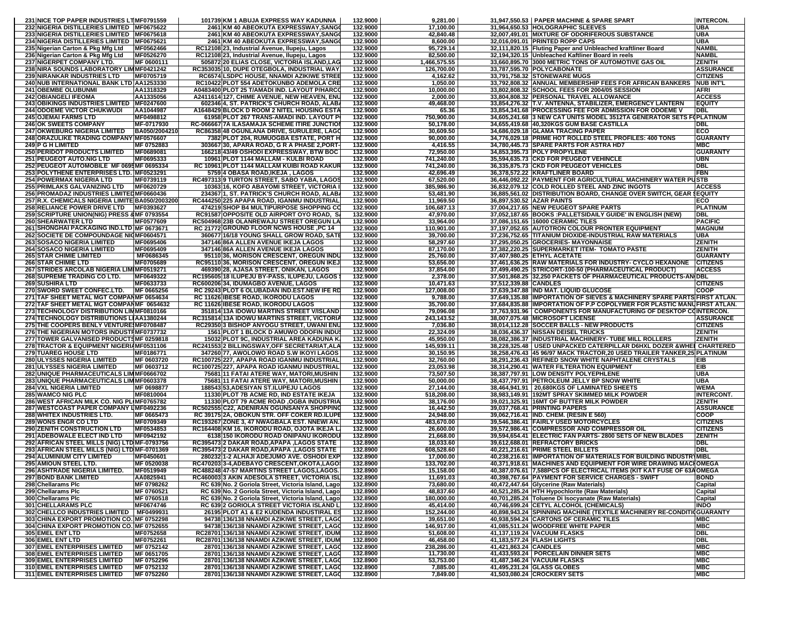| 232 NIGERIA DISTILLERIES LIMITED MF0675622                                 | 231 NICE TOP PAPER INDUSTRIES LTIMF0791559 | 101739 KM 1 ABUJA EXPRESS WAY KADUNNA                                                      | 132.9000             | 9,281.00                |                       | 31.947.550.53 PAPER MACHINE & SPARE SPART                                                                                                 | <b>INTERCON.</b>         |
|----------------------------------------------------------------------------|--------------------------------------------|--------------------------------------------------------------------------------------------|----------------------|-------------------------|-----------------------|-------------------------------------------------------------------------------------------------------------------------------------------|--------------------------|
|                                                                            |                                            | 2461 KM 40 ABEOKUTA EXPRESSWAY, SANG                                                       | 132.9000             | 17,100.00               |                       | 31,964,650.53 HOLOGRAPHIC SLEEVES                                                                                                         | <b>UBA</b>               |
| 233 NIGERIA DISTILLERIES LIMITED MF0675618                                 |                                            | 2461 KM 40 ABEOKUTA EXPRESSWAY, SANG                                                       | 132.9000             | 42,840.48               |                       | 32,007,491.01 MIXTURE OF ODORIFEROUS SUBSTANCE                                                                                            | UBA                      |
| 234 NIGERIA DISTILLERIES LIMITED MF0675621                                 |                                            | 2461 KM 40 ABEOKUTA EXPRESSWAY, SANG                                                       | 132.9000             | 8,600.00                |                       | 32,016,091.01 PRINTED ROPP CAPS                                                                                                           | UBA                      |
| 235 Nigerian Carton & Pkg Mfg Ltd                                          | MF0562466                                  | RC12108 23, Industrial Avenue, Ilupeju, Lagos                                              | 132.9000             | 95,729.14               |                       | 32,111,820.15 Fluting Paper and Unbleached kraftliner Board                                                                               | <b>NAMBL</b>             |
| 236 Nigerian Carton & Pkg Mfg Ltd                                          | MF0526270                                  | RC12108 23, Industrial Avenue, Ilupeju, Lagos                                              | 132.9000             | 82,500.00               |                       | 32,194,320.15 Unbleached Kaftliner Board in reels                                                                                         | <b>NAMBL</b>             |
| 237 NIGERPET COMPANY LTD.                                                  | MF 0600111                                 | 505872 20 ELIAS CLOSE, VICTORIA ISLAND,LAG                                                 | 132.9000             | 1,466,575.55            |                       | 33,660,895.70 3000 METRIC TONS OF AUTOMOTIVE GAS OIL                                                                                      | <b>ZENITH</b>            |
| 238 NIRA SOUNDS LABORATORY LIMMF0421242                                    |                                            | RC353035 10, DUPE OTEGBOLA, INDUSTRIAL WAY                                                 | 132.9000             | 126,700.00              |                       | 33.787.595.70 POLYCABONATE                                                                                                                | <b>ASSURANCE</b>         |
|                                                                            |                                            |                                                                                            |                      |                         |                       | 33,791,758.32 STONEWARE MUGS                                                                                                              |                          |
| 239 NIRANKAR INDUSTRIES LTD                                                | MF0705719                                  | RC6574 LSDPC HOUSE, NNAMDI AZIKIWE STREE                                                   | 132.9000             | 4,162.62                |                       |                                                                                                                                           | <b>CITIZENS</b>          |
| 240 NUB INTERNATIONAL BANK LTD AA1253330                                   |                                            | RC10422 PLOT 554 ADETOKUNBO ADEMOLA CRE                                                    | 132.9000             | 1,050.00                |                       | 33,792,808.32 ANNUAL MEMBERSHIP FEES FOR AFRICAN BANKERS                                                                                  | <b>NUB INT'L</b>         |
| <b>241 OBEMBE OLUBUNMI</b>                                                 | AA1318329                                  | A0483400 PLOT 25 T/AMADI IND. LAYOUT P/HARC                                                | 132.9000             | 10,000.00               |                       | 33,802,808.32 SCHOOL FEES FOR 2004/05 SESSION                                                                                             | AFRI                     |
| <b>242 OBIANGELI IFEOMA</b>                                                | AA1335056                                  | A2411614 127, CHIME AVENUE, NEW HEAVEN, ENU                                                | 132.9000             | 2,000.00                |                       | 33,804,808.32 PERSONAL TRAVEL ALLOWANCE                                                                                                   | <b>ACCESS</b>            |
| 243 OBIKINGS INDUSTRIES LIMITED MF0247600                                  |                                            | 602346 4, ST. PATRICK'S CHURCH ROAD, ALAB/                                                 | 132.9000             | 49,468.00               |                       | 33,854,276.32 T.V. ANTENNA, STABILIZER, EMERGENCY LANTERN                                                                                 | <b>EQUITY</b>            |
| <b>244 ODOEME VICTOR CHUKWUDI</b>                                          | AA1044987                                  | A1648429 BLOCK D ROOM 2 NITEL HOUSING ESTA                                                 | 132.9000             | 65.36                   |                       | 33,854,341.68 PROCESSING FEE FOR ADMISSION FOR ODOEME V                                                                                   | <b>DBL</b>               |
| <b>245 OJEMAI FARMS LTD</b>                                                | MF0498812                                  | 61958 PLOT 267 TRANS-AMADI IND. LAYOUT P                                                   | 132.9000             | 750,900.00              |                       | 34,605,241.68 3 NEW CAT UNITS MODEL 3512TA GENERATOR SETS                                                                                 | <b>:GPLATINUM</b>        |
| <b>246 OK SWEETS COMPANY</b>                                               | MF-0717930                                 | RC-066667 7A ILASAMAJA SCHEME ITIRE JUNCTIO                                                | 132.9000             | 50,178.00               |                       | 34,655,419.68 40,320KGS GUM BASE CASTILLA                                                                                                 | <b>DBL</b>               |
| <b>247 OKWEBURG NIGERIA LIMITED</b>                                        | BA050/2004210                              | RC86358 48 OGUNLANA DRIVE, SURULERE, LAGO                                                  | 132.9000             | 30.609.50               |                       | 34,686,029.18 GLAMA TRACING PAPER                                                                                                         | ECO                      |
| 248 ORAZULIKE TRADING COMPANY MF0576607                                    |                                            | 7382 PLOT 204, RUMUOGBA ESTATE, PORT H                                                     | 132.9000             | 90,000.00               |                       | 34,776,029.18 PRIME HOT ROLLED STEEL PROFILES: 400 TONS                                                                                   | <b>GUARANTY</b>          |
| <b>249 P G H LIMITED</b>                                                   | MF 0752883                                 | 303667 30, APARA ROAD, G R A PHASE 2, PORT-                                                | 132.9000             | 4,416.55                |                       | 34,780,445.73 SPARE PARTS FOR ASTRA HD7                                                                                                   | <b>MBC</b>               |
| <b>250 PERIDOT PRODUCTS LIMITED</b>                                        | MF0689081                                  | 166218 43/49 OSHODI EXPRESSWAY, BTW BOC                                                    | 132.9000             | 72,950.00               |                       | 34,853,395.73 POLY PROPYLENE                                                                                                              | <b>GUARANTY</b>          |
| <b>251 PEUGEOT AUTO.NIG LTD</b>                                            | MF0695333                                  | 10961 PLOT 1144 MALLAM - KULBI ROAD                                                        | 132.9000             | 741.240.00              |                       | 35,594,635.73 CKD FOR PEUGEOT VEHINCLE                                                                                                    | UBN                      |
| 252 PEUGEOT AUTOMOBILE MF 0695MF 0695334                                   |                                            | RC 10961 PLOT 1144 MALLAM KUIBI ROAD KAKUR                                                 | 132.9000             | 741,240.00              |                       | 36,335,875.73 CKD FOR PEUGEOT VEHICLES                                                                                                    | DBL                      |
| 253 POLYTHENE ENTERPRISES LTD. MF0523291                                   |                                            | 5759 4 OBASA ROAD, IKEJA, LAGOS                                                            | 132.9000             | 42,696.49               |                       | 36,378,572.22 KRAFTLINER BOARD                                                                                                            | FBN                      |
| <b>254 POWERMAX NIGERIA LTD</b>                                            | MF0739119                                  | RC497313 9 TURTON STREET, SABO YABA, LAGO                                                  | 132.9000             | 67,520.00               |                       | 36,446,092.22 PAYMENT FOR AGRICULTURAL MACHINERY WATER F                                                                                  | USTB                     |
| <b>255 PRIMLAKS GALVANIZING LTD</b>                                        | MF0620729                                  | 10363 16, KOFO ABAYOMI STREET, VICTORIA                                                    | 132.9000             | 385,986.90              |                       | 36,832,079.12 COLD ROLLED STEEL AND ZINC INGOTS                                                                                           | <b>ACCESS</b>            |
| 256 PROMADAZ INDUSTRIES LIMITED MF0660436                                  |                                            | 234367 1, ST. PATRICK'S CHURCH ROAD, ALAB/                                                 | 132.9000             | 53,481.90               |                       | 36,885,561.02 DISTRIBUTION BOARD, CHANGE OVER SWITCH, GEAR SEQUITY                                                                        |                          |
| 257 R.X. CHEMICALS NIGERIA LIMITE BA050/200320                             |                                            | RC444250 225 APAPA ROAD, IGANMU INDUSTRIAL                                                 | 132.9000             | 11,969.50               |                       | 36,897,530.52 AZAR PAINTS                                                                                                                 | ECO                      |
| <b>258 RELIANCE POWER DRIVE LTD</b>                                        | MF0393627                                  | 474219 SHOP B4 MULTIPURPOSE SHOPPING CO                                                    | 132.9000             | 106,687.13              |                       | 37,004,217.65 NEW PEUGEOT SPARE PARTS                                                                                                     | <b>PLATINUM</b>          |
| 259 SCRIPTURE UNION(NIG) PRESS & MF 0793554                                |                                            | RC91587 OPPOSITE OLD AIRPORT OYO ROAD, S.                                                  | 132.9000             | 47,970.00               |                       | 37,052,187.65 BOOKS :PALLETSIDAILY GUIDE' IN ENGLISH (NEW)                                                                                | DBL                      |
| <b>260 SHEARWATER LTD</b>                                                  | MF0577609                                  | RC504968 23B OLANREWAJU STREET OREGUN LA                                                   | 132.9000             | 33,964.00               |                       | 37.086.151.65 16000 CERAMIC TILES                                                                                                         | <b>PACIFIC</b>           |
|                                                                            |                                            |                                                                                            | 132.9000             |                         |                       |                                                                                                                                           | <b>MAGNUM</b>            |
| 261 SHONGHAI PACKAGING IND.LTD MF 0673671                                  |                                            | <b>RC 21772 GROUND FLOOR NCWS HOUSE ,PC 14</b>                                             |                      | 110,901.00              |                       | 37,197,052.65 AUTOTRON COLOUR PRONTER EQUIPMENT                                                                                           |                          |
| 262 SOCIETE DE COMPOUNDAGE NIGMF0604571                                    |                                            | 360677 16/18 YOUNG SHALL GROW ROAD, SATE                                                   | 132.9000             | 39,700.00               |                       | 37,236,752.65 TITANIUM DIOXIDE-INDUSTRIAL RAW MATERIALS                                                                                   | <b>UBA</b>               |
| <b>263 SOSACO NIGERIA LIMITED</b>                                          | MF0695406                                  | 347146 86A ALLEN AVENUE IKEJA LAGOS                                                        | 132.9000             | 58,297.60               |                       | 37.295.050.25 GROCERIES- MAYONNAISE                                                                                                       | <b>ZENITH</b>            |
| <b>264 SOSACO NIGERIA LIMITED</b>                                          | MF0695409                                  | 347146 86A ALLEN AVENUE IKEJA LAGOS                                                        | 132.9000             | 87,170.00               |                       | 37,382,220.25 SUPERMARKET ITEM- TOMATO PASTE                                                                                              | <b>ZENITH</b>            |
| <b>265 STAR CHIMIE LIMITED</b>                                             | MF0686345                                  | 95110 36, MORISON CRESCENT, OREGUN INDU                                                    | 132.9000             | 25.760.00               |                       | 37,407,980.25 ETHYL ACETATE                                                                                                               | GUARANTY                 |
| <b>266 STAR CHIMIE LTD</b>                                                 | MF0705689                                  | RC95110 36, MORISON CRESCENT, OREGUN IKEJ                                                  | 132.9000             | 53,656.00               |                       | 37,461,636.25 RAW MATERIALS FOR INDUSTRY- CYCLO HEXANONE                                                                                  | <b>CITIZENS</b>          |
| 267 STRIDES ARCOLAB NIGERIA LIMIMF0519271                                  |                                            | 469390 28, AJASA STREET, ONIKAN, LAGOS                                                     | 132.9000             | 37.854.00               |                       | 37,499,490.25 STRICORT-100-50 (PHARMACEUTICAL PRODUCT)                                                                                    | <b>ACCESS</b>            |
| 268 SUPREME TRADING CO LTD.                                                | MF0649322                                  | RC195605 18 ILUPEJU BY-PASS, ILUPEJU, LAGOS                                                | 132.9000             | 2,378.00                |                       | 37,501,868.25 32,250 PACKETS OF PHARMACEUTICAL PRODUCTS-AN DBL                                                                            |                          |
| <b>269 SUSHIRA LTD</b>                                                     | MF0633733                                  | RC600206 34, IDUMAGBO AVENUE, LAGOS                                                        | 132.9000             | 10,471.63               | 37,512,339.88 CANDLES |                                                                                                                                           | <b>CITIZENS</b>          |
| 270 SWORD SWEET CONFEC.LTD.                                                | MF 0665256                                 | RC 29243 PLOT 6 OLUBADAN IND EST.NEW IFE RD                                                | 132.9000             | 127,008.00              |                       | 37,639,347.88 IND MAT. LIQUID GLUCOSE                                                                                                     | <b>COOP</b>              |
| 271 TAF SHEET METAL MGT COMPANMF 0654634                                   |                                            | RC 11626 IBESE ROAD, IKORODU LAGOS                                                         | 132.9000             | 9,788.00                |                       | 37,649,135.88 IMPORTATION OF SIEVES & MACHINERY SPARE PARTS FIRST ATLAN.                                                                  |                          |
| 272 TAF SHEET METAL MGT COMPANMF 0654632                                   |                                            | <b>RC 11626 IBESE ROAD, IKORODU LAGOS</b>                                                  | 132.9000             | 35,700.00               |                       | 37,684,835.88 IMPORTATION OF P.P COPOLYMER FOR PLASTIC MANUFIRST ATLAN.                                                                   |                          |
| 273 TECHNOLOGY DISTRIBUTION LIMMF0810166                                   |                                            | 351814 13A IDOWU MARTINS STREET V/ISLAND                                                   | 132.9000             | 79,096.08               |                       | 37,763,931.96   COMPONENTS FOR MANUFACTURING OF DESKTOP COINTERCON.                                                                       |                          |
| 274 TECHNOLOGY DISTRIBUTIONS LIAA1380244                                   |                                            | RC315814 13A IDOWU MARTINS STREET, VICTORIA                                                | 132.9000             | 243,143.52              |                       | 38,007,075.48 MICROSOFT LICENSE                                                                                                           | <b>ASSURANCE</b>         |
| 275 THE COOPERS BENLY VENTURE MF0708487                                    |                                            | RC29350 3 BISHOP ANYOGU STREET, UWANI ENU                                                  | 132.9000             | 7,036.80                |                       | 38,014,112.28 SOCCER BALLS - NEW PRODUCTS                                                                                                 | <b>CITIZENS</b>          |
| 276 THE NIGERIAN MOTORS INDUSTRMF0737732                                   |                                            | 1561 PLOT 1 BLOCK D AMUWO ODOFIN INDU                                                      | 132.9000             | 22,324.09               |                       | 38,036,436.37 NISSAN DEISEL TRUCKS                                                                                                        | ZENITH                   |
|                                                                            |                                            |                                                                                            |                      |                         |                       | 38,082,386.37 INDUSTRIAL MACHINERY- TUBE MILL ROLLERS                                                                                     | ZENITH                   |
|                                                                            |                                            |                                                                                            |                      |                         |                       |                                                                                                                                           |                          |
| 277 TOWER GALVANISED PRODUCTSMF 0259818                                    |                                            | 15032 PLOT 9C, INDUSTRIAL AREA KADUNA K                                                    | 132.9000             | 45,950.00               |                       |                                                                                                                                           |                          |
| 278 TRACTOR & EQUIPMENT NIGERIAMF0531106                                   |                                            | RC241553 2 BILLINGSWAY, OFF SECRETARIAT, ALA                                               | 132.9000             | 145,939.11              |                       | 38,228,325.48   USED UNPACKED CATERPILLAR D6HXL DOZER & WHEI CHARTERED                                                                    |                          |
| <b>279 TUAREG HOUSE LTD</b>                                                | MF0186771                                  | 347260 77, AWOLOWO ROAD S.W IKOYI LAGOS                                                    | 132.9000             | 30,150.95               |                       | 38,258,476.43   45 96/97 MACK TRACTOR,20 USED TRAILER TANKER,25 PLATINUM                                                                  |                          |
| 280 ULYSSES NIGERIA LIMITED                                                | MF 0603720                                 | RC100725 227, APAPA ROAD IGANMU INDUSTRIAL                                                 | 132.9000             | 32,760.00               |                       | 38,291,236.43 REFINED SNOW WHITE NAPHTALENE CRYSTALS                                                                                      | EIB                      |
| <b>281 ULYSSES NIGERIA LIMITED</b>                                         | MF 0603712                                 | RC100725 227, APAPA ROAD IGANMU INDUSTRIAL                                                 | 132.9000             | 23,053.98               |                       | 38,314,290.41 WATER FILTERATION EQUIPMENT                                                                                                 | EIB                      |
| 282 UNIQUE PHARMACEUTICALS LIMMF0666702                                    |                                            | 75681 11 FATAI ATERE WAY, MATORI, MUSHIN                                                   | 132.9000             | 73,507.50               |                       | 38,387,797.91 LOW DENSITY POLYEPHLENE                                                                                                     | <b>UBA</b>               |
| 283 UNIQUE PHARMACEUTICALS LIMMF0603378                                    |                                            | 75681 11 FATAI ATERE WAY, MATORI, MUSHIN                                                   | 132.9000             | 50,000.00               |                       | 38,437,797.91 PETROLEUM JELLY BP SNOW WHITE                                                                                               | <b>UBA</b>               |
| <b>284 VXL NIGERIA LIMITED</b>                                             | MF 0698877                                 | 188543 53, ADESIYAN ST.ILUPEJU LAGOS                                                       | 132.9000             | 27,144.00               |                       | 38,464,941.91 20,680KGS OF LAMINATED SHEETS                                                                                               | <b>WEMA</b>              |
| <b>285 WAMCO NIG PLC</b>                                                   | MF0810004                                  | 11330 PLOT 7B ACME RD, IND ESTATE IKEJA                                                    | 132.9000             | 518,208.00              |                       | 38,983,149.91 192MT SPRAY SKIMMED MILK POWDER                                                                                             | <b>INTERCONT.</b>        |
| 286 WEST AFRICAN MILK CO. NIG PLIMF0765782                                 |                                            | 11330 PLOT 79 ACME ROAD , OGBA INDUSTRIA                                                   | 132.9000             | 38,176.00               |                       | 39,021,325.91  16MT OF BUTTER MILK POWDER                                                                                                 | <b>ZENITH</b>            |
| 287 WESTCOAST PAPER COMPANY LIMF0492236                                    |                                            | RC502555 C22, ADENIRAN OGUNSANYA SHOPPING                                                  | 132.9000             | 16,442.50               |                       | 39,037,768.41 PRINTING PAPERS                                                                                                             | <b>ASSURANCE</b>         |
| 288 WHITEX INDUSTRIES LTD.                                                 | MF 0665473                                 | RC 39175 2A, OBOKUN STR. OFF COKER RD.ILUPE                                                | 132.9000             | 24,948.00               |                       | 39.062.716.41 IND. CHEM. (RESIN E 560)                                                                                                    | COOP                     |
| 289 WONS ENGR CO LTD                                                       | MF0709349                                  | RC193267 ZONE 3, 47 NWAGBALA EST. NNEWI AN                                                 | 132.9000             | 483,670.00              |                       | 39,546,386.41 FAIRLY USED MOTORCYCLES                                                                                                     | <b>CITIZENS</b>          |
| <b>290 ZENITH CONSTRUCTION LTD</b>                                         | MF0534853                                  | RC164408 KM 16, IKORODU ROAD, OJOTA IKEJA L                                                | 132.9000             | 26,600.00               |                       | 39,572,986.41 COMPRESSOR AND COMPRESSOR OIL                                                                                               | <b>CITIZENS</b>          |
| 291 ADEBOWALE ELECT IND LTD                                                | MF0942192                                  | 6138 150 IKORODU ROAD ONIPANU IKORODU                                                      | 132.8900             | 21,668.00               |                       | 39,594,654.41 ELECTRIC FAN PARTS-2800 SETS OF NEW BLADES                                                                                  | <b>ZENITH</b>            |
|                                                                            |                                            |                                                                                            | 132.8900             | 18.033.60               |                       |                                                                                                                                           | DBL                      |
| 292 AFRICAN STEEL MILLS (NIG) LTD MF-0793756                               |                                            | RC395473 2 DAKAR ROAD, APAPA, LAGOS STATE                                                  | 132.8900             | 608,528.60              |                       | 39,612,688.01 REFRACTORY BRICKS                                                                                                           | DBL                      |
| 293 AFRICAN STEEL MILLS (NIG) LTD MF-0701369                               |                                            | RC395473 2 DAKAR ROAD, APAPA, LAGOS STATE                                                  |                      |                         |                       | 40,221,216.61 PRIME STEEL BILLETS                                                                                                         |                          |
| <b>294 ALUMINIUM CITY LIMITED</b><br>295 AMIOUN STEEL LTD.                 | MF0450601<br>MF 0520038                    | 280232 1-2 ALHAJI ADEJUMO AVE. OSHODI EXP                                                  | 132.8900<br>132.8900 | 17,000.00<br>133,702.00 |                       | 40,238,216.61  IMPORTATION OF MATERIALS FOR BUILDING INDUSTRYMIBL                                                                         |                          |
|                                                                            | MF0519949                                  | RC470203 3-4, ADEBAYO CRESCENT, OKOTA, LAGO<br>RC488248147-57 MARTINS STREET LAGOS LAGOS L | 132.8900             |                         |                       | 40,371,918.61   MACHINES AND EQUIPMENT FOR WIRE DRAWING MACHOMEGA<br>40.387.076.61 7.588PCS OF ELECTRICAL ITEMS (KIT KAT FUSE OF 63AOMEGA |                          |
| <b>296 ASHTRADE NIGERIA LIMITED.</b>                                       |                                            |                                                                                            |                      | 15,158.00               |                       |                                                                                                                                           |                          |
| <b>297 BOND BANK LIMITED</b>                                               | AA0825941                                  | RC460003 3 AKIN ADESOLA STREET, VICTORIA ISL                                               | 132.8900             | 11,691.03               |                       | 40,398,767.64 PAYMENT FOR SERVICE CHARGES - SWIFT                                                                                         | <b>BOND</b>              |
| 298 Chellarams Plc                                                         | MF 0798262                                 | RC 639 No. 2 Goriola Street, Victoria Island, Lago                                         | 132.8900             | 73,680.00               |                       | 40,472,447.64 Glycerine (Raw Materials)                                                                                                   | Capital                  |
| 299 Chellarams Plc                                                         | MF 0760521                                 | RC 639 No. 2 Goriola Street, Victoria Island, Lago                                         | 132.8900             | 48,837.60               |                       | 40,521,285.24 HTH Hypochlorite (Raw Materials)                                                                                            | Capital                  |
| 300 Chellarams Plc                                                         | MF 0760518                                 | RC 639 No. 2 Goriola Street, Victoria Island, Lago                                         | 132.8900             | 180,000.00              |                       | 40,701,285.24 Toluene Di Isocyanate (Raw Materials)                                                                                       | Capital                  |
| 301 CHELLARAMS PLC                                                         | MF0674746                                  | RC 639 2 GORIOLA STREET VICTORIA ISLAND L                                                  | 132.8900             | 45,414.00               |                       | 40,746,699.24 CETYL ALCOHOL (CHEMICALS)                                                                                                   | <b>INDO</b>              |
| 302 CHELLCO INDUSTRIES LIMITED   MF0499931                                 |                                            | 26195 PLOT A1 & E2 KUDENDA INDUSTIRAL ES                                                   | 132.8900             | 152.244.00              |                       | 40,898,943.24 SPINNING MACHINE (TEXTILE MACHINERY RE-CONDITIQUARANT)                                                                      |                          |
| 303 CHINA EXPORT PROMOTION CO. IMF 0752298                                 |                                            | 94738 136/138 NNAMDI AZIKIWE STREET, LAGO                                                  | 132.8900             | 39,651.00               |                       | 40.938.594.24 CARTONS OF CERAMIC TILES                                                                                                    | <b>MBC</b>               |
| 304 CHINA EXPORT PROMOTION CO. MF 0752655                                  |                                            | 94738 136/138 NNAMDI AZIKIWE STREET, LAGO                                                  | 132.8900             | 146,917.00              |                       | 41,085,511.24 WOODFREE WHITE PAPER                                                                                                        | <b>MBC</b>               |
| 305 EMEL ENT LTD                                                           | MF0752658                                  | RC28701 136/138 NNAMDI AZIKIWE STREET, IDUM                                                | 132.8900             | 51,608.00               |                       | 41,137,119.24 VACUUM FLASKS                                                                                                               | <b>DBL</b>               |
| 306 EMEL ENT LTD                                                           | MF0752261                                  | RC28701 136/138 NNAMDI AZIKIWE STREET, IDUM                                                | 132.8900             | 46,458.00               |                       | 41,183,577.24 FLASH LIGHTS                                                                                                                | <b>DBL</b>               |
| <b>307 EMEL ENTERPRISES LIMITED</b>                                        | MF 0752142                                 | 28701 136/138 NNAMDI AZIKIWE STREET, LAGO                                                  | 132.8900             | 238,286.00              | 41,421,863.24 CANDLES |                                                                                                                                           | <b>MBC</b>               |
| <b>308 EMEL ENTERPRISES LIMITED</b>                                        | MF 0651705                                 | 28701 136/138 NNAMDI AZIKIWE STREET, LAGO                                                  | 132.8900             | 11,730.00               |                       | 41,433,593.24   PORCELAIN DINNER SETS                                                                                                     | <b>MBC</b>               |
| <b>309 EMEL ENTERPRISES LIMITED</b>                                        | MF 0752296                                 | 28701 136/138 NNAMDI AZIKIWE STREET, LAGO                                                  | 132.8900             | 53,753.00               |                       | 41,487,346.24 VACUUM FLASKS                                                                                                               | <b>MBC</b>               |
| <b>310 EMEL ENTERPRISES LIMITED</b><br><b>311 EMEL ENTERPRISES LIMITED</b> | MF 0752132<br>MF 0752260                   | 28701 136/138 NNAMDI AZIKIWE STREET, LAGO<br>28701 136/138 NNAMDI AZIKIWE STREET, LAGO     | 132.8900<br>132.8900 | 7,885.00<br>7,849.00    |                       | 41,495,231.24 GLASS GLOBES<br>41,503,080.24 CROCKERY SETS                                                                                 | <b>MBC</b><br><b>MBC</b> |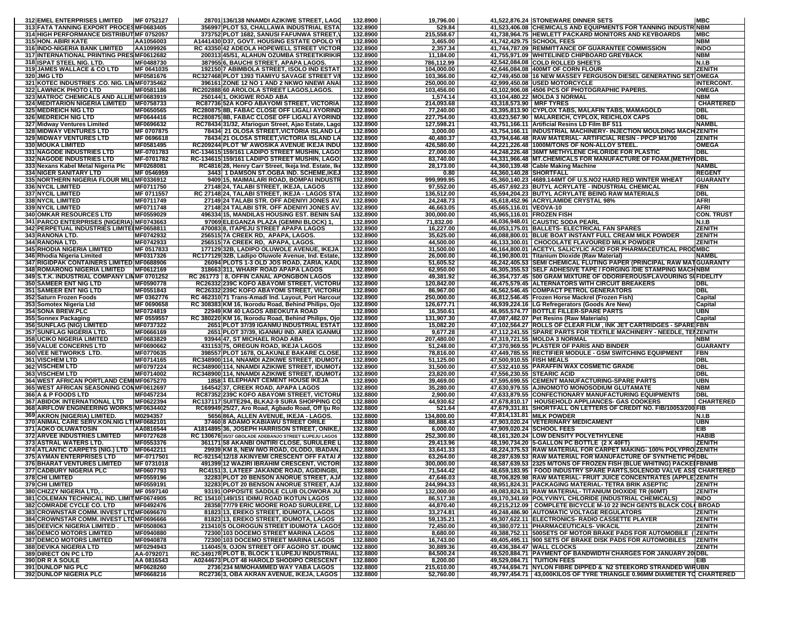| 312 EMEL ENTERPRISES LIMITED                | MF 0752127 | 28701 136/138 NNAMDI AZIKIWE STREET, LAGO             | 132.8900             | 19,796.00  | 41,522,876.24 STONEWARE DINNER SETS                                       | <b>MBC</b>        |
|---------------------------------------------|------------|-------------------------------------------------------|----------------------|------------|---------------------------------------------------------------------------|-------------------|
| 313 FATA TANNING EXPORT PROCESMF0683405     |            | 356997 PLOT 53, CHALLAWA INDUSTRIAL ESTA              | 132.8900             | 529.84     | 41,523,406.08 CHEMICALS AND EQUIPMENTS FOR TANNING INDUST                 | <b>NBM</b>        |
| 314 HIGH PERFORMANCE DISTRIBUT MF 0752057   |            | 373752 PLOT 1682, SANUSI FAFUNWA STREET,              | 132.8900             | 215,558.67 | 41,738,964.75 HEWLETT PACKARD MONITORS AND KEYBOARDS                      | <b>MBC</b>        |
| <b>315 HON. ABIRI KATE</b>                  | AA1056003  | A1441430 D37, GOVT. HOUSING ESTATE OPOLO Y            | 132.8900             | 3,465.00   | 41,742,429.75 SCHOOL FEES                                                 | <b>NBM</b>        |
| 316 INDO-NIGERIA BANK LIMITED               | AA1099926  | RC 43350 42 ADEOLA HOPEWELL STREET VICTOR             | 132.8900             | 2,357.34   | 41,744,787.09 REMMITTANCE OF GUARANTEE COMMISSION                         | <b>INDO</b>       |
| 317 INTERNATIONAL PRINTING PRESIMF0612682   |            | 200313 45/51, ALAHUN OZUMBA STREETKIRIKIR             | 132.8900             | 11,184.00  | 41,755,971.09 WHITELINED CHIPBOARD GREYBACK                               | NBM               |
|                                             |            |                                                       |                      |            | 42,542,084.08 COLD ROLLED SHEETS                                          |                   |
| 318 ISPAT STEEL NIG. LTD.                   | MF0488730  | 387955 6, BAUCHI STREET, APAPA LAGOS                  | 132.8900<br>132.8900 | 786,112.99 |                                                                           | <b>N.I.B</b>      |
| 319 JAMES WALLACE & CO LTD                  | MF 0641035 | 192150 7 ABIMBOLA STREET, ISOLO IND ESTAT             |                      | 104,000.00 | 42,646,084.08 400MT OF CORN FLOUR                                         | <b>ZENITH</b>     |
| 320 JMG LTD                                 | MF0581676  | RC327468 PLOT 1393 TIAMIYU SAVAGE STREET V/           | 132.8900             | 103,366.00 | 42,749,450.08 16 NEW MASSEY FERGUSON DIESEL GENERATING SET                | <b>OMEGA</b>      |
| 321 KOTEC INDUSTRIES .CO. NIG. LIMMF0735462 |            | 396161 ZONE 12 NO 1 AND 2 NKWO NNEWI ANA              | 132.8900             | 250,000.00 | 42,999,450.08   USED MOTORCYCLE                                           | <b>INTERCONT.</b> |
| <b>322 LAWNICK PHOTO LTD</b>                | MF0581186  | RC202888 60 AROLOLA STREET LAGOS,LAGOS.               | 132.8900             | 103,456.00 | 43,102,906.08 4506 PCS OF PHOTOGRAPHIC PAPERS.                            | <b>OMEGA</b>      |
| 323 MATROC CHEMICALS AND ALLIE MF0683919    |            | 250144 1, OKIGWE ROAD ABA                             | 132.8900             | 1,574.14   | 43,104,480.22 MOLDA 3 NORMAL                                              | <b>NBM</b>        |
| 324 MEDITARION NIGERIA LIMITED MF0758733    |            | RC87736 52A KOFO ABAYOMI STREET, VICTORIA             | 132.8900             | 214,093.68 | 43,318,573.90 MRF TYRES                                                   | <b>CHARTERED</b>  |
| <b>325 MEDREICH NIG LTD</b>                 | MF0650565  | RC280875 8B, FABAC CLOSE OFF LIGALI AYORIND           | 132.8900             | 77,240.00  | 43,395,813.90 CYPLOX TABS, MALAFIN TABS, MAMAGOLD                         | DBL               |
| <b>326 MEDREICH NIG LTD</b>                 | MF0644416  | RC280875 8B, FABAC CLOSE OFF LIGALI AYORIND           | 132.8900             | 227.754.00 | 43,623,567.90   MALAREICH, CYPLOX, REICHLOX CAPS                          | DBL               |
| 327 Midway Ventures Limited                 | MF0696632  | RC78434 31/32, Afariogun Street, Ajao Estate, Lago    | 132.8900             | 127,598.21 | 43,751,166.11 Artificial Resins LD Film BF 511                            | NAMBI             |
| <b>328 MIDWAY VENTURES LTD</b>              | MF 0707875 | 78434 21 OLOSA STREET, VICTORIA ISLAND LA             | 132.8900             | 3,000.00   | 43,754,166.11 INDUSTRIAL MACHINERY- INJECTION MOULDING MACHIZENITH        |                   |
| 329 MIDWAY VENTURES LTD                     | MF 0696618 | 78434 21 OLOSA STREET, VICTORIA ISLAND LA             | 132.8900             | 40,480.37  | 43,794,646.48 RAW MATERIAL- ARTIFICIAL RESIN - PPCP M1700                 | <b>ZENITH</b>     |
| <b>330 MOUKA LIMITED</b>                    | MF0581495  | RC209244 PLOT 'M' AWOSIKA AVENUE IKEJA INDU           | 132.8900             | 426,580.00 | 44,221,226.48  1000M/TONS OF NON-ALLOY STEEL                              | <b>OMEGA</b>      |
| <b>331 NAGODE INDUSTRIES LTD</b>            | MF-0701783 | RC-134615 159/161 LADIPO STREET MUSHIN, LAGO          | 132.8900             | 27,000.00  | 44,248,226.48 36MT METHYLENE CHLORIDE FOR PLASTIC                         | <b>DBL</b>        |
| 332 NAGODE INDUSTRIES LTD                   | MF-0701782 | RC-134615 159/161 LADIPO STREET MUSHIN, LAGO          | 132.8900             | 83,740.00  | 44,331,966.48  MT.CHEMICALS FOR MANUFACTURE OF FOAM.(METHYIDBL            |                   |
| 333 Nexans Kabel Metal Nigeria Plc          | MF0268081  | RC4816 28, Henry Carr Street, Ikeja Ind. Estate, Ike  | 132.8900             | 28,173.00  | 44,360,139.48 Cable Making Machine                                        | <b>NAMBL</b>      |
| <b>334 NIGER SANITARY LTD</b>               | MF 0546959 | 3443 1 DAMSON ST.OGBA IND. SCHEME, IKE.               | 132.8900             | 0.80       | 44,360,140.28 SHORTFALL                                                   | <b>REGENT</b>     |
| 335 NORTHERN NIGERIA FLOUR MILLIMF0336912   |            | 9409 15, MAIMALARI ROAD, BOMPAI INDUSTR               | 132.8900             | 999,999.95 | 45,360,140.23 4689.144MT OF U.S.NO2 HARD RED WINTER WHEAT                 | <b>GUARANTY</b>   |
| 336 NYCIL LIMITED                           | MF0711750  | 27148 24, TALABI STREET, IKEJA, LAGOS                 | 132.8900             | 97,552.00  | 45,457,692.23 BUTYL ACRYLATE - INDUSTRIAL CHEMICAL                        | <b>FBN</b>        |
| 337 NYCIL LIMITED                           | MF 0711557 | RC 27148 24, TALABI STREET, IKEJA - LAGOS STA         | 132.8900             | 136,512.00 | 45,594,204.23 BUTYL ACRYLATE BEING RAW MATERIALS                          | <b>DBL</b>        |
| <b>338 NYCIL LIMITED</b>                    | MF0711749  | 27149 24 TALABI STR. OFF ADENIYI JONES AV.            | 132.8900             | 24,248.73  | 45,618,452.96 ACRYLAMIDE CRYSTAL 98%                                      | <b>AFRI</b>       |
| 339 NYCIL LIMITED                           | MF0711748  | 27148 24 TALABI STR. OFF ADENIYI JONES AV             | 132.8900             | 46,663.05  | 45,665,116.01 VEOVA-10                                                    | <b>AFRI</b>       |
| <b>340 OMKAR RESOURCES LTD</b>              | MF0559029  | 496334 15, MANDILAS HOUSING EST. BENIN SAI            | 132.8900             | 300,000.00 | 45,965,116.01 FROZEN FISH                                                 | <b>CON. TRUST</b> |
| 341 PARCO ENTERPRISES (NIGERIA) MF0743663   |            | 97069 ELEGANZA PLAZA (GEMINI BLOCK) 1                 | 132.8900             | 71,832.00  | 46,036,948.01 CAUSTIC SODA PEARL                                          | N.I.B             |
| 342 PERPETUAL INDUSTRIES LIMITEIMF0658811   |            | 470083 8, ITAPEJU STREET APAPA LAGOS                  | 132.8900             | 16,227.00  | 46,053,175.01 BALLETS- ELECTRICAL FAN SPARES                              | <b>ZENITH</b>     |
| 343 RANONA LTD.                             | MF0742932  | 256515 7A CREEK RD, APAPA, LAGOS.                     | 132.8900             | 35,625.00  | 46,088,800.01 BLUE BOAT INSTANT FULL CREAM MILK POWDER                    | <b>ZENITH</b>     |
|                                             |            |                                                       |                      |            |                                                                           |                   |
| 344 RANONA LTD.                             | MF0742933  | 256515 7A CREEK RD, APAPA, LAGOS.                     | 132.8900             | 44,500.00  | 46.133.300.01 CHOCOLATE FLAVOURED MILK POWDER                             | <b>ZENITH</b>     |
| 345 RHODIA NIGERIA LIMITED                  | MF 0517833 | 177129 32B, LADIPO OLUWOLE AVENUE, IKEJA              | 132.8900             | 31,500.00  | 46,164,800.01 ACETYL SALICYLIC ACID FOR PHARMACEUTICAL PRODMBC            |                   |
| 346 Rhodia Nigeria Limited                  | MF0317326  | RC177129 32B, Ladipo Oluwole Avenue, Ind. Estate,     | 132.8900             | 26,000.00  | 46,190,800.01 Titanium Dioxide (Raw Material)                             | NAMBL             |
| 347 RIGIDPAK CONTAINERS LIMITED MF0688906   |            | 26094 PLOTS 1-3 OLD JOS ROAD, ZARIA, KADI             | 132.8900             | 51,605.52  | 46,242,405.53 SEMI CHEMICAL FLUTING PAPER (PRINCIPAL RAW MATGUARANTY      |                   |
| <b>348 ROMARONG NIGERIA LIMITED</b>         | MF0612169  | 318663 311, WHARF ROAD APAPA LAGOS                    | 132.8900             | 62,950.00  | 46,305,355.53 SELF ADHESIVE TAPE / FORGING /DIE STAMPING MACHNBM          |                   |
| 349 S.T.K. INDUSTRIAL COMPANY LINMF 0701252 |            | RC 261773   8, OFFIN CANAL APONGBON LAGOS             | 132.8900             | 49,381.92  | 46,354,737.45 500 GRAM MIXTURE OF ODORIFEROUS/FLAVOURING SUFIDELITY       |                   |
| 350 SAMEER ENT NIG LTD                      | MF0590778  | RC26332 239C KOFO ABAYOMI STREET, VICTOR              | 132.8900             | 120,842.00 | 46,475,579.45 ALTERNATORS WITH CIRCUIT BREAKERS                           | <b>DBL</b>        |
| <b>351 SAMEER ENT NIG LTD</b>               | MF0551843  | RC26332 239C KOFO ABAYOMI STREET, VICTORIA            | 132.8900             | 86,967.00  | 46,562,546.45 COMPACT PETROL GENERATORS                                   | DBL               |
| 352 Saturn Frozen Foods                     | MF 0362776 | RC 462310 71 Trans-Amadi Ind. Layout, Port Harcour    | 132.8900             | 250,000.00 | 46,812,546.45 Frozen Horse Mackrel (Frozen Fish)                          | Capital           |
| 353 Somotex Nigeria Ltd                     | MF 0690658 | RC 308383 KM 16, Ikorodu Road, Behind Philips, Ojo    | 132.8900             | 126.677.71 | 46,939,224.16 LG Refregerators (Goods Are New)                            | Capital           |
| 354 SONA BREW.PLC                           | MF0724819  | 22949 KM 40 LAGOS ABEOKUTA ROAD                       | 132.8900             | 16,350.61  | 46,955,574.77 BOTTLE FILLER-SPARE PARTS                                   | UBN               |
| 355 Sonnex Packaging                        | MF 0559557 | RC 380220 KM 16, Ikorodu Road, Behind Philips, Ojo    | 132.8900             | 131,907.30 | 47,087,482.07 Pet Resins (Raw Materials)                                  | Capita            |
| 356 SUNFLAG (NIG) LIMITED                   | MF0737322  | 2651 PLOT 37/39 IGANMU INDUSTRIAL ESTAT               | 132.8900             | 15,082.20  | 47,102,564.27   ROLLS OF CLEAR FILM, INK JET CARTRIDGES - SPARE FBN       |                   |
| 357 SUNFLAG NIGERIA LTD.                    | MF0666169  | 2651 PLOT 37/39, IGANMU IND. AREA IGANMU              | 132.8900             | 9,677.28   | 47,112,241.55 SPARE PARTS FOR TEXTILE MACHINERY - NEEDLE, TENZENITH       |                   |
| <b>358 UCIKO NIGERIA LIMITED</b>            | MF0683829  | 93944 47, ST MICHAEL ROAD ABA                         | 132.8900             | 207,480.00 | 47,319,721.55 MOLDA 3 NORMAL                                              | <b>NBM</b>        |
| <b>359 VALUE CONCERNS LTD</b>               | MF0690662  | 431153 75, OREGUN ROAD, IKEJA LAGOS                   | 132.8900             | 51,248.00  | 47,370,969.55 PLASTER OF PARIS AND BINDER                                 | <b>GUARANTY</b>   |
| 360 VEE NETWORKS LTD.                       | MF0770635  | 398557 PLOT 1678, OLAKUNLE BAKARE CLOSE,              | 132.8900             | 78,816.00  | 47,449,785.55 RECTIFIER MODULE - GSM SWITCHING EQUIPMENT                  | FBN               |
| <b>361 VISCHEM LTD</b>                      | MF0714165  | RC348900 114, NNAMDI AZIKIWE STREET, IDUMOT           | 132.8900             | 51,125.00  | 47,500,910.55 FISH MEALS                                                  | <b>DBL</b>        |
| 362 VISCHEM LTD                             | MF0797224  | RC348900 114, NNAMDI AZIKIWE STREET, IDUMOT           | 132.8900             | 31,500.00  | 47,532,410.55 PARAFFIN WAX COSMETIC GRADE                                 | <b>DBL</b>        |
| <b>363 VISCHEM LTD</b>                      | MF0714002  | RC348900 114, NNAMDI AZIKIWE STREET, IDUMOT           | 132.8900             | 23,820.00  | 47,556,230.55 STEARIC ACID                                                | <b>DBL</b>        |
| 364 WEST AFRICAN PORTLAND CEMIMF0675270     |            | <b>1858 1 ELEPHANT CEMENT HOUSE IKEJA</b>             | 132.8900             | 39,469.00  | 47,595,699.55 CEMENT MANUFACTURING-SPARE PARTS                            | <b>UBN</b>        |
| 365 WEST AFRICAN SEASONING CONMF0612697     |            | 164542 37, CREEK ROAD, APAPA LAGOS                    | 132.8900             | 35,280.00  | 47,630,979.55 AJINOMOTO MONOSODIUM GLUTAMATE                              | <b>NBM</b>        |
| 366 A & P FOODS LTD                         | MF0457234  | RC87352 239C KOFO ABAYOMI STREET, VICTORI             | 132.8800             | 2,900.00   | 47,633,879.55 CONFECTIONARY MANUFACTURING EQUIPMENTS                      | <b>DBL</b>        |
|                                             |            |                                                       |                      |            |                                                                           | <b>CHARTERED</b>  |
| <b>367 ABIDOK INTERNATIONAL LTD</b>         | MF0622394  | RC137117 SUITE294, BLKA2-9 SURA SHOPPING CO           | 132.8800             | 44,930.62  | 47,678,810.17   HOUSEHOLD APPLIANCES- GAS COOKERS                         |                   |
| 368 AIRFLOW ENGINEERING WORKS MF0634402     |            | RC69949 25/27, Aro Road, Agbado Road, Off Iju Ro      | 132.8800             | 521.64     | 47,679,331.81 SHORTFALL ON LETTERS OF CREDIT NO. FIB/10053/200 FIB        |                   |
| 369 AKRON (NIGERIA) LIMITED.                | M0294357   | 5656 86A, ALLEN AVENUE, IKEJA - LAGOS                 | 132.8800             | 134,800.00 | 47,814,131.81 MILK POWDER                                                 | <b>N.I.B</b>      |
| 370 ANIMAL CARE SERV.KON.NIG LTIMF0682101   |            | 37460 8 ADAMO KABIAWU STREET ORILE                    | 132.8800             | 88,888.43  | 47,903,020.24 VETERINARY MEDICAMENT                                       | <b>UBN</b>        |
| 371 AOKO OLUWATOSIN                         | AA0816544  | A1814895 36, JOSEPH HARRISON STREET, ONIKE            | 132.8800             | 6,000.00   | 47,909,020.24 SCHOOL FEES                                                 | <b>EIB</b>        |
| <b>372 ARVEE INDUSTRIES LIMITED</b>         | MF0727628  | RC 130676 35/37 GBOLADE ADEBANJO STREET ILUPEJU LAGOS | 132.8800             | 252,300.00 | 48,161,320.24 LOW DENSITY POLYETHYLENE                                    | <b>HABIB</b>      |
| 373 ASTRAL WATERS LTD.                      | MF0553376  | 361171 58 AKANBI ONITIRI CLOSE, SURULERE              | 132.8800             | 29,413.96  | 48,190,734.20 5-GALLON PC BOTTLE (2 X 40FT)                               | <b>ZENITH</b>     |
| 374 ATLANTIC CARPETS (NIG.) LTD MF0642211   |            | 29939 KM 8, NEW IWO ROAD, OLODO, IBADAN.              | 132.8800             | 33,641.33  | 48,224,375.53 RAW MATERIAL FOR CARPET MAKING- 100% POLYPRO ZENITH         |                   |
| 375 AYMAN ENTERPRISES LTD                   | MF-0717501 | RC-92154 12/18 AKINYEMI CRESCENT OFF FATAI A          | 132.8800             | 63,264.00  | 48,287,639.53  RAW MATERIAL FOR MANUFACTURE OF SYNTHETIC PRDBL            |                   |
| <b>376 BHARAT VENTURES LIMITED</b>          | MF 0731018 | 491399 12 WAZIRI IBRAHIM CRESCENT, VICTOR             | 132.8800             | 300,000.00 | 48,587,639.53 2325 M/TONS OF FROZEN FISH (BLUE WHITING) PACKEIFBNMB       |                   |
| 377 CADBURY NIGERIA PLC                     | MF0607793  | RC4151 3, LATEEF JAKANDE ROAD, AGIDINGBI,             | 132.8800             | 71,544.42  | 48,659,183.95   FOOD INDUSTRY SPARE PARTS, SOLENOID VALVE ASS CHARTERED   |                   |
| 378 CHI LIMITED                             | MF0559196  | 32283 PLOT 20 BENSON ANORUE STREET, AJA               | 132.8800             | 47,646.03  | 48,706,829.98 RAW MATERIAL- FRUIT JUICE CONCENTRATES (APPLE)ZENITH        |                   |
| 379 CHI LIMITED                             | MF0559191  | 32283 PLOT 20 BENSON ANORUE STREET, AJA               | 132.8800             | 244,994.33 | 48,951,824.31 PACKAGING MATERIAL- TETRA BRIK ASEPTIC                      | <b>ZENITH</b>     |
| <b>380 CHIZZY NIGERIA LTD.</b>              | MF 0597140 | 93191 OPPOSITE SADDLE CLUB OLOWORA JU                 | 132.8800             | 132,000.00 | 49.083.824.31 IRAW MATERIAL-TITANIUM DIOXIDE TR (60MT)                    | <b>ZENITH</b>     |
| 381 COLEMAN TECHNICAL IND. LIMITMF0674905   |            | RC 15410 149/151 IDIMU ROAD IKOTUN LAGOS              | 132.8800             | 86,517.38  | 49,170,341.69 POLYVINYL CHLORIDE (INDUSTRIAL CHEMICALS)                   | <b>INDO</b>       |
| 382 COMRADE CYCLE CO. LTD                   | MF0492476  | 28358177/79 ERIC MOORE ROAD SURULERE. LA              | 132.8800             | 44,870.40  | 49,215,212.09 COMPLETE BICYCLE M-10 22 INCH GENTS BLACK COLI BROAD        |                   |
| 383 CROWNSTAR COMM. INVEST LTDMF0696670     |            | 81823 13, EREKO STREET, IDUMOTA, LAGOS                | 132.8800             | 33,274.81  | 49,248,486.90 AUTOMATIC VOLTAGE REGULATORS                                | <b>ZENITH</b>     |
| 384 CROWNSTAR COMM. INVEST LTDMF0696666     |            | 81823 13, EREKO STREET, IDUMOTA, LAGOS                | 132.8800             | 59,135.21  | 49,307,622.11 ELECTRONICS- RADIO CASSETTE PLAYER                          | <b>ZENITH</b>     |
| 385 DEEVICK NIGERIA LIMITED.                | MF0508063  | 213410 5 OLOROGUN STREET IDUMOTA LAGOS                | 132.8800             | 72.450.00  | 49,380,072.11 PHARMACEUTICALS- VIKACIL                                    | <b>ZENITH</b>     |
| <b>386 DEMCO MOTORS LIMITED</b>             | MF0940880  | 72300 103 DOCEMO STREET MARINA LAGOS                  | 132.8800             | 8,680.00   | 49,388,752.11 500SETS OF MOTOR BRAKE PADS FOR AUTOMOBILE ( ZENITH         |                   |
| <b>387 DEMCO MOTORS LIMITED</b>             | MF0940878  | 72300 103 DOCEMO STREET MARINA LAGOS                  | 132.8800             | 16,743.00  | 49,405,495.11 900 SETS OF BRAKE DISK PADS FOR AUTOMOBILES                 | <b>ZENITH</b>     |
| <b>388 DEVIKA NIGERIA LTD</b>               | MF0294943  | 114045 9, OJON STREET OFF AGORO ST. IDUMO             | 132.8800             | 30,889.36  | 49,436,384.47 WALL CLOCKS                                                 | <b>ZENITH</b>     |
| 389 DIRECT ON PC LTD                        | AA-0792071 | RC-349178 PLOT B, BLOCK 1 ILUPEJU INDUSTRIAL          | 132.8800             | 84.500.24  | 49,520,884.71 PAYMENT OF BANDWIDTH CHARGES FOR JANUARY 20 (DBL            |                   |
| 390 DR R A SOULE                            | AA 0816543 | A0244673 PLOT 48 HAROLD SHODIPO CRESCENT              | 132.8800             | 8,200.00   | 49,529,084.71   TUITION FEES                                              | EIB               |
| 391 DUNLOP NIG PLC                          | MF0628260  | 2736 234 M/MOHAMMED WAY YABA LAGOS                    | 132.8800             | 215,610.00 | 49,744,694.71 NYLON FIBRE DIPPED & N2 STEEKORD STRANDED WIRUBN            |                   |
| <b>392 DUNLOP NIGERIA PLC</b>               | MF0668216  | RC2736 3, OBA AKRAN AVENUE, IKEJA, LAGOS              | 132.8800             | 52,760.00  | 49,797,454.71   43,000KILOS OF TYRE TRIANGLE 0.96MM DIAMETER TO CHARTERED |                   |
|                                             |            |                                                       |                      |            |                                                                           |                   |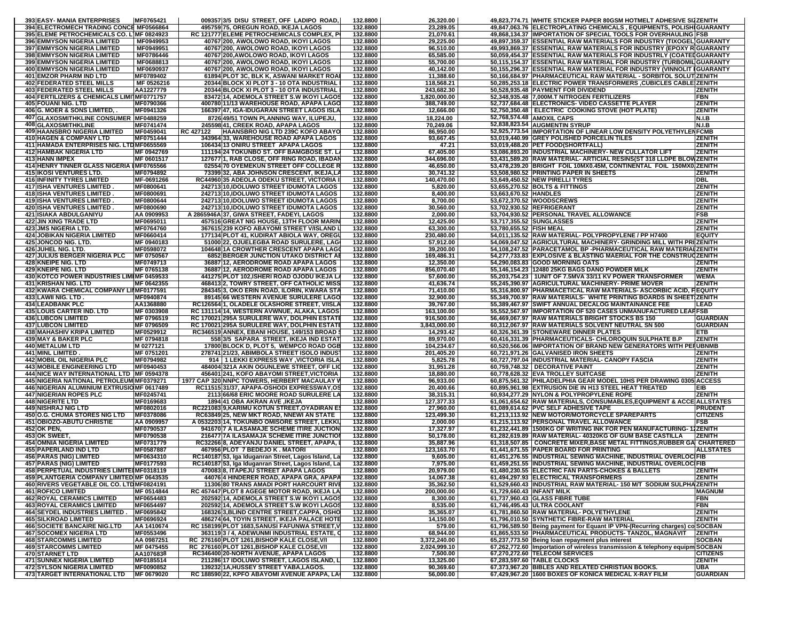|            | 393 EASY- MANIA ENTERPRISES                                                      | MF0765421               |           | 009357 3/5 DISU STREET, OFF LADIPO ROAD,                                                     | 132.8800             | 26,320.00                |                           | 49,823,774.71 WHITE STICKER PAPER 80GSM HOTMELT ADHESIVE SIZZENITH                                                                          |                             |
|------------|----------------------------------------------------------------------------------|-------------------------|-----------|----------------------------------------------------------------------------------------------|----------------------|--------------------------|---------------------------|---------------------------------------------------------------------------------------------------------------------------------------------|-----------------------------|
|            | 394 ELECTROMECH TRADING CONCE MF0566864                                          |                         |           | 495759 75, OREGUN ROAD, IKEJA LAGOS                                                          | 132.8800             | 23,289.05                |                           | 49,847,063.76 ELECTROPLATING CHEMICALS , EQUIPMENTS, POLISHIGUARANTY                                                                        |                             |
| 395<br>396 | ELEME PETROCHEMICALS CO. L]MF 0824923<br><b>EMMYSON NIGERIA LIMITED</b>          | MF0949953               |           | RC 121777 ELEME PETROCHEMICALS COMPLEX, F<br>40767 200, AWOLOWO ROAD, IKOYI LAGOS            | 132.8800<br>132.8800 | 21,070.61<br>29,225.00   |                           | 49,868,134.37 IMPORTATION OF SPECIAL TOOLS FOR OVERHAULING FSB<br>49,897,359.37 ESSENTIAL RAW MATERIALS FOR INDUSTRY (TIXOGEL) GUARANTY     |                             |
| 397        | <b>EMMYSON NIGERIA LIMITED</b>                                                   | MF0949951               |           | 40767 200, AWOLOWO ROAD, IKOYI LAGOS                                                         | 132.8800             | 96,510.00                |                           | 49,993,869.37 ESSENTIAL RAW MATERIALS FOR INDUSTRY (EPOXY RIGUARANT)                                                                        |                             |
|            | <b>398 EMMYSON NIGERIA LIMITED</b>                                               | MF0786446               |           | 40767 200, AWOLOWO ROAD, IKOYI LAGOS                                                         | 132.8800             | 65,585.00                |                           | 50,059,454.37 ESSENTIAL RAW MATERIALS FOR INDUSTRLY (COATEDGUARANT)                                                                         |                             |
|            | <b>399 EMMYSON NIGERIA LIMITED</b>                                               | MF0688813               |           | 40767 200, AWOLOWO ROAD, IKOYI LAGOS                                                         | 132.8800             | 55,700.00                |                           | 50,115,154.37 ESSENTIAL RAW MATERIAL FOR INDUSTRY (TURBOMIL GUARANTY                                                                        |                             |
|            | <b>400 EMMYSON NIGERIA LIMITED</b>                                               | MF0690937               |           | 40767 200, AWOLOWO ROAD, IKOYI LAGOS                                                         | 132.8800             | 40,142.00                |                           | 50,155,296.37 ESSENTIAL RAW MATERIAL FOR INDUSTRY (VINNOLIT IGUARANTY                                                                       |                             |
| 401        | <b>EMZOR PHARM IND LTD</b>                                                       | MF0789402               |           | 61894 PLOT 3C. BLK K. ASWANI MARKET ROA                                                      | 132.8800             | 11,388.60                |                           | 50.166.684.97 PHARMACEUTICAL RAW MATERIAL - SORBITOL SOLUTIZENITH                                                                           |                             |
| 402<br>403 | <b>FEDERATED STEEL MILLS</b><br><b>FEDERATED STEEL MILLS</b>                     | MF 0526216<br>AA1227779 |           | 20344 BLOCK XI PLOT 3 - 10 OTA INDUSTRIAL<br>20344 BLOCK XI PLOT 3 - 10 OTA INDUSTRIAL       | 132.8800<br>132.8800 | 118,568.21<br>243,682.30 |                           | 50,285,253.18   ELECTRIC POWER TRANSFORMERS , CUBICLES CABLE (ZENITH<br>50,528,935.48  PAYMENT FOR DIVIDEND                                 | <b>ZENITH</b>               |
| 404        | <b>ERTILIZERS &amp; CHEMICALS LIMI1MF0771757</b>                                 |                         |           | 83472 14, ADEMOLA STREET S.W IKOYI LAGO                                                      | 132.8800             | 1,820,000.00             |                           | 52,348,935.48 7,000M.T NITROGEN FERTILIZERS                                                                                                 | FBN                         |
|            | <b>405 FOUANI NIG. LTD</b>                                                       | MF0790366               |           | 400780 11/13 WAREHOUSE ROAD, APAPA LAGO                                                      | 132.8800             | 388,749.00               |                           | 52,737,684.48 ELECTRONICS- VIDEO CASSETTE PLAYER                                                                                            | ZENITH                      |
|            | 406 G. MOER & SONS LIMITED, .                                                    | MF0941326               |           | 166397 47, IGA-IDUGARAN STREET LAGOS ISLA                                                    | 132.8800             | 12,666.00                |                           | 52,750,350.48 ELECTRIC COOKING STOVE (HOT PLATE)                                                                                            | <b>ZENITH</b>               |
|            | 407 GLAXOSMITHKLINE CONSUMER MF0488259                                           |                         |           | 8726 49/51 TOWN PLANNING WAY, ILUPEJU,                                                       | 132.8800             | 18,224.00                |                           | 52,768,574.48 AMOXIL CAPS                                                                                                                   | N.I.B                       |
|            | 408 GLAXOSMITHKLINE<br><b>409 HAANSBRO NIGERIA LIMITED</b>                       | MF0741474               |           | 245598 41, CREEK ROAD, APAPA LAGOS                                                           | 132.8800             | 70,249.06                |                           | 52,838,823.54 AUGMENTIN SYRUP                                                                                                               | N.I.B                       |
|            | <b>410 HAGEN &amp; COMPANY LTD</b>                                               | MF0459041<br>MF0751444  | RC 427122 | HAANSBRO NIG LTD 239C KOFO ABAY<br>343964 33, WAREHOUSE ROAD APAPA LAGOS                     | 132.8800<br>132.8800 | 86,950.00<br>93,667.45   |                           | 52,925,773.54  IMPORTATION OF LINEAR LOW DENSITY POLYETHYLENFCMB<br>53,019,440.99 GREY POLISHED PORCELIN TILES                              | ZENITH                      |
|            | 411 HAMADA ENTERPRISES NIG. LTDMF0655569                                         |                         |           | 106434 13 ONIRU STREET APAPA LAGOS                                                           | 132.8800             | 47.21                    |                           | 53,019,488.20 PET FOOD(SHORTFALL)                                                                                                           | ZENITH                      |
|            | 412 HAMBAK NIGERIA LTD                                                           | MF 0942769              |           | 111194 24 TOKUNBO ST. OFF BAMGBOSE ST.                                                       | 132.8800             | 67,405.00                |                           | 53,086,893.20  INDUSTRIAL MACHINERY- NEW CULLATOR LIFT                                                                                      | <b>ZENITH</b>               |
|            | <b>413 HANN IMPEX</b>                                                            | MF 0601517              |           | 127677 1, RAB CLOSE, OFF RING ROAD, IBADA                                                    | 132.8800             | 344.696.00               |                           | 53,431,589.20 RAW MATERIAL- ARTICIAL RESINS(ST 318 LLDPE BLOWZENITH                                                                         |                             |
|            | 414 HENRY TINNER GLASS NIGERIA IMF0765566                                        |                         |           | 02554 70 OYEMEKUN STREET OFF COLLEGE R                                                       | 132.8800             | 46,650.00                |                           | 53,478,239.20 BRIGHT FOIL 10MX0.45M, CONTINENTAL FOIL 150MX0.ZENITH                                                                         |                             |
|            | <b>415 IKOSI VENTURES LTD.</b><br><b>416 INFINITY TYRES LIMITED</b>              | MF0794892<br>MF-0691266 |           | 73399 32, ABA JOHNSON CRESCENT, IKEJA,L/<br>RC44960 35 ADEOLA ODEKU STREET, VICTORIA         | 132.8800<br>132.8800 | 30,741.32<br>140,470.00  |                           | 53,508,980.52 PRINTING PAPER IN SHEETS<br>53,649,450.52 NEW PIRELLI TYRES                                                                   | <b>ZENITH</b><br><b>DBL</b> |
|            | <b>417 ISHA VENTURES LIMITED</b>                                                 | MF0800641               |           | 242713 10, IDOLUWO STREET IDUMOTA LAGOS                                                      | 132.8800             | 5,820.00                 |                           | 53,655,270.52 BOLTS & FITTINGS                                                                                                              | <b>ZENITH</b>               |
|            | <b>418 ISHA VENTURES LIMITED</b>                                                 | MF0800691               |           | 242713 10, IDOLUWO STREET IDUMOTA LAGOS                                                      | 132.8800             | 8,400.00                 | 53,663,670.52 HANDLES     |                                                                                                                                             | <b>ZENITH</b>               |
|            | <b>419 ISHA VENTURES LIMITED</b>                                                 | MF0800644               |           | 242713 10, IDOLUWO STREET IDUMOTA LAGOS                                                      | 132.8800             | 8,700.00                 |                           | 53,672,370.52 WOODSCREWS                                                                                                                    | <b>ZENITH</b>               |
|            | <b>420 ISHA VENTURES LIMITED</b>                                                 | MF0800690               |           | 242713 10, IDOLUWO STREET IDUMOTA LAGOS                                                      | 132.8800             | 30,560.00                |                           | 53,702,930.52 REFRIGERANT                                                                                                                   | <b>ZENITH</b>               |
|            | <b>421 ISIAKA ABDULGANIYU</b><br>422 JIN XING TRADE LTD                          | AA 0909953<br>MF0695011 |           | A 2865946A 37, GIWA STREET, FADEYI, LAGOS<br>457516 GREAT NIG HOUSE, 13TH FLOOR MARIN        | 132.8800<br>132.8800 | 2,000.00<br>12,425.00    | 53,717,355.52 SUNGLASSES  | 53,704,930.52 PERSONAL TRAVEL ALLOWANCE                                                                                                     | <b>FSB</b><br>ZENITH        |
|            | 423 JMS NIGERIA LTD.                                                             | MF0764760               |           | 367615 239 KOFO ABAYOMI STREET V/ISLAND                                                      | 132.8800             | 63,300.00                | 53,780,655.52 FISH MEAL   |                                                                                                                                             | <b>ZENITH</b>               |
|            | <b>424 JOBIKAN NIGERIA LIMITED</b>                                               | MF0660414               |           | 177134 PLOT 41, KUDIRAT ABIOLA WAY, OREG                                                     | 132.8800             | 230,480.00               |                           | 54,011,135.52 RAW MATERIAL- POLYPROPYLENE / PP H7400                                                                                        | <b>EQUITY</b>               |
|            | 425 JONCOD NIG. LTD.                                                             | MF 0940183              |           | 51000 22, OJUELEGBA ROAD SURULERE, LAG                                                       | 132.8800             | 57,912.00                |                           | 54,069,047.52 AGRICULTURAL MACHINERY- GRINDING MILL WITH PRIZENITH                                                                          |                             |
|            | 426 JUHEL NIG. LTD.                                                              | MF0598072               |           | 104648 1A CROWTHER CRESCENT APAPA LAG                                                        | 132.8800             | 39,200.00                |                           | 54,108,247.52 PARACETAMOL BP -PHARMACEUTICAL RAW MATERIALZENITH                                                                             |                             |
|            | <b>427 JULIUS BERGER NIGERIA PLC</b><br>428 KNEIPE NIG. LTD                      | MF 0750567<br>MF0749713 |           | <b>6852 BERGER JUNCTION UTAKO DISTRICT A</b><br>36887112, AERODROME ROAD APAPA LAGOS         | 132.8800<br>132.8800 | 169,486.31<br>12,350.00  |                           | 54,277,733.83 EXPLOSIVE & BLASTING MAERIAL FOR THE CONSTRUCTENTH<br>54,290,083.83 GOOD MORNING OATS                                         | <b>ZENITH</b>               |
|            | 429 KNEIPE NIG. LTD                                                              | MF 0765138              |           | 36887 12, AERODROME ROAD APAPA LAGOS                                                         | 132.8800             | 856,070.40               |                           | 55,146,154.23 12480 25KG BAGS DANO POWDER MILK                                                                                              | ZENITH                      |
|            | 430 KOTCO POWER INDUSTRIES LIMIMF 0459533                                        |                         |           | 441275 PLOT 102, ISHERI ROAD OJODU IKEJA L                                                   | 132.8800             | 57,600.00                |                           | 55,203,754.23   1UNIT OF 7.5MVA 33/11 KV POWER TRANSFORMER                                                                                  | <b>WEMA</b>                 |
|            | <b>431 KRISHAN NIG. LTD</b>                                                      | MF 0642355              |           | 468413 2, TOWRY STREET, OFF CATHOLIC MISS                                                    | 132.8800             | 41,636.74                |                           | 55,245,390.97 AGRICULTURAL MACHINERY- PRIME MOVER                                                                                           | ZENITH                      |
|            | 432 KWARA CHEMICAL COMPANY LIIMF0177591<br>433 LAWII NIG. LTD                    | MF0940874               |           | 284345 3, OKO ERIN ROAD, ILORIN, KWARA STA<br>89145 66 WESTERN AVENUE SURULERE LAGO          | 132.8800<br>132.8800 | 71.410.00<br>32,900.00   |                           | 55,316,800.97   PHARMACETICAL RAW MATERIALS- ASCORBIC ACID, FLEQUITY<br>55,349,700.97  RAW MATERIALS- WHITE PRINTING BOARDS IN SHEETIZENITH |                             |
|            | <b>434 LEADBANK PLC</b>                                                          | AA1368880               |           | RC126564 1, OLADELE OLASHORE STREET, V/ISL/                                                  | 132.8800             | 39,767.00                |                           | 55,389,467.97 SWIFT ANNUAL DECALOG MAINTAINANCE FEE                                                                                         | <b>LEAD</b>                 |
|            | <b>435 LOUIS CARTER IND. LTD</b>                                                 | MF 0303908              |           | RC 131114 14, WESTERN AVWNUE, ALAKA, LAGOS                                                   | 132.8800             | 163,100.00               |                           | 55,552,567.97 IMPORTATION OF 520 CASES UNMANUFACTURED LEAFFSB                                                                               |                             |
|            | <b>436 LUBCON LIMITED</b>                                                        | MF 0796519              |           | RC 170021 295A SURULERE WAY, DOLPHIN ESTAT                                                   | 132.8800             | 916,500.00               |                           | 56,469,067.97 RAW MATERIALS BRIGHT STOCKS BS 150                                                                                            | <b>GUARDIAN</b>             |
|            | <b>437 LUBCON LIMITED</b>                                                        | MF 0796509<br>MF0529912 |           | RC 170021 295A SURULERE WAY, DOLPHIN ESTAT                                                   | 132.8800<br>132.8800 | 3,843,000.00             |                           | 60,312,067.97 RAW MATERIALS SOLVENT NEUTRAL SN 500                                                                                          | <b>GUARDIAN</b>             |
|            | 438 MAHASHIV KRIPA LIMITED<br>439 MAY & BAKER PLC                                | MF 0794818              |           | RC346519 ANNEX, EBANI HOUSE, 149/153 BROAD<br>558 3/5 SAPARA STREET, IKEJA IND ESTAT         | 132.8800             | 14,293.42<br>89,970.00   |                           | 60,326,361.39 STONEWARE DINNER PLATES<br>60,416,331.39 PHARMACEUTICALS- CHLOROQUIN SULPHATE B.P                                             | ETB<br><b>ZENITH</b>        |
|            | <b>440 METALUM LTD</b>                                                           | M 0277121               |           | 17800 BLOCK D, PLOT 5, WEMPCO ROAD OGB                                                       | 132.8800             | 104,234.67               |                           | 60,520,566.06 IMPORTATION OF BRAND NEW GENERATORS WITH PE                                                                                   | <b>FUBNMB</b>               |
|            | <b>441 MINL LIMITED</b>                                                          | MF 0751201              |           | 278741 21/23, ABIMBOLA STREET ISOLO INDUS                                                    | 132.8800             | 201,405.20               |                           | 60,721,971.26 GALVANISED IRON SHEETS                                                                                                        | <b>ZENITH</b>               |
|            | <b>442 MOBIL OIL NIGERIA PLC</b>                                                 | MF0794982               |           | 914   1 LEKKI EXPRESS WAY , VICTORIA ISLA                                                    | 132.8800             | 5,825.78                 |                           | 60,727,797.04 INDUSTRIAL MATERIAL- CANOPY FASCIA                                                                                            | <b>ZENITH</b>               |
|            | <b>443 MOBILE ENGINEERING LTD</b><br>444 NICE WAY INTERNATIONAL LTD   MF 0594378 | MF0940453               |           | 484004 321A AKIN OGUNLEWE STREET, OFF LIO<br>456401 241, KOFO ABAYOMI STREET, VICTORIA       | 132.8800<br>132.8800 | 31,951.28<br>18,880.00   |                           | 60,759,748.32   DECORATIVE PAINT<br>60,778,628.32 EVA TROLLEY SUITCASE                                                                      | <b>ZENITH</b><br>ZENITH     |
|            | 445 NIGERIA NATIONAL PETROLEUM MF0379271                                         |                         |           | <sup>-</sup> 1977 CAP 320 NNPC TOWERS, HERBERT MACAULAY                                      | 132.8800             | 96,933.00                |                           | 60,875,561.32 PHILADELPHIA GEAR MODEL 10HS PER DRAWING 030                                                                                  | <b>ACCESS</b>               |
|            | 446 NIGERIAN ALUMINIUM EXTRUSIOMF 0617489                                        |                         |           | RC11515 31/37, APAPA-OSHODI EXPRESSWAY, O                                                    | 132.8800             | 20,400.66                |                           | 60,895,961.98 EXTRUSION DIE IN H13 STEEL HEAT TREATED                                                                                       | EIB                         |
|            | <b>447 NIGERIAN ROPES PLC</b>                                                    | MF0245741               |           | 2113 66/68 ERIC MOORE ROAD SURULERE LA                                                       | 132.8800             | 38,315.31                |                           | 60,934,277.29 NYLON & POLYPROPYLENE ROPE                                                                                                    | ZENITH                      |
|            | <b>448 NIGERITE LTD</b><br><b>449 NISHRAJ NIG LTD</b>                            | MF0169683<br>MF0802016  |           | 1894 41 OBA AKRAN AVE , IKEJA<br>RC221083 9, KARIMU KOTUN STREET, OYADIRAN ES                | 132.8800<br>132.8800 | 127,377.33<br>27,960.00  |                           | 61,061,654.62 RAW MATERIALS, CONSUMABLES, EQUIPMENT & ACCE ALLSTATES<br>61,089,614.62 PVC SELF ADHESIVE TAPE                                | <b>PRUDENT</b>              |
|            | 450 O.G. CHUMA STORES NIG LTD                                                    | MF0378086               |           | RC63849 25, NEW MKT ROAD, NNEWI AN STATE                                                     | 132.8800             | 123,499.30               |                           | 61,213,113.92 NEW MOTOR/MOTORCYCLE SPAREPARTS                                                                                               | <b>CITIZENS</b>             |
|            | <b>451 OBIOZO-ABUTU CHRISTIE</b>                                                 | AA 0909957              |           | A 0532203 14, TOKUNBO OMISORE STREET, LEKKI                                                  | 132.8800             | 2,000.00                 |                           | 61,215,113.92 PERSONAL TRAVEL ALLOWANCE                                                                                                     | FSB                         |
|            | <b>452 OK PEN,</b>                                                               | <b>MF0790537</b>        |           | 941670 7 A ILASAMAJE SCHEME ITIRE JUCTION                                                    | 132.8800             | 17,327.97                |                           | 61,232,441.89 1500KG OF WRITING INK FOR PEN MANUFACTURING-11ZENITH                                                                          |                             |
|            | 453 OK SWEET,<br><b>454 OMNIA NIGERIA LIMITED</b>                                | MF0790538<br>MF0731779  |           | 216477 7A ILASAMAJA SCHEME ITIRE JUNCTIO<br>RC32266 8, ADEYANJU DANIEL STREET, APAPA,        | 132.8800<br>132.8800 | 50,178.00<br>35,887.96   |                           | 61.282.619.89 RAW MATERIAL-40320KG OF GUM BASE CASTILLA<br>61,318,507.85   CONCRETE MIXER, BASE METAL FITTINGS, RUBBER GA CHARTERED         | <b>ZENITH</b>               |
|            | <b>455 PAPERLAND IND LTD</b>                                                     | MF0587887               |           | 467956 PLOT 7 BEDEJO K. MATORI                                                               | 132.8800             | 123,163.70               |                           | 61,441,671.55 PAPER BOARD FOR PRINTING                                                                                                      | <b>ALLSTATES</b>            |
|            |                                                                                  |                         |           |                                                                                              |                      |                          |                           |                                                                                                                                             |                             |
|            | <b>456 PARAS (NIG) LIMITED</b>                                                   | MF0634310               |           | RC140187 53, Iga Iduganran Street, Lagos Island, La                                          | 132.8800             | 9,605.00                 |                           | 61,451,276.55 INDUSTRIAL SEWING MACHINE, INDUSTRIAL OVERLOCIFIB                                                                             |                             |
|            | <b>457 PARAS (NIG) LIMITED</b>                                                   | MF0177593               |           | RC140187 53, Iga Iduganran Street, Lagos Island, La                                          | 132.8800             | 7,975.00                 |                           | 61,459,251.55 INDUSTRIAL SEWING MACHINE, INDUSTRIAL OVERLOCIFIB                                                                             |                             |
|            | 458 PERPETUAL INDUSTRIES LIMITEIMF0318119                                        |                         |           | 470083 8, ITAPEJU STREET APAPA LAGOS                                                         | 132.8800             | 20,979.00                |                           | 61.480.230.55 ELECTRIC FAN PARTS-CHOKES & BALLETS                                                                                           | <b>ZENITH</b>               |
|            | 459 PLANTGERIA COMPANY LIMITED MF 0643535                                        |                         |           | 44076 4 HINDERER ROAD, APAPA GRA, APAPA                                                      | 132.8800             | 14,067.38                |                           | 61,494,297.93 ELECTRICAL TRANSFORMERS                                                                                                       | <b>ZENITH</b>               |
|            | 460 RIVERS VEGETABLE OIL CO. LTDMF0824191<br><b>461 ROFICO LIMITED</b>           | MF 0514844              |           | 11306 80 TRANS AMADI PORT HARCOURT RIVE<br>RC 457447 PLOT 8 AGEGE MOTOR ROAD, IKEJA LA       | 132.8800<br>132.8800 | 35,362.50<br>200,000.00  | 61,729,660.43 INFANT MILK | 61,529,660.43  INDUSTRIAL RAW MATERIAL-150 M/T SODIUM SULPHAZENITH                                                                          | <b>MAGNUM</b>               |
|            | <b>462 ROYAL CERAMICS LIMITED</b>                                                | MF0654483               |           | 202592 14, ADEMOLA STREET S.W IKOYI LAGOS                                                    | 132.8800             | 8,300.00                 |                           | 61,737,960.43 GLASS FIBRE TUBE                                                                                                              | FBN                         |
|            | <b>463 ROYAL CERAMICS LIMITED</b>                                                | MF0654497               |           | 202592 14, ADEMOLA STREET S.W IKOYI LAGOS                                                    | 132.8800             | 8,535.00                 |                           | 61,746,495.43 ULTRA COOLANT                                                                                                                 | <b>FBN</b>                  |
|            | 464 SEYDEL INDUSTRIES LIMITED.                                                   | MF0695842               |           | 168326 3, BLIND CENTRE STREET, CAPPA, OSHO                                                   | 132.8800             | 35,365.07                |                           | 61,781,860.50 RAW MATERIAL- POLYETHYLENE                                                                                                    | <b>ZENITH</b>               |
|            | <b>465 SILKROAD LIMITED</b><br><b>466 SOCIETE BANCAIRE NIG.LTD</b>               | MF0696924<br>AA 1410674 |           | 486274 64, TOYIN STREET, IKEJA PALACE HOTE                                                   | 132.8800             | 14,150.00<br>579.00      |                           | 61,796,010.50 SYNTHETIC FIBRE-RAW MATERIAL                                                                                                  | <b>ZENITH</b>               |
|            | <b>467 SOCOMEX NIGERIA LTD</b>                                                   | MF0553496               |           | RC 158199 PLOT 1683, SANUSI FAFUNWA STREET, V<br>363119 3 / 4, ADEWUNMI INDUSTRIAL ESTATE, C | 132.8800<br>132.8800 | 68.944.00                |                           | 61,796,589.50 Being payment for Equant IP VPN-(Recurring charges) co SOCBAN<br>61,865,533.50 PHARMACEUTICAL PRODUCTS- TANZOL, MAGNAVIT      | <b>ZENITH</b>               |
|            | <b>468 STARCOMMS LIMITED</b>                                                     | AA 0987251              |           | RC 276160 PLOT 1261, BISHOP KALE CLOSE, V/I                                                  | 132.8800             | 3,372,240.00             |                           | 65,237,773.50 Being loan repayment plus interest                                                                                            | <b>SOCBAN</b>               |
|            | <b>469 STARCOMMS LIMITED</b>                                                     | MF 0475455              |           | RC 276160 PLOT 1261.BISHOP KALE CLOSE.V/I                                                    | 132.8800             | 2,024,999.10             |                           | 67,262,772.60 Importation of wireless transmission & telephony equipm SOCBAN                                                                |                             |
|            | 470 STARNET LTD                                                                  | AA1076838               |           | RC346400 20-NORTH AVENUE, APAPA LAGOS                                                        | 132.8800             | 7,500.00                 |                           | 67,270,272.60 TELECOM SERVICES                                                                                                              | <b>CITIZENS</b>             |
|            | <b>471 SUNNEX NIGERIA LIMITED</b><br><b>472 SYLSON NIGERIA LIMITED</b>           | MF0185514<br>MF0090852  |           | 211286117 IDOLUWO STREET. LAGOS ISLAND. L<br>139232 1A, HUSSEY STREET YABA, LAGOS.           | 132.8800<br>132.8800 | 13,325.00<br>90,369.60   |                           | 67,283,597.60 TABLE CLOCKS<br>67,373,967.20 BIBLES AND RELATED CHRISTIAN BOOKS.                                                             | ZENITH<br>UBA               |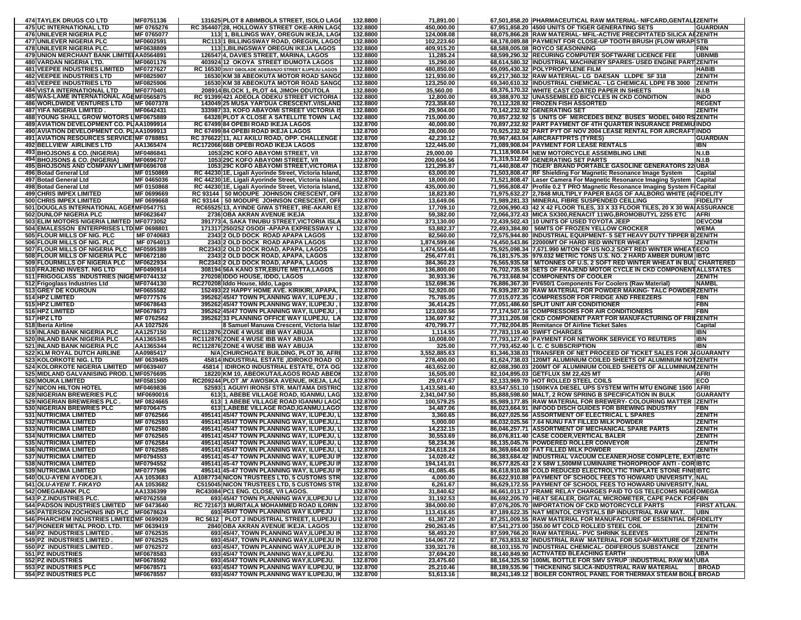|            | 474 TAYLEK DRUGS CO LTD                                                  | MF0751136               |       | 131625 PLOT 8 ABIMBOLA STREET, ISOLO LAGO                                                    | 132.8800             | 71,891.00                    | 67,501,858.20 PHARMACEUTICAL RAW MATERIAL-NIFCARD,GENTALIZENITH                                                                 |                               |
|------------|--------------------------------------------------------------------------|-------------------------|-------|----------------------------------------------------------------------------------------------|----------------------|------------------------------|---------------------------------------------------------------------------------------------------------------------------------|-------------------------------|
|            | <b>475 UC INTERNATIONAL LTD</b>                                          | MF 0765276              |       | RC 354407 28, HOLLOWAY STREET OKE-ARIN LAGO                                                  | 132.8800             | 450,000.00                   | 67,951,858.20 4500 UNITS OF TIGER GENERATING SETS                                                                               | <b>GUARDIAN</b>               |
|            | <b>476 UNILEVER NIGERIA PLC</b>                                          | MF 0765077              |       | 113 1, BILLINGS WAY, OREGUN IKEJA, LAG                                                       | 132.8800             | 124,008.08                   | 68,075,866.28 RAW MATERIAL- MFIL-ACTIVE PRECIPITATED SILICA ABZENITH                                                            |                               |
|            | 477 UNILEVER NIGERIA PLC                                                 | MF0602591               |       | RC1131 BILLINGSWAY ROAD, OREGUN, LAGO                                                        | 132.8800             | 102,223.60                   | 68,178,089.88 PAYMENT FOR CLOSE-UP TOOTH BRUSH (FLOW WRAP STB                                                                   |                               |
|            | 478 UNILEVER NIGERIA PLC.                                                | MF0638809               |       | <b>113 1.BILINGSWAY OREGUN IKEJA LAGOS</b>                                                   | 132.8800             | 409.915.20                   | 68,588,005.08 ROYCO SEASONNING                                                                                                  | FBN                           |
|            | 479 UNION MERCHANT BANK LIMITE AA0564891                                 |                         |       | 126547 4, DAVIES STREET, MARINA, LAGOS                                                       | 132.8800             | 11,285.24                    | 68,599,290.32 RECURING COMPUTER SOFTWARE LICENCE FEE                                                                            | <b>UBNMB</b>                  |
|            | 480 VARDAN NIGERIA LTD.                                                  | MF0601176               |       | 403924 12 OKOYA STREET IDUMOTA LAGOS                                                         | 132.8800             | 15,290.00                    | 68,614,580.32 INDUSTRIAL MACHINERY SPARES- USED ENGINE PART ZENITH                                                              |                               |
|            | <b>481 VEEPEE INDUSTRIES LIMITED</b><br><b>482 VEEPEE INDUSTRIES LTD</b> | MF0727627               |       | RC 16530 35/37 GBOLADE ADEBANJO STREET ILUPEJU LAGOS<br>16530 KM 38 ABEOKUTA MOTOR ROAD SANG | 132.8800             | 480,850.00                   | 69.095.430.32 POLYPROPYLENE FILM                                                                                                | <b>HABIB</b><br><b>ZENITH</b> |
|            | <b>483 VEEPEE INDUSTRIES LTD</b>                                         | MF0825907<br>MF0825906  |       | 16530 KM 38 ABEOKUTA MOTOR ROAD SANG                                                         | 132.8800<br>132.8800 | 121,930.00<br>123,250.00     | 69,217,360.32 RAW MATERIAL-LG DAESAN LLDPE SF 318<br>69,340,610.32 INDUSTRIAL CHEMICAL - LG CHEMICAL LDPE FB 3000               | <b>ZENITH</b>                 |
|            | <b>484 VISTA INTERNATIONAL LTD</b>                                       | MF0770401               |       | 208914 BLOCK 1, PLOT 44, JIMOH ODUTOLA                                                       | 132.8800             | 35,560.00                    | 69,376,170.32 WHITE CAST COATED PAPER IN SHEETS                                                                                 | N.I.B                         |
|            | 485 WAS-LAME INTERNATIONAL AGEMF0565875                                  |                         |       | RC 91399 421 ADEOLA ODEKU STREET VICTORIA                                                    | 132.8800             | 12,800.00                    | 69,388,970.32 UNASSEMBLED BICYCLES IN CKD CONDITION                                                                             | <b>INDO</b>                   |
|            | <b>486 WORLDWIDE VENTURES LTD</b>                                        | MF 0607378              |       | 143049 25 MUSA YAR'DUA CRESCENT.V/ISLAND                                                     | 132.8800             | 723,358.60                   | 70,112,328.92 FROZEN FISH ASSORTED                                                                                              | <b>REGENT</b>                 |
|            | <b>487 YIFA NIGERIA LIMITED</b>                                          | MF0642431               |       | 333987 33, KOFO ABAYOMI STREET VICTORIA IS                                                   | 132.8800             | 29,904.00                    | 70,142,232.92 GENERATING SET                                                                                                    | ZENITH                        |
|            | 488 YOUNG SHALL GROW MOTORS LIMF0675889                                  |                         |       | 64328 PLOT A CLOSE A SATELLITE TOWN LAO                                                      | 132.8800             | 715,000.00                   | 70,857,232.92 5 UNITS OF MERCEDES BENZ BUSES MODEL 0400 RSZENITH                                                                |                               |
|            | 489 AVIATION DEVELOPMENT CO. PL AA1099914                                |                         |       | RC 67499 84 OPEBI ROAD IKEJA LAGOS                                                           | 132.8700             | 40,000.00                    | 70,897,232.92 PART PAYMENT OF 4TH QUARTER INSURANCE PREMIU INDO                                                                 |                               |
|            | 490 AVIATION DEVELOPMENT CO. PLAA1099913                                 |                         |       | RC 67499 84 OPEBI ROAD IKEJA LAGOS                                                           | 132.8700             | 28,000.00                    | 70,925,232.92 PART PYT OF NOV 2004 LEASE RENTAL FOR AIRCRAFT INDO                                                               |                               |
|            | 491 AVIATION RESOURCES SERVICE MF 0788851                                |                         |       | RC 376622 11, ALI AKILU ROAD, OPP. CHALLENGE                                                 | 132.8700             | 42,230.12                    | 70.967.463.04 AIRCRAFTPRTS (TYRES)                                                                                              | <b>GUARDIAN</b>               |
|            | 492 BELLVIEW AIRLINES LTD                                                | AA1365474               |       | RC172066 66B OPEBI ROAD IKEJA LAGOS                                                          | 132.8700             | 122,445.00                   | 71,089,908.04 PAYMENT FOR LEASE RENTALS                                                                                         | IBN                           |
|            | 493 BHOJSONS & CO. (NIGERIA)                                             | MF0486841               |       | 1053 29C KOFO ABAYOMI STREET, V/                                                             | 132.8700             | 29,000.00                    | 71,118,908.04 NEW MOTORCYCLE ASSEMBLING LINE                                                                                    | N.I.B                         |
|            | 494 BHOJSONS & CO. (NIGERIA)                                             | MF0696707               |       | 1053 29C KOFO ABAYOMI STREET, V/I                                                            | 132.8700             | 200,604.56                   | 71,319,512.60 GENERATING SET PARTS                                                                                              | N.I.B                         |
|            | 495 BHOJSONS AND COMPANY LIMITMF0696708                                  |                         |       | 1053 29C KOFO ABAYOMI STREET, VICTORIA                                                       | 132.8700             | 121,295.87                   | 71,440,808.47  TIGER' BRAND PORTABLE GASOLINE GENERATORS 22 UBA                                                                 |                               |
|            | 496 Botad General Ltd                                                    | MF 0150869              |       | RC 44230 1E, Ligali Ayorinde Street, Victoria Island                                         | 132.8700             | 63,000.00                    | 71,503,808.47 RF Shielding For Magnetic Resonance Image System                                                                  | Capital                       |
|            | 497 Botad General Ltd                                                    | <b>MF 0465036</b>       |       | RC 44230 1E, Ligali Ayorinde Street, Victoria Island                                         | 132.8700             | 18,000.00                    | 71,521,808.47 Laser Camera For Magnetic Resonance Imaging System                                                                | Capital                       |
|            | 498 Botad General Ltd                                                    | MF 0150868              |       | RC 44230 1E, Ligali Ayorinde Street, Victoria Island                                         | 132.8700             | 435,000.00                   | 71,956,808.47 Profile 0.2 T PRO Magnetic Resonance Imaging System FiCapital                                                     |                               |
|            | <b>499 CHRIS IMPEX LIMITED</b>                                           | MF 0699669              |       | RC 93144   50 MODUPE JOHNSON CRESCENT, OF                                                    | 132.8700             | 18,823.80                    | 71,975,632.27 2,7848 MULTIPLY PAPER BAGS OF AALBORG WHITE (40 FIDELIT)                                                          |                               |
|            | <b>500 CHRIS IMPEX LIMITED</b>                                           | MF 0699668              |       | RC 93144   50 MODUPE JOHNSON CRESCENT, OFF                                                   | 132.8700             | 13,649.06                    | 71,989,281.33 MINERAL FIBRE SUSPENDED CEILLING                                                                                  | <b>FIDELITY</b>               |
|            | 501 DOUGLAS INTERNATIONAL AGENMF0547751                                  |                         |       | RC65525 13, AYINDE GIWA STREET, IRE-AKARI ES                                                 | 132.8700             | 17,709.10                    | 72,006,990.43  42 X 42 FLOOR TILES, 33 X 33 FLOOR TILES, 20 X 30 WAIASSURANCE                                                   |                               |
|            | 502 DUNLOP NIGERIA PLC                                                   | MF0623647               |       | 2736 OBA AKRAN AVENUE IKEJA                                                                  | 132.8700             | 59,382.00                    | 72,066,372.43 MICA SX300, RENACIT 11WG, BROMOBUTYL 2255 ETC                                                                     | <b>AFRI</b>                   |
|            | 503 ELIM MOTORS NIGERIA LIMITED MF0773052                                |                         |       | 391773 4, SAKA TINUBU STREET, VICTORIA ISLA                                                  | 132.8700             | 373,130.00                   | 72,439,502.43 10 UNITS OF USED TOYOTA JEEP                                                                                      | <b>DEVCOM</b>                 |
| 504        | <b>EMALESSON ENTERPRISES LTD MF 0698801</b>                              |                         |       | 171317 250/252 OSODI - APAPA EXPRESSWAY I.                                                   | 132.8700             | 53,882.37                    | 72,493,384.80   56MTS OF FROZEN YELLOW CROCKER                                                                                  | WEMA                          |
| <b>506</b> | 505 FLOUR MILLS OF NIG. PLC                                              | MF 0740683              |       | 2343 2 OLD DOCK ROAD APAPA LAGOS<br>2343 2 OLD DOCK ROAD APAPA LAGOS                         | 132.8700<br>132.8700 | 82,560.00                    | 72,575,944.80  INDUSTRIAL EQUIPMENT- 5 SET HEAVY DUTY TIPPER B ZENITH                                                           |                               |
|            | <b>FLOUR MILLS OF NIG. PLC</b><br>507 FLOUR MILLS OF NIGERIA PLC         | MF 0764013<br>MF0595389 |       | RC2343 2 OLD DOCK ROAD, APAPA, LAGOS                                                         | 132.8700             | 1,874,599.06<br>1,474,554.48 | 74,450,543.86 22000MT OF HARD RED WINTER WHEAT<br>75,925,098.34 7,671.990 M/TON OF US NO.2 SOFT RED WINTER WHEATECO             | <b>ZENITH</b>                 |
|            | 508 FLOUR MILLS OF NIGERIA PLC                                           | MF0672180               |       | 2343 2 OLD DOCK ROAD, APAPA, LAGOS                                                           | 132.8700             | 256,477.01                   | 76,181,575.35  979.032 METRIC TONS U.S. NO. 2 HARD AMBER DURUM  IBTC                                                            |                               |
|            | 509 FLOURMILLS OF NIGERIA PLC                                            | <b>IMF0622934</b>       |       | RC2343 2 OLD DOCK ROAD, APAPA, LAGOS                                                         | 132.8700             | 384,360.23                   | 76,565,935.58   M/TONNES OF U.S, 2 SOFT RED WINTER WHEAT IN BUL CHARTERED                                                       |                               |
|            | 510 FRAJEND INVEST. NIG LTD                                              | MF0490914               |       | 308194 56A KANO STR, EBUTE METTA, LAGOS                                                      | 132.8700             | 136,800.00                   | 76,702,735.58 SETS OF FRAJEND MOTOR CYCLE IN CKD COMPONENTALLSTATES                                                             |                               |
|            | 511 FRIGOGLASS INDUSTRIES (NIGEMF0744132                                 |                         |       | 270208 IDDO HOUSE, IDDO, LAGOS                                                               | 132.8700             | 30,933.36                    | 76,733,668.94 COMPONENTS OF COOLER                                                                                              | ZENITH                        |
|            | 512 Frigoglass Industries Ltd                                            | MF0744130               |       | RC270208 Iddo House, Iddo, Lagos                                                             | 132.8700             | 152,698.36                   | 76,886,367.30 FV650/1 Components For Coolers (Raw Material)                                                                     | <b>NAMBL</b>                  |
|            | 513 GREY DE KOUROUN                                                      | MF0655582               |       | 152493 22 HAPPY HOME AVE. KIRIKIRI, APAPA                                                    | 132.8700             | 52,920.00                    | 76,939,287.30 RAW MATERIAL FOR POWDER MAKING- TALC POWDERZENITH                                                                 |                               |
|            | 514 HPZ LIMITED                                                          | MF0777576               |       | 395262 45/47 TOWN PLANNING WAY, ILUPEJU                                                      | 132.8700             | 75,785.05                    | 77,015,072.35 COMPRESSOR FOR FRIDGE AND FREEZERS                                                                                | FBN                           |
|            | 515 HPZ LIMITED                                                          | MF0678643               |       | 395262 45/47 TOWN PLANNING WAY, ILUPEJU                                                      | 132.8700             | 36,414.25                    | 77,051,486.60 SPLIT UNIT AIR CONDITIONER                                                                                        | FBN                           |
|            | 516 HPZ LIMITED                                                          | MF0678673               |       | 395262 45/47 TOWN PLANNING WAY, ILUPEJU                                                      | 132.8700             | 123,020.56                   | 77,174,507.16 COMPRESSORS FOR AIR CONDITIONERS                                                                                  | <b>FBN</b>                    |
|            | 517 HPZ LTD                                                              | MF 0762562              |       | 395262 33 PLANNING OFFICE WAY ILUPEJU, LA                                                    | 132.8700             | 136,697.92                   | 77,311,205.08 CKD COMPONENT PART FOR MANUFACTURING OF FRIIZENITH                                                                |                               |
|            | 518 Iberia Airline                                                       | AA 1027526              |       | 8 Samuel Manuwa Crescent, Victoria Islar                                                     | 132.8700             | 470,799.77                   | 77,782,004.85 Remitance Of Airline Ticket Sales                                                                                 | Capital                       |
|            | 519 INLAND BANK NIGERIA PLC                                              | AA1257150               |       | RC112876 ZONE 4 WUSE IBB WAY ABUJA                                                           | 132.8700             | 1,114.55                     | 77,783,119.40 SWIFT CHARGES                                                                                                     | <b>IBN</b>                    |
|            | 520 INLAND BANK NIGERIA PLC                                              | AA1365345               |       | RC112876 ZONE 4 WUSE IBB WAY ABUJA                                                           | 132.8700             | 10,008.00                    | 77,793,127.40 PAYMENT FOR NETWORK SERVICE YO REUTERS                                                                            | <b>IBN</b>                    |
|            | 521 INLAND BANK NIGERIA PLC                                              | AA1365344               |       | RC112876 ZONE 4 WUSE IBB WAY ABUJA                                                           | 132.8700             | 325.00                       | 77,793,452.40 I. C. C SUBSCRIPTION                                                                                              | IBN                           |
|            | 522 KLM ROYAL DUTCH AIRLINE                                              | AA0985417               |       | N/A CHURCHGATE BUILDING, PLOT 30, AFR                                                        | 132.8700             | 3,552,885.63                 | 81,346,338.03 TRANSFER OF NET PROCEED OF TICKET SALES FOR JAGUARANTY                                                            |                               |
|            | 523 KOLORKOTE NIG. LTD                                                   | MF 0639405              |       | 45814 INDUSTRIAL ESTATE , IDIROKO ROAD O                                                     | 132.8700             | 278,400.00                   | 81,624,738.03 120MT ALUMINIUM COILED SHEETS OF ALUMINIUM NOTZENITH                                                              |                               |
|            | <b>524 KOLORKOTE NIGERIA LIMITED</b>                                     | MF0639407               | 45814 | <b>IDIROKO INDUSTRIAL ESTATE, OTA OG</b>                                                     | 132.8700             | 463,652.00                   | 82,088,390.03 200MT OF ALUMINIUM COILED SHEETS OF ALLUMINIUM ZENITH                                                             |                               |
|            | 525 MIDLAND GALVANISING PROD. L MF0576695                                |                         |       | 18220 KM 10, ABEOKUTA/LAGOS ROAD ABEOI                                                       | 132.8700             | 16,505.00                    | 82,104,895.03 GETFLUX SM 22,425 MT                                                                                              | <b>AFRI</b>                   |
|            | <b>526 MOUKA LIMITED</b>                                                 | MF0581500               |       | RC209244 PLOT .M' AWOSIKA AVENUE, IKEJA, LAG                                                 | 132.8700             | 29,074.67                    | 82,133,969.70 HOT ROLLED STEEL COILS                                                                                            | ECO                           |
|            | <b>527 NICON HILTON HOTEL</b>                                            | MF0469836               |       | 52593 1 AGUIYI IRONSI STR. MAITAMA DISTRIO                                                   | 132.8700             | 1,413,581.40                 | 83,547,551.10 1500KVA DIESEL UPS SYSTEM WITH MTU ENGINE 1500 AFRI                                                               |                               |
|            | 528 NIGERIAN BREWERIES PLC                                               | MF0690016               |       | 6131, ABEBE VILLAGE ROAD, IGANMU, LAG                                                        | 132.8700             | 2,341,047.50                 | 85,888,598.60 MALT, 2 ROW SPRING B SPECIFICATION IN BULK                                                                        | <b>GUARANTY</b>               |
|            | 529 NIGERIAN BREWERIES PLC.<br>530 NIGERIAN BREWRIES PLC                 | MF 0824665<br>MF0706475 |       | 613 1 ABEBE VILLAGE ROAD IGANMU LAGO<br>613 1, ABEBE VILLAGE ROAD, IGANMU, LAGO              | 132.8700<br>132.8700 | 100,579.25<br>34,487.06      | 85,989,177.85 RAW MATERIAL FOR BREWERY- COLOURING MATTER   ZENITH<br>86,023,664.91 INFOOD DISCH GUIDES FOR BREWING INDUSTRY     | FBN                           |
|            | <b>531 NUTRICIMA LIMITED</b>                                             | MF 0762566              |       | 495141 45/47 TOWN PLANNING WAY, ILUPEJU,                                                     | 132.8700             | 3,360.65                     | 86,027,025.56 ASSORTMENT OF ELECTRICAL L SPARES                                                                                 | <b>ZENITH</b>                 |
|            | <b>532 NUTRICIMA LIMITED</b>                                             | MF 0762593              |       | 495141 45/47 TOWN PLANNING WAY, ILUPEJU,I                                                    | 132.8700             | 5,000.00                     | 86,032,025.56 7.64 NUNU FAT FILLED MILK POWDER                                                                                  | <b>ZENITH</b>                 |
|            | 533 NUTRICIMA LIMITED                                                    | MF 0762580              |       | 495141 45/47 TOWN PLANNING WAY, ILUPEJU,                                                     | 132.8700             | 14,232.15                    | 86,046,257.71   ASSORTMENT OF MECHANICAL SPARE PARTS                                                                            | <b>ZENITH</b>                 |
|            | <b>534 NUTRICIMA LIMITED</b>                                             | MF 0762565              |       | 495141 45/47 TOWN PLANNING WAY, ILUPEJU,                                                     | 132.8700             | 30,553.69                    | 86,076,811.40 CASE CODER, VERTICAL BALER                                                                                        | <b>ZENITH</b>                 |
|            | 535 NUTRICIMA LIMITED                                                    | MF 0762584              |       | 495141 45/47 TOWN PLANNING WAY, ILUPEJU,                                                     | 132.8700             | 58,234.36                    | 86,135,045.76 POWDERED ROLLER CONVEYOR                                                                                          | <b>ZENITH</b>                 |
|            | <b>536 NUTRICIMA LIMITED</b>                                             | MF 0762585              |       | 495141 45/47 TOWN PLANNING WAY, ILUPEJU,                                                     | 132.8700             | 234,618.24                   | 86,369,664.00 FAT FILLED MILK POWDER                                                                                            | <b>ZENITH</b>                 |
|            | <b>537 NUTRICIMA LIMITED</b>                                             | MF0794553               |       | 495141 45-47 TOWN PLANNING WAY, ILUPEJU II                                                   | 132.8700             | 14.020.42                    | 86,383,684.42 IINDUSTRIAL VACUUM CLEANER, HOSE COMPLETE, EXTIBTC                                                                |                               |
|            | <b>538 NUTRICIMA LIMITED</b>                                             | MF0794552               |       | 495141 45-47 TOWN PLANNING WAY, ILUPEJU IN                                                   | 132.8700             | 194,141.01                   | 86,577,825.43 2 X 58W 1,500MM LUMINAIRE THOROPROOF ANTI - CORIIBTC                                                              |                               |
|            | 539 NUTRICIMA LIMITED                                                    | MF0777596               |       | 495141145-47 TOWN PLANNING WAY, ILUPEJU IN                                                   | 132.8700             | 41.085.45                    | 86.618.910.88 ICOLD REDUCED ELECTROLYTIC TINPLATE STONE FINISIBTC                                                               |                               |
|            | 540 OLU-AYENI AYODEJI I.                                                 | AA 1053683              |       | A1087734 NICON TRUSTEES LTD, 5 CUSTOMS STR                                                   | 132.8700             | 4,000.00                     | 86,622,910.88 PAYMENT OF SCHOOL FEES TO HOWARD UNIVERSITY, NAL                                                                  |                               |
|            | 541 OLU-AYENI T. FIKAYO                                                  | AA 1053682              |       | <b>C515045 NICON TRUSTEES LTD, 5 CUSTOMS STR</b>                                             | 132.8700             | 6,261.67                     | 86,629,172.55 PAYMENT OF SCHOOL FEES TO HOWARD UNIVERSITY, NAL                                                                  |                               |
|            | <b>542 OMEGABANK PLC</b>                                                 | AA1336399               |       | RC43084 PC1 ENG. CLOSE, V/I LAGOS.                                                           | 132.8700             | 31,840.62                    | 86,661,013.17   FRAME RELAY CHARGES PAID TO GS TELECOMS NIGE   OMEGA                                                            |                               |
|            | 543 P.Z. INDUSTRIES PLC.                                                 | MF0762558               |       | 693 45/47 TOWN PLANNING WAY, ILUPEJU LA                                                      | 132.8700             | 31,192.53                    | 86,692,205.70 HEAT SEALER, DIGITAL MICROMETER, CAPE PACK FORFBN                                                                 |                               |
|            | <b>544 PADSON INDUSTRIES LIMITED</b>                                     | MF 0473640              |       | RC 72167 3 MURITALA MOHAMMED ROAD ILORIN                                                     | 132.8700             | 384,000.00                   | 87,076,205.70 IMPORTATION OF CKD MOTORCYCLE PARTS                                                                               | <b>FIRST ATLAN.</b>           |
|            | 545 PATERSON ZOCHONIS IND PLC MF0678624                                  |                         |       | 693 45/47 TOWN PLANNING WAY ILUPEJU                                                          | 132.8700             | 113,416.65                   | 87,189,622.35 NAT MENTOL CRYSTALS BP INDUSTRIAL RAW MAT.                                                                        | <b>UBN</b>                    |
|            | 546 PHARCHEM INDUSTRIES LIMITED MF 0699039                               |                         |       | RC 5612   PLOT J INDUSTRIAL STREET, ILUPEJU                                                  | 132.8700             | 61,387.20                    | 87,251,009.55 RAW MATERIAL FOR MANUFACTURE OF ESSENTIAL DRFIDELITY                                                              |                               |
|            | 547 PIONEER METAL PROD. LTD.                                             | MF 0639419              |       | 2840 OBA AKRAN AVENUE IKEJA. LAGOS                                                           | 132.8700             | 290,263.45                   | 87,541,273.00 350.00 MT COLD ROLLED STEEL COIL                                                                                  | ZENITH                        |
|            | 548 PZ INDUSTRIES LIMITED.                                               | MF 0762535              |       | 693 45/47, TOWN PLANNING WAY, ILUPEJU I                                                      | 132.8700             | 58,493.20                    | 87,599,766.20 RAW MATERIAL- PVC SHRINK SLEEVES                                                                                  | <b>ZENITH</b>                 |
|            | 549 PZ INDUSTRIES LIMITED                                                | MF 0762525              |       | 693 45/47, TOWN PLANNING WAY, ILUPEJU II                                                     | 132.8700             | 164,067.72                   | 87,763,833.92 INDUSTRIAL RAW MATERIAL FOR SOAP-MIXTURE OF TZENITH                                                               |                               |
|            | 550 PZ INDUSTRIES LIMITED                                                | MF 0762572              |       | 693 45/47, TOWN PLANNING WAY, ILUPEJU II                                                     | 132.8700             | 339,321.78                   | 88,103,155.70 INDUSTRIAL CHEMICAL-ODIFEROUS SUBSTANCE                                                                           | <b>ZENITH</b>                 |
|            | 551 PZ INDUSTRIES                                                        | MF0678583               |       | 693 45/47 TOWN PLANNING WAY, ILUPEJU.                                                        | 132.8700             | 37,694.20                    | 88,140,849.90 ACTIVATED BLEACHING EARTH                                                                                         | <b>UBA</b>                    |
|            | 552 PZ INDUSTRIES                                                        | MF0678592               |       | 693 45/47 TOWN PLANNING WAY, ILUPEJU.                                                        | 132.8700             | 23,475.60                    | 88,164,325.50 100ML BOTTLE FOR SMV SYRUP : INDUSTRIAL RAW MAIUBA                                                                |                               |
|            | 553 PZ INDUSTRIES PLC                                                    | MF0678571<br>MF0678557  |       | 693 45/47 TOWN PLANNING WAY ILUPEJU, II<br>693 45/47 TOWN PLANNING WAY ILUPEJU, IN           | 132.8700<br>132.8700 | 25,210.46<br>51,613.16       | 88,189,535.96   THICKENING SILICA-INDUSTRIAL RAW MATERIAL<br>88,241,149.12   BOILER CONTROL PANEL FOR THERMAX STEAM BOILE BROAD | <b>BROAD</b>                  |
|            | 554 PZ INDUSTRIES PLC                                                    |                         |       |                                                                                              |                      |                              |                                                                                                                                 |                               |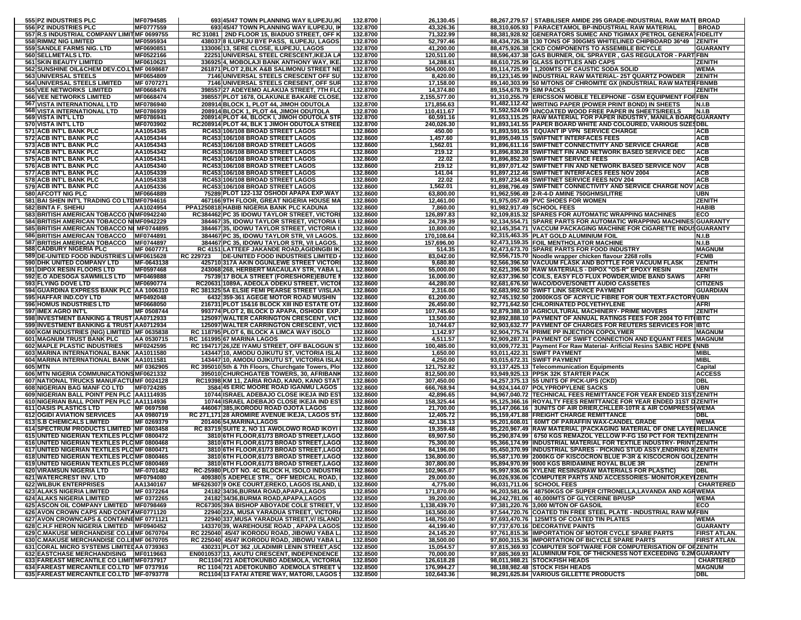| 555 PZ INDUSTRIES PLC                                                                 | MF0794585               |           | 693 45/47 TOWN PLANNING WAY ILUPEJU, IK                                                         | 132.8700             | 26,130.45                 |                         | 88,267,279.57   STABILISER AMIDE 295 GRADE-INDUSTRIAL RAW MATI BROAD                                                                         |                                    |
|---------------------------------------------------------------------------------------|-------------------------|-----------|-------------------------------------------------------------------------------------------------|----------------------|---------------------------|-------------------------|----------------------------------------------------------------------------------------------------------------------------------------------|------------------------------------|
| 556 PZ INDUSTRIES PLC                                                                 | MF0777559               |           | 693 45/47 TOWN PLANNING WAY ILUPEJU, IN                                                         | 132.8700             | 43,326.36                 |                         | 88,310,605.93   PARACETAMOL BP-INDUSTRIAL RAW MATERIAL                                                                                       | <b>BROAD</b>                       |
| 557 R.S INDUSTRIAL COMPANY LIMITMF 0699755<br>558 RIMMZ NIG LIMITED                   | MF0595934               |           | RC 31081   2ND FLOOR 15, BIADUO STREET, OFF K<br>438037 8 ILUPEJU BYE PASS, ILUPEJU, LAGOS      | 132.8700<br>132.8700 | 71,322.99<br>52,797.46    |                         | 88,381,928.92 GENERATORS SUMEC AND TIGIMAX (PETROL GENERATFIDELITY<br>88,434,726.38   130 TONS OF 300GMS WHITELINED CHIPBOARD 36*49   ZENITH |                                    |
| 559 SANDLE FARMS NIG. LTD                                                             | MF0690851               |           | 133006113, SERE CLOSE, ILUPEJU, LAGOS                                                           | 132.8700             | 41,200.00                 |                         | 88.475.926.38 CKD COMPONENTS TO ASSEMBLE BICYCLE                                                                                             | <b>GUARANTY</b>                    |
| 560 SELLMETALS LTD.                                                                   | MF0522166               |           | 22251 UNIVERSAL STEEL CRESCENT, IKEJA LA                                                        | 132.8700             | 120,511.00                |                         | 88,596,437.38 GAS BURNER, OIL SPRAYER, GAS REGULATOR - PART FBN                                                                              |                                    |
| <b>561 SKIN BEAUTY LIMITED</b>                                                        | MF0610621               |           | 336925 4, MOBOLAJI BANK ANTHONY WAY, IKE                                                        | 132.8700             | 14,288.61                 |                         | 88,610,725.99 GLASS BOTTLES AND CAPS                                                                                                         | ZENITH                             |
| 562 SUNSHINE OIL& CHEM DEV.CO.LTMF 0698687                                            |                         |           | 261871 PLOT 2, BLK A&B SALIMONU STREET NE                                                       | 132.8700             | 504,000.00                |                         | 89,114,725.99   1,200MTS OF CAUSTIC SODA SOLID                                                                                               | WEMA                               |
| 563 UNIVERSAL STEELS                                                                  | MF0654809               |           | 7146 UNIVERSAL STEELS CRESCENT OFF SU                                                           | 132.8700             | 8,420.00                  |                         | 89,123,145.99 INDUSTRIAL RAW MATERIAL- 25T QUARTZ POWDER                                                                                     | <b>ZENITH</b>                      |
| <b>564 UNIVERSAL STEELS LIMITED</b><br><b>565 VEE NETWORKS LIMITED</b>                | MF 0707271<br>MF0668476 |           | 7146 UNIVERSAL STEELS CRESENT, OFF SUR                                                          | 132.8700<br>132.8700 | 17,158.00                 |                         | 89,140,303.99 50 M/TONS OF CHROMITE GX (INDUSTRIAL RAW MATERFBNMB                                                                            | <b>ZENITH</b>                      |
| <b>566 VEE NETWORKS LIMITED</b>                                                       | MF0668474               |           | 398557 27 ADEYEMO ALAKIJA STREET, 7TH FLO<br>398557 PLOT 1678, OLAKUNLE BAKARE CLOSE            | 132.8700             | 14,374.80<br>2,155,577.00 | 89,154,678.79 SIM PACKS | 91,310,255.79 ERICSSON MOBILE TELEPHONE - GSM EQUIPMENT FORFBN                                                                               |                                    |
| 567 VISTA INTERNATIONAL LTD                                                           | MF0786940               |           | 208914 BLOCK 1, PLOT 44, JIMOH ODUTOLA                                                          | 132.8700             | 171,856.63                |                         | 91,482,112.42 WRITING PAPER (POWER PRINT BOND) IN SHEETS                                                                                     | N.I.B                              |
| 568 VISTA INTERNATIONAL LTD                                                           | MF0786939               |           | 208914 BLOCK 1, PLOT 44, JIMOH ODUTOLA                                                          | 132.8700             | 110,411.67                |                         | 91,592,524.09 UNCOATED WOOD FREE PAPER IN SHEETS/REELS                                                                                       | N.I.B                              |
| 569 VISTA INT'L LTD                                                                   | MF0786941               |           | 208914 PLOT 44, BLOCK I, JIMOH ODUTOLA STR                                                      | 132.8700             | 60,591.16                 |                         | 91,653,115.25 RAW MATERIAL FOR PAPER INDUSTRY, MANILA BOARIGUARANTY                                                                          |                                    |
| 570 VISTA INT'L LTD                                                                   | MF0703902               |           | RC208914 PLOT 44, BLK 1 JIMOH ODUTOLA STREE                                                     | 132.8700             | 240,026.30                |                         | 91,893,141.55   PAPER BOARD WHITE AND COLOURED, VARIOUS SIZES DBL                                                                            |                                    |
| 571 ACB INT'L BANK PLC<br>572 ACB INT'L BANK PLC                                      | AA1054345               |           | RC453 106/108 BROAD STREET LAGOS                                                                | 132.8600             | 450.00<br>1,457.60        |                         | 91,893,591.55   EQUANT IP VPN SERVICE CHARGE                                                                                                 | <b>ACB</b>                         |
| 573 ACB INT'L BANK PLC                                                                | AA1054344<br>AA1054343  |           | RC453 106/108 BROAD STREET LAGOS<br>RC453 106/108 BROAD STREET LAGOS                            | 132.8600<br>132.8600 | 1,562.01                  |                         | 91,895,049.15 SWIFTNET INTERFACES FEES<br>91,896,611.16 SWIFTNET CONNECTIVITY AND SERVICE CHARGE                                             | <b>ACB</b><br><b>ACB</b>           |
| 574 ACB INT'L BANK PLC                                                                | AA1054342               |           | RC453 106/108 BROAD STREET LAGOS                                                                | 132.8600             | 219.12                    |                         | 91,896,830.28 SWIFTNET FIN AND NETWORK BASED SERVICE DEC                                                                                     | <b>ACB</b>                         |
| 575 ACB INT'L BANK PLC                                                                | AA1054341               |           | RC453 106/108 BROAD STREET LAGOS                                                                | 132.8600             | 22.02                     |                         | 91,896,852.30 SWIFTNET SERVICE FEES                                                                                                          | <b>ACB</b>                         |
| <b>576 ACB INT'L BANK PLC</b>                                                         | AA1054340               |           | RC453 106/108 BROAD STREET LAGOS                                                                | 132.8600             | 219.12                    |                         | 91,897,071.42 SWIFTNET FIN AND NETWORK BASED SERVICE NOV                                                                                     | <b>ACB</b>                         |
| 577 ACB INT'L BANK PLC                                                                | AA1054339               |           | RC453 106/108 BROAD STREET LAGOS                                                                | 132.8600             | 141.04                    |                         | 91,897,212.46 SWIFTNET INTERFACES FEES NOV 2004                                                                                              | <b>ACB</b>                         |
| 578 ACB INT'L BANK PLC                                                                | AA1054338               |           | RC453 106/108 BROAD STREET LAGOS                                                                | 132.8600             | 22.02<br>1,562.01         |                         | 91,897,234.48 SWIFTNET SERVICE FEES NOV 204                                                                                                  | <b>ACB</b>                         |
| 579 ACB INT'L BANK PLC<br>580 AFCOTT NIG PLC                                          | AA1054336<br>MF0664889  |           | RC453 106/108 BROAD STREET LAGOS<br>75289 PLOT 122-132 OSHODI APAPA EXP.WAY                     | 132.8600<br>132.8600 | 63,800.00                 |                         | 91,898,796.49 SWIFTNET CONNECTIVITY AND SERVICE CHARGE NOT<br>91,962,596.49 2-R-4-D AMINE 750GHMS/LITRE                                      | <b>ACB</b><br><b>UBN</b>           |
| 581 BAI SHEN INT'L TRADING CO LTDMF0794616                                            |                         |           | 467166 9TH FLOOR, GREAT NIGERIA HOUSE MA                                                        | 132.8600             | 12,461.00                 |                         | 91,975,057.49 PVC SHOES FOR WOMEN                                                                                                            | <b>ZENITH</b>                      |
| 582 BINTA F. SHEHU                                                                    | AA1024954               |           | PPA1250818 HABIB NIGERIA BANK PLC KADUNA                                                        | 132.8600             | 7,860.00                  |                         | 91,982,917.49 SCHOOL FEES                                                                                                                    | <b>HABIB</b>                       |
| 583 BRITISH AMERICAN TOBACCO (NMF0942240                                              |                         |           | RC384462 PC 35 IDOWU TAYLOR STREET, VICTORI                                                     | 132.8600             | 126,897.83                |                         | 92,109,815.32 SPARES FOR AUTOMATIC WRAPPING MACHINES                                                                                         | ECO                                |
| 584 BRITISH AMERICAN TOBACCO NIMF0942229                                              |                         |           | 384467 35, IDOWU TAYLOR STREET, VICTORIA                                                        | 132.8600             | 24,739.39                 |                         | 92,134,554.71 SPARE PARTS FOR AUTOMATIC WRAPPING MACHINES GUARANTY                                                                           |                                    |
| 585 BRITISH AMERICAN TOBACCO NI MF0744895                                             |                         |           | 384467 35, IDOWU TAYLOR STREET, VICTORIA                                                        | 132.8600             | 10,800.00                 |                         | 92,145,354.71 VACCUM PACKAGING MACHINE FOR CIGARETTE INDUSGUARANTY                                                                           |                                    |
| 586 BRITISH AMERICAN TOBACCO<br>587 BRITISH AMERICAN TOBACCO                          | MF0744891<br>MF0744897  |           | 384467 PC 35, IDOWU TAYLOR STR, V/I LAGOS<br>384467 PC 35, IDOWU TAYLOR STR, V/I LAGOS          | 132.8600             | 170,108.64<br>157,696.00  |                         | 92,315,463.35 PLAT GOLD ALUMINIUM FOIL<br>92,473,159.35 FOIL MENTHOLATOR MACHINE                                                             | <b>N.I.B</b><br>N.I.B              |
| <b>588 CADBURY NIGERIA PLC</b>                                                        | MF 0607771              |           | RC 4151 LATTEEF JAKANDE ROAD, AGIDINGBI IK                                                      | 132.8600<br>132.8600 | 514.35                    |                         | 92,473,673.70 SPARE PARTS FOR FOOD INDUSTRY                                                                                                  | <b>MAGNUM</b>                      |
| 589 DE-UNITED FOOD INDUSTRIES LIMF0615628                                             |                         | RC 229723 | <b>DE-UNITED FOOD INDUSTRIES LIMITED 4</b>                                                      | 132.8600             | 83,042.00                 |                         | 92,556,715.70 Noodle wrapper chicken flavour 2268 rolls                                                                                      | <b>FCMB</b>                        |
| 590 DHK UNITED COMPANY LTD                                                            | MF-0643138              |           | 425710 317A AKIN OGUNLEWE STREET VICTOR                                                         | 132.8600             | 9,680.80                  |                         | 92,566,396.50 VACUUM FLASK AND BOTTLE FOR VACUUM FLASK                                                                                       | <b>ZENITH</b>                      |
| 591 DIPOX RESIN FLOORS LTD                                                            | MF0597468               |           | 243068 268, HERBERT MACAULAY STR, YABA L                                                        | 132.8600             | 55,000.00                 |                         | 92,621,396.50 RAW MATERIALS - DIPOX "OS-R" EPOXY RESIN                                                                                       | <b>ZENITH</b>                      |
| 592 E.O ADESOGA SAWMILLS LTD                                                          | MF0469888               |           | 75739 17 BOLA STREET (FORESHORE)EBUTE                                                           | 132.8600             | 16,000.00                 |                         | 92,637,396.50 COILS, EASY FLO FLUX POWDER, WIDE BAND SAWS                                                                                    | <b>AFRI</b>                        |
| 593 FLYING DOVE LTD<br>594 GUARDINA EXPRESS BANK PLC   AA 1006310                     | MF0690774               |           | RC20631 1089A, ADEOLA ODEKU STREET, VICTO<br>RC 381325 5A ELSIE FEMI PEARSE STREET V/ISLAI      | 132.8600<br>132.8600 | 44,280.00<br>2,316.00     |                         | 92,681,676.50 WACO/DOVE/SONETT AUDIO CASSETES<br>92,683,992.50 SWIFT LINK SERVICE PAYMENT                                                    | <b>CITIZENS</b><br><b>GUARDIAN</b> |
| 595 HAFFAR IND.COY LTD                                                                | MF0492048               |           | 6432 359-361 AGEGE MOTOR ROAD MUSHIN                                                            | 132.8600             | 61,200.00                 |                         | 92,745,192.50 20000KGS OF ACRYLIC FIBRE FOR OUR TEXT.FACTORYUBN                                                                              |                                    |
| 596 HOMUS INDUSTRIES LTD                                                              | MF0668050               |           | 216731 PLOT 15&16 BLOCK XIII IND ESTATE OT/                                                     | 132.8600             | 26,450.00                 |                         | 92,771,642.50 CHLORINATED POLYETHYLENE                                                                                                       | <b>AFRI</b>                        |
| 597 IMEX AGRO INT'L                                                                   | MF 0508744              |           | 993774 PLOT 2, BLOCK D APAPA, OSHODI EXP.                                                       | 132.8600             | 107,745.60                |                         | 92,879,388.10 AGRICULTURAL MACHINERY- PRIME MOVERS                                                                                           | <b>ZENITH</b>                      |
| 598 INVESTMENT BANKING & TRUST AA0712933                                              |                         |           | 125097 WALTER CARRINGTON CRESCENT, VICT                                                         | 132.8600             | 13,500.00                 |                         | 92,892,888.10 PAYMENT OF ANNUAL RATINGS FEES FOR 2004 TO FIT(IBTC                                                                            |                                    |
| 599 INVESTMENT BANKING & TRUST AA0712934                                              |                         |           | 125097 WALTER CARRINGTON CRESCENT, VICT                                                         | 132.8600             | 10,744.67                 |                         | 92,903,632.77 PAYMENT OF CHARGES FOR REUTERS SERVICES FOR IBTC                                                                               |                                    |
| 600 KGM INDUSTRIES (NIG) LIMITED MF 0635838<br>601 MAGNUM TRUST BANK PLC              | AA 0530715              |           | RC 118795 PLOT 6, BLOCK A LIMCA WAY ISOLO<br>RC 161995 67 MARINA LAGOS                          | 132.8600<br>132.8600 | 1,142.97<br>4,511.57      |                         | 92,904,775.74 PRIME PP INJECTION COPOLYMER<br>92,909,287.31 PAYMENT OF SWIFT CONNECTION AND EQUANT FEES MAGNUM                               | <b>MAGNUM</b>                      |
| <b>602 MAPLE PLASTIC INDUSTRIES</b>                                                   | MF0242595               |           | RC 194717 26, IZE IYAMU STREET, OFF BALOGUN S                                                   | 132.8600             | 100,485.00                |                         | 93,009,772.31 Payment For Raw Material-Arificial Resins SABIC HDPE INNB                                                                      |                                    |
| 603 MARINA INTERNATIONAL BANK AA1011580                                               |                         |           | 143447 10, AMODU OJIKUTU ST, VICTORIA ISLA                                                      | 132.8600             | 1,650.00                  |                         | 93,011,422.31 SWIFT PAYMENT                                                                                                                  | <b>MIBL</b>                        |
| 604 MARINA INTERNATIONAL BANK AA1011581                                               |                         |           | 143447 10, AMODU OJIKUTU ST, VICTORIA ISLAI                                                     | 132.8600             | 4,250.00                  |                         | 93,015,672.31 SWIFT PAYMENT                                                                                                                  | <b>MIBL</b>                        |
| 605 MTN                                                                               | MF 0362905              |           | RC 395010 5th & 7th Floors, Churchgate Towers, Plo                                              | 132.8600             | 121,752.82                |                         | 93,137,425.13 Telecommunication Equipments                                                                                                   | Capital                            |
| 606 MTN NIGERIA COMMUNICATIONS MF0621332                                              |                         |           | 395010 CHURCHGATEB TOWERS, 30, AFRIBANI<br>RC19398 KM 11, ZARIA ROAD, KANO, KANO STAT           | 132.8600<br>132.8600 | 812,500.00<br>307,450.00  |                         | 93,949,925.13 PPSK 32K STARTER PACK<br>94,257,375.13 55 UNITS OF PICK-UPS (CKD)                                                              | <b>ACCESS</b><br>DBL               |
| 607 NATIONAL TRUCKS MANUFACTUMF 0024128<br>608 NIGERIAN BAG MANF CO LTD   MF0724285   |                         |           | 3584 45 ERIC MOORE ROAD IGANMU LAGOS                                                            | 132.8600             | 666,768.94                |                         | 94,924,144.07 POLYPROPYLENE SACKS                                                                                                            | <b>UBN</b>                         |
| 609 NIGERIAN BALL POINT PEN PLC AA1114935                                             |                         |           | 10744 ISRAEL ADEBAJO CLOSE IKEJA IND EST                                                        | 132.8600             | 42,896.65                 |                         | 94,967,040.72 TECHNICAL FEES REMITTANCE FOR YEAR ENDED 31STZENITH                                                                            |                                    |
| 610 NIGERIAN BALL POINT PEN PLC   AA1114936                                           |                         |           | 10744 ISRAEL ADEBAJO CLOSE IKEJA IND EST                                                        | 132.8600             | 158,325.44                |                         | 95,125,366.16 ROYALTY FEES REMITTANCE FOR YEAR ENDED 31ST DZENITH                                                                            |                                    |
| 611 OASIS PLASTICS LTD                                                                | MF 0697598              |           | 446067 385, IKORODU ROAD OJOTA LAGOS                                                            | 132.8600             | 21.700.00                 |                         | 95,147,066.16   3UNITS OF AIR DRIER, CHLLER-10TR & AIR COMPRESS(WEMA                                                                         |                                    |
| 612 OGIDI AVIATION SERVICES                                                           | AA 0980719              |           | RC 271,171 28 AROMIRE AVENUE IKEJA, LAGOS ST                                                    | 132.8600             | 12,405.72                 |                         | 95,159,471.88 FREIGHT CHARGE REMITTANCE                                                                                                      | DBL                                |
| <b>613 S.B CHEMICALS LIMITED</b><br>614 SPECTRUM PRODUCTS LIMITED MF 0803458          | MF 0269379              |           | 201406 54, MARINA, LAGOS<br>RC 83719 SUITE 2, NO 11 AWOLOWO ROAD IKOYI                          | 132.8600<br>132.8600 | 42,136.13<br>19,359.48    |                         | 95,201,608.01   60MT OF PARAFFIN WAX-CANDEL GRADE<br>95,220,967.49  RAW MATERIAL (PACKAGING MATERIAL OF ONE LAYEIRELIANCE                    | <b>WEMA</b>                        |
| 615 UNITED NIGERIAN TEXTILES PLC MF 0800472                                           |                         |           | 3810 6TH FLOOR, 61/73 BROAD STREET, LAGO                                                        | 132.8600             | 69,907.50                 |                         | 95,290,874.99   6750 KGS REMAZOL YELLOW P-FG 150 PCT FOR TEXTIIZENITH                                                                        |                                    |
| 616 UNITED NIGERIAN TEXTILES PLC MF 0800468                                           |                         |           | 3810 6TH FLOOR, 61/73 BROAD STREET, LAGO                                                        | 132.8600             | 75,300.00                 |                         | 95,366,174.99  INDUSTRIAL MATERIAL FOR TEXTILE INDUSTRY- PRINT ZENITH                                                                        |                                    |
| 617 UNITED NIGERIAN TEXTILES PLC MF 0800471                                           |                         |           | 3810 6TH FLOOR, 61/73 BROAD STREET, LAGO                                                        | 132.8600             | 84,196.00                 |                         | 95,450,370.99 INDUSTRIAL SPARES - PICKING STUD ASSY, ENDRING 8 ZENITH                                                                        |                                    |
| 618 UNITED NIGERIAN TEXTILES PLC MF 0800465                                           |                         |           | 3810 6TH FLOOR,61/73 BROAD STREET,LAGO                                                          | 132.8600             | 136,800.00                |                         | 95,587,170.99 2000KG OF KISCOCRON BLUE P-3R & KISCOCRON GOLIZENITH                                                                           |                                    |
| 619 UNITED NIGERIAN TEXTILES PLC MF 0800469                                           |                         |           | 3810 6TH FLOOR, 61/73 BROAD STREET, LAGO                                                        | 132.8600             | 307,800.00                |                         | 95,894,970.99 9000 KGS BRIDAMINE ROYAL BLUE 3R                                                                                               | <b>ZENITH</b>                      |
| <b>620 VIRAMSUN NIGERIA LTD</b><br>621 WATERCREST INV. LTD                            | MF-0701482<br>MF0794080 |           | <b>RC-25980 PLOT NO. 4C BLOCK H. ISOLO INDUSTRI</b><br>409380 5 ADEPELE STR., OFF MEDICAL ROAD, | 132.8600<br>132.8600 | 102.965.07<br>29,000.00   |                         | 95.997.936.06 IXYLENE RESINS(RAW MATERIALS FOR PLASTIC)<br>96,026,936.06 COMPUTER PARTS AND ACCESSORIES- MONITOR, KEYIZENITH                 | IDBL                               |
| <b>622 WILBUK ENTERPRISES</b>                                                         | AA1340167               |           | MF626307 9 OKE COURT, EREKO, LAGOS ISLAND, I                                                    | 132.8600             | 4,775.00                  |                         | 96,031,711.06   SCHOOL FEES                                                                                                                  | <b>CHARTERED</b>                   |
| <b>623 ALAKS NIGERIA LIMITED</b>                                                      | MF 0372264              |           | 24182 34/36, BURMA ROAD, APAPA, LAGOS                                                           | 132.8500             | 171,870.00                |                         | 96,203,581.06   48750KGS OF SUPER CITRONELLA, LAVANDA AND AGRWEMA                                                                            |                                    |
| <b>624 ALAKS NIGERIA LIMITED</b>                                                      | MF 0372265              |           | 24182 34/36, BURMA ROAD, APAPA, LAGOS                                                           | 132.8500             | 39,200.00                 |                         | 96,242,781.06 40,000MTS OF GLYCERINE BP/USP                                                                                                  | <b>WEMA</b>                        |
| 625 ASCON OIL COMPANY LIMITED MF0798469                                               |                         |           | RC67305 39A BISHOP ABOYADE COLE STREET. V                                                       | 132.8500             | 1,138,439.70              |                         | 97,381,220.76 3,000 M/TON OF GASOIL                                                                                                          | ECO                                |
| 626 AVON CROWN CAPS AND CONTAMF0771120<br>627 AVON CROWNCAPS & CONTAINEMF 0771121     |                         |           | 22940 22A, MUSA YARADUA STREET, VICTORIA                                                        | 132.8500             | 163,500.00                |                         | 97,544,720.76 COATED TIN FREE STEEL PLATE - INDUSTRIAL RAW MAFBN                                                                             |                                    |
| 628 C.H.F HERON NIGERIA LIMITED MF0940452                                             |                         |           | 22940 337, MUSA YARADUA STREET, V/ ISLAND<br>143370 39, WAREHOUSE ROAD, APAPA LAGOS             | 132.8500<br>132.8500 | 148,750.00<br>44,199.40   |                         | 97,693,470.76   125MTS OF COATED TIN PLATES<br>97,737,670.16   DECORATIVE PAINTS                                                             | <b>WEMA</b><br><b>GUARANTY</b>     |
| 629 C.MAKUSE MERCHANDISE CO.LIIMF 0670704                                             |                         |           | RC 225040 45/47 IKORODU ROAD, JIBOWU YABA L                                                     | 132.8500             | 24,145.20                 |                         | 97,761,815.36 IMPORTATION OF MOTOR CYCLE SPARE PARTS                                                                                         | <b>FIRST ATLAN.</b>                |
| 630 C.MAKUSE MERCHANDISE CO.LIIMF 0670705                                             |                         |           | RC 225040 45/47 IKORODU ROAD, JIBOWU YABA I                                                     | 132.8500             | 38,500.00                 |                         | 97,800,315.36 IMPORTATION OF BICYCLE SPARE PARTS                                                                                             | <b>FIRST ATLAN.</b>                |
| 631 CORAL MICRO SYSTEMS LIMITEDAA 0739363                                             |                         |           | 430231 PLOT 362 ,ULADIMIR LENIN STREET, ASO                                                     | 132.8500             | 15,054.57                 |                         | 97,815,369.93 COMPUTER SOFTWARE FOR COMPUTERISATION OF OFZENITH                                                                              |                                    |
| 632 EASTCHASE MERCHANDISING MF0119663                                                 |                         |           | EN0010537 13, AKUTU CRESCENT, INDEPENDENCE                                                      | 132.8500             | 70,000.00                 |                         | 97,885,369.93 ALUMINIUM FOIL OF THICKNESS NOT EXCEEDING 0.2M GUARANTY                                                                        |                                    |
| 633 FAREAST MERCANTILE CO LIMITMF0737917<br>634 FAREAST MERCANTILE CO.LTD IMF 0737916 |                         |           | RC1104 721 ADETOKUNBO ADEMOLA, VICTORIA<br>RC 1104 721 ADETOKUNBO ADEMOLA STREET \              | 132.8500             | 126,618.28                |                         | 98,011,988.21 STOCKFISH HEADS<br>98.188.982.48 STOCK FISH HEADS                                                                              | <b>CHARTERED</b>                   |
| 635 FAREAST MERCANTILE CO.LTD   MF-0793778                                            |                         |           | RC1104 13 FATAI ATERE WAY, MATORI, LAGOS                                                        | 132.8500<br>132.8500 | 176,994.27<br>102,643.36  |                         | 98,291,625.84 VARIOUS GILLETTE PRODUCTS                                                                                                      | <b>MAGNUM</b><br><b>DBL</b>        |
|                                                                                       |                         |           |                                                                                                 |                      |                           |                         |                                                                                                                                              |                                    |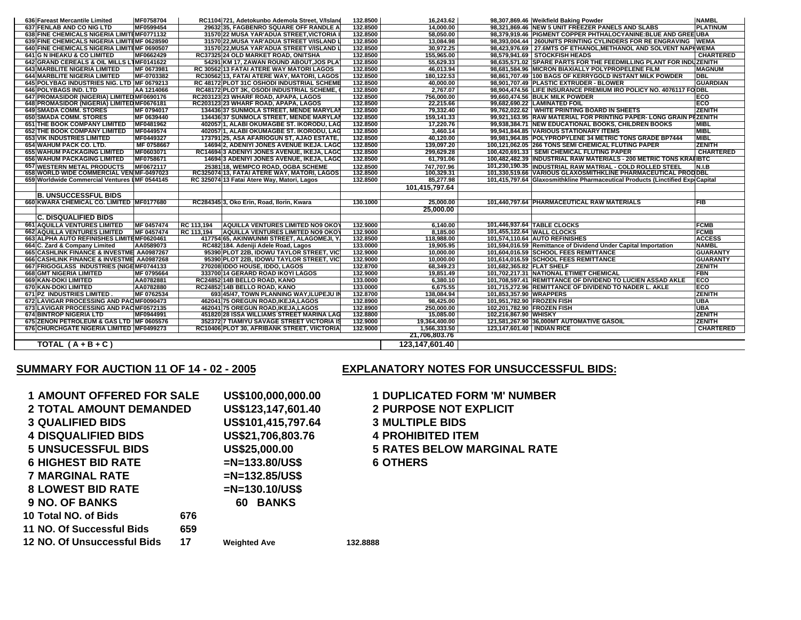| 636 Fareast Mercantile Limited                | MF0758704  |            | RC1104 721, Adetokunbo Ademola Street, V/Island | 132.8500 | 16,243.62      |                              | 98,307,869.46 Weikfield Baking Powder                                          | <b>NAMBL</b>     |
|-----------------------------------------------|------------|------------|-------------------------------------------------|----------|----------------|------------------------------|--------------------------------------------------------------------------------|------------------|
| 637 FENLAB AND CO NIG LTD                     | MF0599454  |            | 29632 35, FAGBENRO SQUARE OFF RANDLE A          | 132,8500 | 14.000.00      |                              | 98,321,869.46 NEW 5 UNIT FREEZER PANELS AND SLABS                              | <b>PLATINUM</b>  |
| 638 FINE CHEMICALS NIGERIA LIMITEMF0771132    |            |            | 31570 22 MUSA YAR'ADUA STREET, VICTORIA         | 132.8500 | 58.050.00      |                              | 98,379,919.46 PIGMENT COPPER PHTHALOCYANINE: BLUE AND GREE UBA                 |                  |
| 639 FINE CHEMICALS NIGERIA LIMITEMF 0628590   |            |            | 31570 22. MUSA YAR'ADUA STREET V/ISLAND         | 132,8500 | 13.084.98      |                              | 98.393.004.44   260UNITS PRINTING CYLINDERS FOR RE ENGRAVING WEMA              |                  |
| 640 FINE CHEMICALS NIGERIA LIMITEMF 0690507   |            |            | 31570 22, MUSA YAR'ADUA STREET V/ISLAND I       | 132.8500 | 30,972.25      |                              | 98,423,976.69   27.6MTS OF ETHANOL, METHANOL AND SOLVENT NAPHWEMA              |                  |
| <b>641 G N IHEAKU &amp; CO LIMITED</b>        | MF0662429  |            | RC37325 24 OLD MARKET ROAD, ONITSHA             | 132.8500 | 155,965.00     |                              | 98,579,941.69 STOCKFISH HEADS                                                  | <b>CHARTERED</b> |
| 642 GRAND CEREALS & OIL MILLS LTMF0141622     |            |            | 54291 KM 17, ZAWAN ROUND ABOUT, JOS PLA         | 132.8500 | 55,629.33      |                              | 98,635,571.02 SPARE PARTS FOR THE FEEDMILLING PLANT FOR INDUZENITH             |                  |
| <b>643 MARBLITE NIGERIA LIMITED</b>           | MF 0673981 |            | RC 30562 13 FATAI ATERE WAY MATORI LAGOS        | 132,8500 | 46.013.94      |                              | 98.681.584.96 IMICRON BIAXIALLY POLYPROPELENE FILM                             | <b>MAGNUM</b>    |
| <b>644 MARBLITE NIGERIA LIMITED</b>           | MF-0703382 |            | RC3056213, FATAI ATERE WAY, MATORI, LAGOS       | 132,8500 | 180.122.53     |                              | 98,861,707.49 100 BAGS OF KERRYGOLD INSTANT MILK POWDER                        | DBL              |
| 645 POLYBAG INDUSTRIES NIG. LTD MF 0679213    |            |            | RC 48172 PLOT 31C OSHODI INDUSTRIAL SCHEME      | 132.8500 | 40,000.00      |                              | 98,901,707.49   PLASTIC EXTRUDER - BLOWER                                      | <b>GUARDIAN</b>  |
| 646 POLYBAGS IND. LTD                         | AA 1214066 |            | RC48172 PLOT 3K, OSODI INDUSTRIAL SCHEME,       | 132.8500 | 2,767.07       |                              | 98,904,474.56 LIFE INSURANCE PREMIUM IRO POLICY NO. 4076117 FODBL              |                  |
| 647 PROMASIDOR (NIGERIA) LIMITED MF0690176    |            |            | RC203123 23 WHARF ROAD, APAPA, LAGOS            | 132.8500 | 756,000.00     |                              | 99,660,474.56 BULK MILK POWDER                                                 | <b>IECO</b>      |
| 648 PROMASIDOR (NIGERIA) LIMITED MF0676181    |            |            | RC203123 23 WHARF ROAD, APAPA, LAGOS            | 132,8500 | 22.215.66      |                              | 99,682,690.22 LAMINATED FOIL                                                   | <b>ECO</b>       |
| <b>649 SMADA COMM. STORES</b>                 | MF 0794017 |            | 134436 37 SUNMOLA STREET, MENDE MARYLAI         | 132.8500 | 79.332.40      |                              | 99,762,022.62 WHITE PRINTING BOARD IN SHEETS                                   | <b>ZENITH</b>    |
| <b>650 SMADA COMM. STORES</b>                 | MF 0639440 |            | 134436 37 SUNMOLA STREET, MENDE MARYLAI         | 132.8500 | 159.141.33     |                              | 99,921,163.95 RAW MATERIAL FOR PRINTING PAPER- LONG GRAIN PRZENITH             |                  |
| <b>651 THE BOOK COMPANY LIMITED</b>           | MF0481962  |            | 402057 1, ALABI OKUMAGBE ST. IKORODU, LAG       | 132.8500 | 17,220.76      |                              | 99,938,384.71 NEW EDUCATIONAL BOOKS, CHILDREN BOOKS                            | <b>MIBL</b>      |
| <b>652 THE BOOK COMPANY LIMITED</b>           | MF0449574  |            | 402057 1. ALABI OKUMAGBE ST. IKORODU. LAG       | 132.8500 | 3.460.14       |                              | 99.941.844.85 VARIOUS STATIONARY ITEMS                                         | <b>MIBL</b>      |
| <b>653 VIK INDUSTRIES LIMITED</b>             | MF0449327  |            | 173791 25, ASA AFARIOGUN ST, AJAO ESTATE,       | 132.8500 | 40.120.00      |                              | 99,981,964.85 POLYPROPYLENE 34 METRIC TONS GRADE BP7444                        | <b>MIBL</b>      |
| <b>654 WAHUM PACK CO. LTD.</b>                | MF 0758667 |            | 14694 2. ADENIYI JONES AVENUE IKEJA. LAGO       | 132.8500 | 139.097.20     |                              | 100,121,062.05 266 TONS SEMI CHEMICAL FLUTING PAPER                            | <b>ZENITH</b>    |
| <b>655 WAHUM PACKAGING LIMITED</b>            | MF0603071  |            | RC14694 3 ADENIYI JONES AVENUE, IKEJA, LAGO     | 132.8500 | 299,629.28     |                              | 100,420,691.33   SEMI CHEMICAL FLUTING PAPER                                   | <b>CHARTERED</b> |
| <b>656 WAHUM PACKAGING LIMITED</b>            | MF0758671  |            | 14694 3 ADENIYI JONES AVENUE, IKEJA, LAGO       | 132.8500 | 61,791.06      |                              | 100,482,482.39 INDUSTRIAL RAW MATERIALS - 200 METRIC TONS KRAHIBTC             |                  |
| 657 WESTERN METAL PRODUCTS                    | MF0672117  |            | 2538118. WEMPCO ROAD, OGBA SCHEME               | 132,8500 | 747.707.96     |                              | 101,230,190.35 IINDUSTRIAL RAW MATRIAL - COLD ROLLED STEEL                     | N.I.B            |
| 658 WORLD WIDE COMMERCIAL VENIMF-0497023      |            |            | RC32507413, FATAI ATERE WAY, MATORI, LAGOS      | 132.8500 | 100,329.31     |                              | 101,330,519.66 VARIOUS GLAXOSMITHKLINE PHARMACEUTICAL PRODDBL                  |                  |
| 659 Worldwide Commercial Ventures LMF 0544145 |            |            | RC 325074 13 Fatai Atere Way, Matori, Lagos     | 132.8500 | 85.277.98      |                              | 101.415.797.64 Glaxosmithkline Pharmaceutical Products (Linctified ExpiCapital |                  |
|                                               |            |            |                                                 |          | 101,415,797.64 |                              |                                                                                |                  |
| <b>B. UNSUCCESSFUL BIDS</b>                   |            |            |                                                 |          |                |                              |                                                                                |                  |
| 660 KWARA CHEMICAL CO. LIMITED IMF0177680     |            |            | RC284345 3, Oko Erin, Road, Ilorin, Kwara       | 130.1000 | 25.000.00      |                              | 101,440,797.64 PHARMACEUTICAL RAW MATERIALS                                    | <b>FIB</b>       |
|                                               |            |            |                                                 |          | 25,000,00      |                              |                                                                                |                  |
| <b>C. DISQUALIFIED BIDS</b>                   |            |            |                                                 |          |                |                              |                                                                                |                  |
| <b>661 AQUILLA VENTURES LIMITED</b>           | MF 0457474 | RC 113,194 | AQUILLA VENTURES LIMITED NO9 OKOY               | 132.9000 | 6.140.00       |                              | 101,446,937.64 TABLE CLOCKS                                                    | <b>FCMB</b>      |
| <b>662 AQUILLA VENTURES LIMITED</b>           | MF 0457474 | RC 113,194 | AQUILLA VENTURES LIMITED NO9 OKOY               | 132.9000 | 8.185.00       | 101,455,122.64 WALL CLOCKS   |                                                                                | <b>FCMB</b>      |
| 663 ALPHA AUTO REFINISHES LIMITEMF0620461     |            |            | 417754165. AKINWUNMI STREET. ALAGOMEJI. Y       | 132.8500 | 118.988.00     |                              | 101,574,110.64   AUTO REFINISHES                                               | <b>ACCESS</b>    |
| 664 C. Zard & Company Limited                 | AA0589073  |            | RC482 184. Adeniji Adele Road, Lagos            | 133,0000 | 19,905.95      |                              | 101,594,016.59 Remittance of Dividend Under Capital Importation                | <b>NAMBL</b>     |
| 665 CASHLINK FINANCE & INVESTME AA0987267     |            |            | 95390 PLOT 22B, IDOWU TAYLOR STREET, VIC        | 132.9000 | 10,000.00      |                              | 101,604,016.59 SCHOOL FEES REMITTANCE                                          | <b>GUARANTY</b>  |
| 666 CASHLINK FINANCE & INVESTME AA0987268     |            |            | 95390 PLOT 22B. IDOWU TAYLOR STREET, VIC        | 132.9000 | 10.000.00      |                              | 101,614,016.59 SCHOOL FEES REMITTANCE                                          | <b>GUARANTY</b>  |
| 667 FRIGOGLASS INDUSTRIES (NIGEMF0744133      |            |            | 270208 IDDO HOUSE, IDDO, LAGOS                  | 132.8700 | 68,349.23      | 101,682,365.82 FLAT SHELF    |                                                                                | <b>ZENITH</b>    |
| <b>668 GMT NIGERIA LIMITED</b>                | MF 0795664 |            | 333700114 GERARD ROAD IKOYI LAGOS               | 132.9000 | 19.851.49      |                              | 101,702,217.31 NATIONAL ETIMET CHEMICAL                                        | <b>FBN</b>       |
| <b>669 KAN-DOKI LIMITED</b>                   | AA0782881  |            | RC2485214B BELLO ROAD, KANO                     | 133.0000 | 6.380.10       |                              | 101.708.597.41 IREMITTANCE OF DIVIDEND TO LUCIEN ASSAD AKLE                    | <b>ECO</b>       |
| 670 KAN-DOKI LIMITED                          | AA0782880  |            | RC2485214B BELLO ROAD, KANO                     | 133.0000 | 6.675.55       |                              | 101,715,272.96 REMITTANCE OF DIVIDEND TO NADER L. AKLE                         | ECO              |
| 671 PZ INDUSTRIES LIMITED.                    | MF 0762534 |            | 693145/47. TOWN PLANNING WAY ILUPEJU IN         | 132.8700 | 138.084.94     | 101,853,357.90 WRAPPERS      |                                                                                | <b>ZENITH</b>    |
| 672 LAVIGAR PROCESSING AND PACMF0090473       |            |            | 462041 75 OREGUN ROAD, IKEJA, LAGOS             | 132,8900 | 98,425.00      | 101,951,782.90 FROZEN FISH   |                                                                                | <b>UBA</b>       |
| 673 LAVIGAR PROCESSING AND PACMF0572135       |            |            | 462041 75 OREGUN ROAD.IKEJA.LAGOS               | 132,8900 | 250,000.00     | 102,201,782.90 FROZEN FISH   |                                                                                | <b>UBA</b>       |
| <b>674 BINTROP NIGERIA LTD</b>                | MF0944991  |            | 451820 28 ISSA WILLIAMS STREET MARINA LAG       | 132,8800 | 15,085.00      | 102,216,867.90 WHISKY        |                                                                                | <b>ZENITH</b>    |
| 675 ZENON PETROLEUM & GAS LTD MF 0605576      |            |            | 352372 7 TIAMIYU SAVAGE STREET VICTORIA IS      | 132.9000 | 19,364,400.00  |                              | 121,581,267.90 36,000MT AUTOMATIVE GASOIL                                      | <b>ZENITH</b>    |
| 676 CHURCHGATE NIGERIA LIMITED MF0499273      |            |            | RC10406 PLOT 30, AFRIBANK STREET, VIICTORIA     | 132.9000 | 1,566,333.50   | 123,147,601.40   INDIAN RICE |                                                                                | <b>CHARTERED</b> |
|                                               |            |            |                                                 |          | 21.706.803.76  |                              |                                                                                |                  |
| TOTAL $(A + B + C)$                           |            |            |                                                 |          | 123.147.601.40 |                              |                                                                                |                  |
|                                               |            |            |                                                 |          |                |                              |                                                                                |                  |

## **SUMMARY FOR AUCTION 11 OF 14 - 02 - 2005**

## **EXPLANATORY NOTES FOR UNSUCCESSFUL BIDS:**

| <b>1 AMOUNT OFFERED FOR SALE</b> |     | US\$100,000,000.00  | <b>1 DUPLICATED FORM 'M' NUMBER</b> |  |
|----------------------------------|-----|---------------------|-------------------------------------|--|
| <b>2 TOTAL AMOUNT DEMANDED</b>   |     | US\$123,147,601.40  | <b>2 PURPOSE NOT EXPLICIT</b>       |  |
| <b>3 QUALIFIED BIDS</b>          |     | US\$101,415,797.64  | <b>3 MULTIPLE BIDS</b>              |  |
| <b>4 DISQUALIFIED BIDS</b>       |     | US\$21,706,803.76   | <b>4 PROHIBITED ITEM</b>            |  |
| <b>5 UNSUCESSFUL BIDS</b>        |     | US\$25,000.00       | <b>5 RATES BELOW MARGINAL RATE</b>  |  |
| <b>6 HIGHEST BID RATE</b>        |     | $=N=133.80/US$ \$   | <b>6 OTHERS</b>                     |  |
| <b>7 MARGINAL RATE</b>           |     | $=N=132.85/US$ \$   |                                     |  |
| <b>8 LOWEST BID RATE</b>         |     | $=N=130.10/US$ \$   |                                     |  |
| <b>9 NO. OF BANKS</b>            |     | <b>60 BANKS</b>     |                                     |  |
| 10 Total NO. of Bids             | 676 |                     |                                     |  |
| 11 NO. Of Successful Bids        | 659 |                     |                                     |  |
| 12 NO. Of Unsuccessful Bids      | 17  | <b>Weighted Ave</b> | 132.8888                            |  |

**Weighted Ave 132.8888**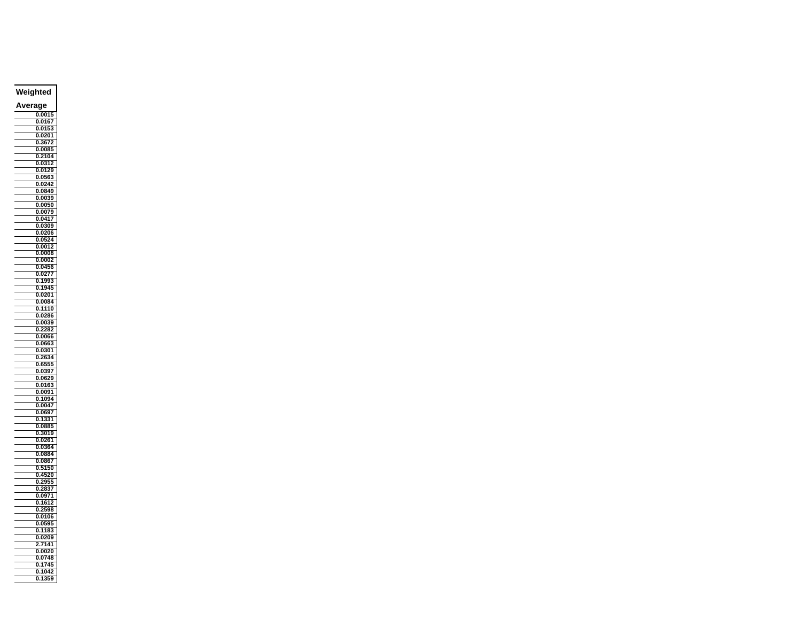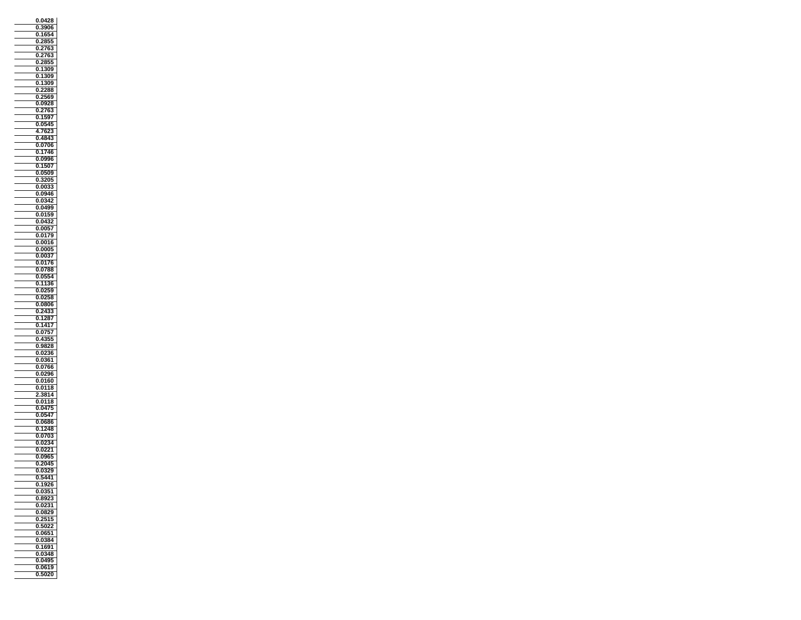| 0428<br>0.                                    |
|-----------------------------------------------|
| Ķ<br>O.<br>ю                                  |
| 16<br>4<br>0                                  |
| ī.<br>Ó<br>J<br>ł<br>ľ                        |
| J                                             |
| (<br>71<br>ţ<br>)<br>j                        |
| 2855<br>0                                     |
| 309<br>0<br>1<br>)                            |
| 1<br>309<br>0                                 |
| 1<br>309<br>١<br>0                            |
| 22<br>3<br>ì<br>(<br>J                        |
| 71<br>j<br>j<br>(<br>E<br>ï                   |
| Ó<br>).0928<br>j                              |
| 0<br>276<br>j                                 |
| 1597<br>Ō                                     |
| 45<br>05<br>0                                 |
| 762.<br>4<br>3                                |
| 0<br>484<br>ì                                 |
| 0<br>)7<br>K<br>(                             |
| O.<br>1<br>74                                 |
| 0.0996                                        |
| ı<br>ï<br>1<br>5C<br>)<br>J                   |
| 0509<br>0                                     |
| 32O.<br>0<br>5                                |
| 0<br>00<br>33                                 |
| 946<br>(<br>09<br>J                           |
| ,<br>0<br>(<br>J<br>L                         |
| 0499<br>0                                     |
| Ó<br>j<br>Ó<br>)1<br>f<br>j.<br>J             |
| J4:<br>į<br>2<br>J                            |
| .0057<br>0                                    |
| O<br>0179                                     |
| 0016<br>(<br>j<br>)                           |
| O.<br>000                                     |
| 37<br>0.00                                    |
| 7<br>0<br>01                                  |
| ĵ<br>į<br>0<br>l                              |
| 05(<br>l<br>4<br>J.                           |
| 36<br>0<br>11                                 |
| 0.025<br>ÿ9                                   |
| 025<br>0<br>ξ<br>3                            |
| 0<br>0.080                                    |
| 0<br>24<br>ţ.<br>ì                            |
| í<br>ī<br>7<br>Ō<br>28                        |
| 141<br>0<br>7                                 |
| 0<br>07<br>q<br>í                             |
| 3.<br>ý<br>i<br>Ó<br>j                        |
| 0<br>9828                                     |
| 36<br>0.02                                    |
| O.<br>0361                                    |
| .0766<br>O<br>J.                              |
| 29<br>ı<br>0<br>0<br>ì<br>j                   |
| 0160<br>0                                     |
| )1<br>l<br>J<br>l<br>18<br>Ì                  |
| 4<br>ľ<br>1                                   |
| 0.0118<br>3                                   |
| 0475<br>0                                     |
| 47<br>05<br>0                                 |
| 0.0686                                        |
| 1<br>'48<br>0                                 |
| Ί<br>3<br>0<br>(<br>17                        |
| 4<br>j<br>(                                   |
| ĺ<br>).(<br>);<br>21                          |
| 0.0965                                        |
| $\frac{1}{2045}$<br>0.                        |
| 0<br>$\mathbf{0}$<br>I<br>ì<br>$\overline{9}$ |
| 5441<br>0.                                    |
| ì<br>1926<br>0                                |
| 37<br>Ō<br>O<br>ī                             |
| 35<br>į<br>12<br>0.<br>3                      |
| 31<br>0.02                                    |
| 29<br>ō<br>08                                 |
| 2515<br>0                                     |
| 502<br>2<br>0.                                |
| 065<br>$\mathbf{z}$<br>0                      |
| 34<br>0<br>R<br>ı<br>)                        |
| i91<br>10<br>0.                               |
| 348<br>0.<br>O                                |
| 0495<br>0                                     |
| Ō<br>0619                                     |
| 5020<br>0                                     |
|                                               |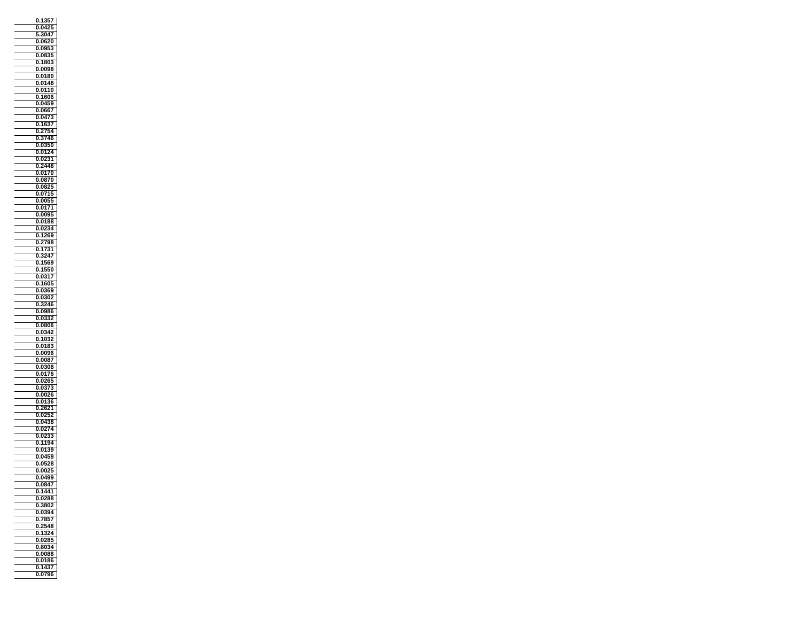| 357<br>0.<br>1,                          |
|------------------------------------------|
| 0.042<br>5                               |
| 304<br>í                                 |
| .0620<br>O.                              |
| 0.09<br>y<br>3                           |
| ŗ<br>0.08<br>j                           |
| 180.<br>ì<br>0                           |
| 0098<br>Ō                                |
| J<br>0.0180<br>(                         |
| 0148<br>0                                |
| 0.0110                                   |
| 0<br>1606<br>0.0459                      |
| O<br>i6<br>İ<br>0.                       |
| .<br>3<br>04<br>0                        |
| 1<br>37<br>Ō.<br>t                       |
| ï<br>54<br>0<br>27                       |
| Ó<br>j<br>Ì<br>74<br>ì                   |
| 350<br>0.<br>Ō                           |
| 0.0124                                   |
| O.<br>0231                               |
| 2448<br>0                                |
| 0170<br>Ō.                               |
| .0870<br>0.                              |
| 25<br>Ó<br>J<br>l<br>38<br>15            |
| 0<br>O,<br>0.0055                        |
| 71<br>0.01                               |
| 0.0095                                   |
| 0.0188                                   |
| 34<br>0.<br>$_{02}$                      |
| 269<br>0<br>1                            |
| 2<br>798<br>3<br>0<br>í                  |
| 0.1<br>31<br>7                           |
| 3247<br>O                                |
| 0.1569                                   |
| 0.1550                                   |
| 0.0317                                   |
| 1605<br>0<br>Ō                           |
| j<br>9<br>ī<br>3<br>j<br>šO              |
| 0.0<br>246<br>Ō.:<br>ś,                  |
| Ō<br>.0986<br>ì                          |
| 0.0332                                   |
| 0.0806<br>j                              |
| 0<br>0342                                |
| 32<br>0<br>103                           |
| ì<br>0.<br>018                           |
| 0096<br>0.                               |
| 0<br>008<br>3<br>$\overline{\mathbf{r}}$ |
| 3<br>308<br>J<br>0                       |
| 0.0176<br>j                              |
| 0<br>0265<br>0<br>0<br>٦                 |
| 3<br>00<br>26<br>O.                      |
| 36<br>0.01                               |
| i21<br>0<br>20                           |
| 25<br>5<br>Ō.<br>0                       |
| 38<br>.04<br>(                           |
| O<br>027<br>4                            |
| 0.02<br>Ī<br>3                           |
| 194<br>Ō.<br>1                           |
| 0.0139                                   |
| 0.045<br>59<br>28                        |
| 05<br>3<br>0<br>,                        |
| 0.00<br>j<br>0.0499                      |
| Ō<br>084<br>i                            |
| Ö<br>1<br>441                            |
| 0.0288                                   |
| 3802<br>0                                |
| 0.0394                                   |
| $\frac{1}{785}$<br>Ō.<br>57              |
| 2548<br>0                                |
| 1<br>0<br>324                            |
| $\frac{3}{28}$<br>35<br>0                |
| 0.80<br>34                               |
| 0<br>0088                                |
| 0.0186<br>1437                           |
| Ò.<br>0796<br>0.                         |
|                                          |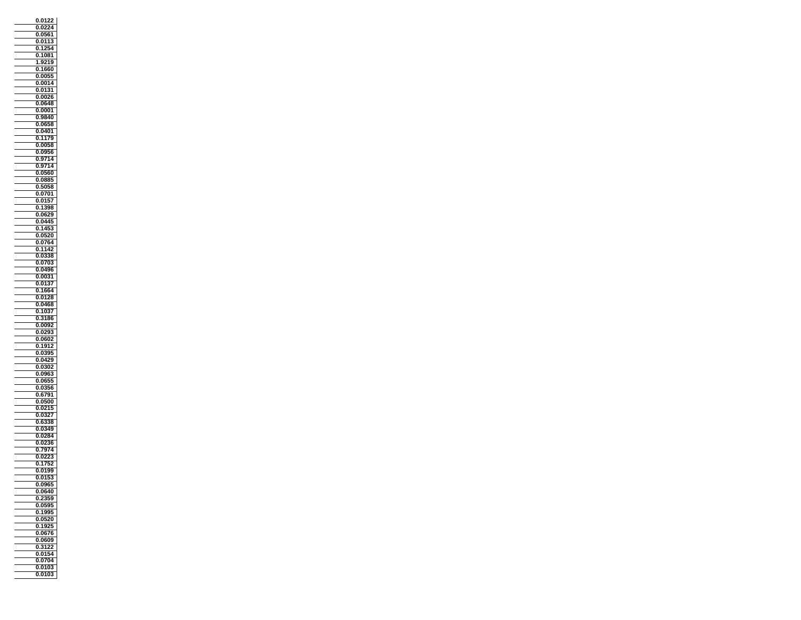| 012<br>0                                      |
|-----------------------------------------------|
| 4<br>).<br>0                                  |
| 0561<br>0.                                    |
|                                               |
| Ó<br>J<br>01<br>1<br>ŧ                        |
| 4<br>1<br>0                                   |
| 0.108<br>31                                   |
| 9219<br>1                                     |
| 1660<br>0                                     |
|                                               |
| .00<br>j.<br>0.<br>5                          |
| 0014<br>Ō.                                    |
| 01<br>31<br>(<br>J                            |
| j<br>O<br>j<br>ä<br>(<br>(                    |
| O<br>548<br>Ó<br>3<br>).<br>(                 |
|                                               |
| 0001<br>0                                     |
| 9840<br>0                                     |
| 0658<br>0                                     |
| 0401<br>0                                     |
| 11<br>Ί<br>(<br>J<br>١<br>1                   |
| 00<br>ï<br>j                                  |
| J<br>(                                        |
| 0.<br>09<br>i<br>֚֚֬                          |
| )714<br>0<br>ç                                |
| 7<br>4<br>Ó<br>J<br>9<br>7                    |
| 0560<br>0                                     |
|                                               |
| 088<br>0<br>5                                 |
| 0<br>ŗ<br>505<br>58<br>3                      |
| (<br>0701<br>J                                |
| ĺ<br>01<br>).<br>I                            |
| 1<br>398<br>Ō<br>j                            |
| Ó<br>j<br>0<br>29                             |
|                                               |
| $\overline{04}$<br>4<br>J                     |
| $\frac{1}{145}$<br>0<br>ŝ                     |
| 0520<br>0                                     |
| 4<br>(<br>07<br>)                             |
| 1<br>Ï.<br>42<br>0                            |
| O                                             |
| Ō.<br>38<br>ì                                 |
| 070<br>O.<br>ì                                |
| )49<br>J)<br>0<br>ī                           |
| 00<br>31<br>l<br>J                            |
| 0<br>01<br>37                                 |
| 4<br>(<br>166<br>١                            |
|                                               |
| 0<br>01<br>28<br>ì                            |
| 0.0468                                        |
| 0<br>10<br>ì<br>7                             |
| 36<br>Ō<br>318                                |
| 0.<br>009<br>J.                               |
| 29<br>j                                       |
| 02<br>0                                       |
| Ó<br>X<br>δŪ.<br>2<br>j<br>ſ                  |
| 0<br>191<br>2                                 |
| 39<br>0.0<br>5                                |
| 0<br>0429                                     |
| )302<br>(<br>J<br>(                           |
|                                               |
| ŌS<br>0<br>I<br>ì<br>l                        |
| 5<br>065<br>0                                 |
| ÿ<br>ĺ<br>J<br>Ó<br>J.<br>56<br>5             |
| 1<br>0<br>6<br>Ï                              |
| 0.0500                                        |
|                                               |
| 0<br>0215                                     |
| 0<br>(<br>)<br>ì                              |
| 38<br>0.<br>6<br>š                            |
| O<br>0<br>44<br>١                             |
| 028<br>4<br>(<br>J                            |
| j<br>J<br>(<br>K<br>1                         |
| į                                             |
| 797<br>1<br>J.                                |
| 0.022<br>ì                                    |
| 7<br>0<br>.1<br>2<br>$\overline{\phantom{a}}$ |
| $\overline{0}$ .0<br>1<br>J.<br>3             |
| 0.0153                                        |
| 09 <sub>6</sub><br>ĵ<br>0<br>j                |
| 40<br>Ō<br>0                                  |
|                                               |
| ì<br>Ī.<br>j!<br>١<br>Ō.                      |
| 0.05<br>595<br>5                              |
| 1995<br>Ō<br>5                                |
| .0520<br>0                                    |
| 192<br>0<br>5                                 |
|                                               |
| 0<br>0676                                     |
| 0609<br>0                                     |
| 22<br>81<br>0                                 |
| 0154<br>0                                     |
| 0                                             |
| 0704<br>0103<br>Ō                             |
|                                               |
| .010<br>0<br>ì                                |
|                                               |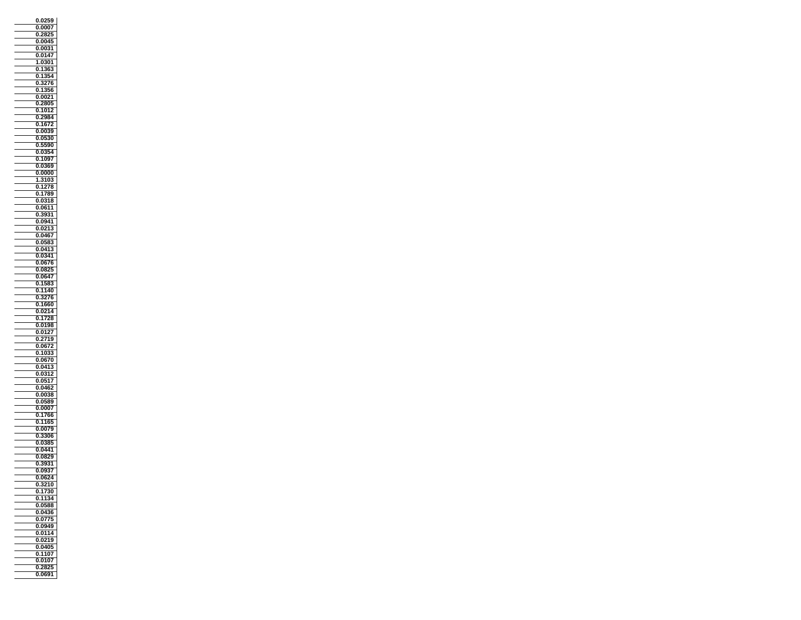| 0259<br>0                            |
|--------------------------------------|
| J.<br>007                            |
| 0<br>28                              |
| ï<br>J<br>004                        |
| 0<br>)0                              |
| 0.0147                               |
| Ō.<br>301<br>1                       |
| Ō<br>1<br>30<br>j<br>ì               |
| 1<br>3!<br>54<br>0                   |
| 7<br>0<br>i                          |
| ٦<br>(<br>J<br>j(                    |
| 002<br>1<br>j<br>(                   |
| Į<br>30.<br>1<br>2<br>J              |
| 1012<br>0<br>,                       |
| 2984<br>0                            |
| .167<br>0                            |
| 0039<br>(<br>)                       |
| Ó<br>80<br>J<br>0                    |
| ī<br>90<br>J<br>(                    |
| ī,<br>O<br>Ō.<br>4                   |
| 1097<br>O.                           |
| 369<br>0<br>0                        |
| 0000<br>Ò                            |
| 1<br>310.<br>š                       |
| 0<br>1278                            |
| 1789<br>(<br>J                       |
| 318<br>ſ<br>J<br>0<br>ì              |
| 0611<br>Ō                            |
| 31<br>ï<br>j<br>39                   |
| $\frac{1}{94}$<br>1<br>J<br>Ó        |
| .021<br>(<br>š                       |
| J<br>(<br>J.<br>0467                 |
| $\overline{5}$<br>ţ<br>j             |
| ì<br>(<br>(<br>4<br>1<br>0<br>(<br>3 |
| J<br>341<br>Ō<br>Ō.                  |
| X<br>7<br>ſ<br>J<br>ſ                |
| 75<br>ī<br>R<br>ī<br>J<br>ì          |
|                                      |
| $\overline{1}$<br>l<br>.0<br>J<br>٦  |
| 158<br>0                             |
| 40<br>ſ<br>J<br>1<br>1               |
| Ö<br>3276                            |
| 1660<br>O<br>J.                      |
| 0<br>0214                            |
| $\bar{7}$<br>Ō<br>1<br>j<br>ā        |
| 0198<br>0                            |
| $\overline{2}$<br>01<br>0            |
| 19<br>ï<br>١                         |
| 06<br>0<br>Ż                         |
| (<br>).10<br>ŝ                       |
| 0670<br>0                            |
| 041<br>ļ<br>(<br>J                   |
| 0<br>0<br>3                          |
| 05<br>7<br>1<br>0                    |
| 14<br>2<br>Ó<br>j<br>ĺ               |
| Ī<br>)0<br>J                         |
| 058<br>(<br>39<br>).                 |
| 0007<br>0                            |
| 766<br>(<br>J<br>1                   |
| 1<br>1<br>6.<br>0<br>d               |
| 0079<br>O                            |
| (<br>J<br>306<br>ì                   |
| j<br>0<br>(<br>R                     |
| 1<br>j,<br>l<br>)441                 |
| Ō.<br>0829                           |
| 31<br>0<br>39                        |
| 0.09<br>S,                           |
| 0.0624                               |
| 32<br>10<br>0                        |
| į<br>730<br>1<br>Ō                   |
| 34<br>11<br>Ō.                       |
| 0.0588                               |
| 04<br>ō<br>36                        |
| .0775<br>0                           |
| 0.0949                               |
| 0<br>0114                            |
|                                      |
|                                      |
| 0219<br>0                            |
| 0.0405                               |
| 1107<br>0                            |
| 0107<br>O.                           |
| 2825<br>Ō<br>0.0691                  |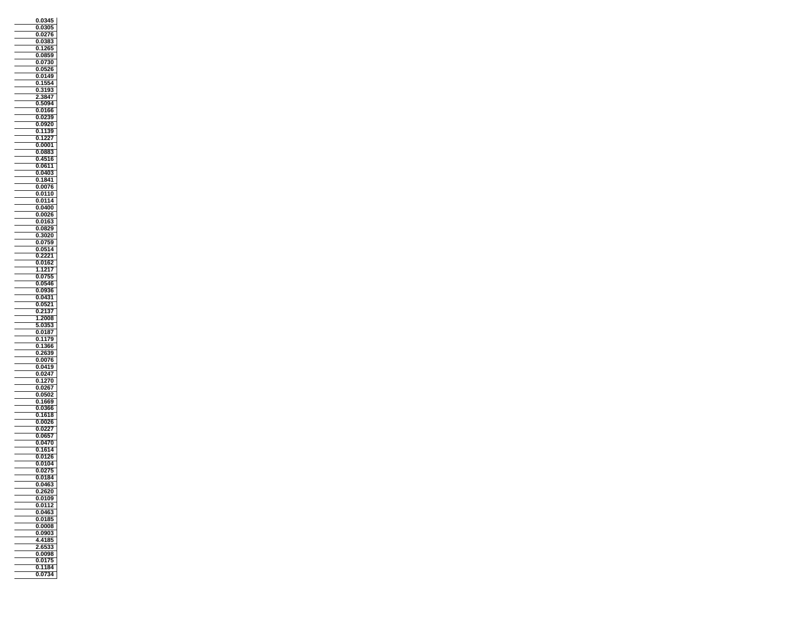| 0<br>0                           |
|----------------------------------|
| šO<br>ı<br>J<br>ı<br>J           |
| 0<br>02<br>Ί<br>j<br>í           |
| (<br>0<br>ì<br>)<br>38<br>I      |
| 6.<br>0<br>1                     |
| ġ,<br>0.085                      |
| 3O<br>J<br>J.<br>07              |
| ī<br>5<br>ĵ<br>J                 |
| 01<br>49<br>(                    |
| )<br>1554<br>Ō                   |
| 3193<br>(<br>J                   |
| 3                                |
| 3847<br>2<br>5094                |
| O.                               |
| 66<br>0<br>01                    |
| J<br>j<br>ī<br>J<br>ī            |
| 09<br>20<br>O                    |
| 39<br>1<br>0<br>1                |
| Ó<br>1<br>,<br>,<br>J            |
| 0001<br>Ö                        |
| 0.08<br>38<br>ì                  |
| O.<br>4516                       |
| .0611<br>(<br>J,                 |
| 040<br>3<br>0                    |
| 1841<br>0                        |
| 076<br>Ó<br>j<br>Ó<br>ĵ          |
| 10<br>1<br>J<br>0                |
| 0.114<br>(                       |
| 0400<br>0                        |
| 0026<br>0<br>Ĵ                   |
| 016<br>0<br>ì                    |
| Ţ<br>١<br>O<br>08                |
| 20<br>Ō<br>302                   |
| ī,<br>j<br>l<br>ī<br>0<br>ï<br>Ï |
| l<br>)514<br>J<br>(              |
| O<br>2221                        |
| 016<br>0<br>2                    |
| 121<br>1<br>ī                    |
| 0755<br>0                        |
| Ō<br>54(<br>Ō                    |
| 19<br>ī<br>J<br>ī<br>36          |
| 31<br>0.<br>04                   |
| 21<br>O.<br>052                  |
| Ò<br>21<br>١<br>I                |
| 2008<br>1                        |
| 5<br>35<br>0.<br>š               |
|                                  |
|                                  |
| Ō<br>0187                        |
| 11<br>79<br>(<br>)<br>)          |
| 0<br>i<br>36                     |
| 26<br>39<br>Ō                    |
| Ó<br>J<br>00<br>Ï<br>ì           |
| 9<br>)4<br>l<br>J                |
| .0247<br>0                       |
| 1270<br>0                        |
| (<br>026<br>)                    |
| Ō.<br>0<br>50.                   |
| 166<br>9<br>Ō                    |
| O.<br>0<br>360                   |
| 16<br>1<br>ī<br>J                |
| O.<br>26<br>(<br>ì<br>J,         |
| 0<br>02<br>P,                    |
| ï<br>X<br>)<br>ı                 |
| Ō                                |
| <u>0470</u><br>1614<br>0         |
| Ō.<br>01<br>2<br>j               |
| 10<br>)4<br>ī<br>j<br>0          |
| j                                |
| <u>0.027</u><br>0.0184           |
| 0463<br>Ō                        |
|                                  |
| 0.2620                           |
| 0.0109<br>0.                     |
| 0112                             |
| 0.0463                           |
| 0.0185<br>j                      |
| 0.0008                           |
| 0903<br>Ō<br>ì                   |
| à<br>35<br>4<br>18<br>ł.         |
| 2.65<br>j                        |
| 0098<br>Ō                        |
| 0.0175                           |
| 1184<br>0.                       |
| 07<br>34<br>0.                   |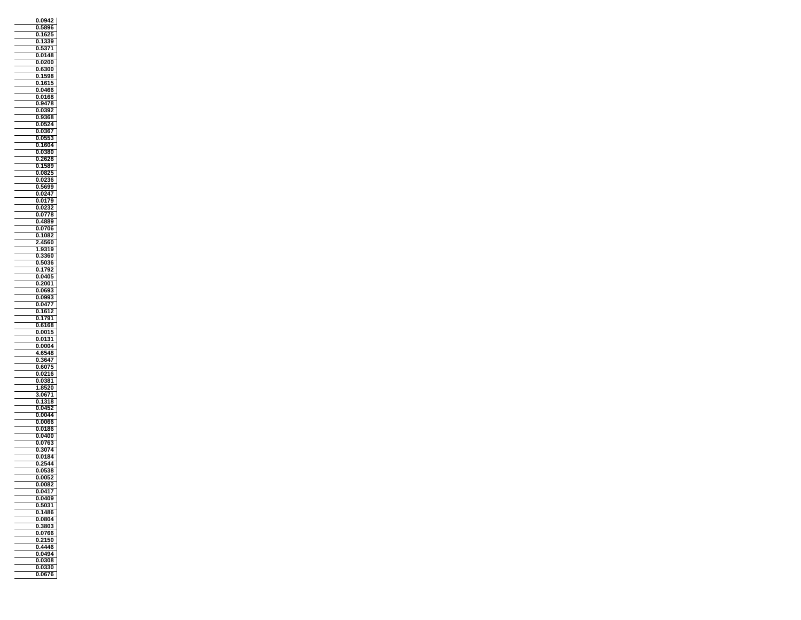| 0.0942                     |
|----------------------------|
| 58<br>396<br>ſ<br>J        |
| j                          |
| 0<br>162<br>25             |
| 1<br>39<br>(<br>j          |
| 1<br>0<br>37               |
| 0.0148                     |
| <b>'</b><br>0<br>0         |
| 300<br>J                   |
|                            |
| 159<br>3<br>(<br>)         |
| 1615<br>0                  |
| (<br>Ĵ,<br>0466<br>ì       |
| 0<br>01<br>6<br>8          |
| 0.9478                     |
| O<br>392                   |
| 0.                         |
| ŗ<br>į<br>í<br>Ō<br>١<br>š |
| 0.05<br>52<br>4            |
| 0.03<br>36<br>7            |
| 3<br>O!<br>ý<br>Ó<br>J     |
| 1604<br>0                  |
| 380                        |
| 0.0                        |
| 0<br>2628                  |
| 15<br>589<br>0             |
| y<br>ì<br>Ō.<br>08<br>d    |
| $\overline{02}$<br>36<br>0 |
| ì<br>5699<br>Ó<br>J        |
|                            |
| Ā<br>O.<br>0<br>í          |
| θ<br>0.01<br>7             |
| $\overline{0}2$<br>0<br>32 |
| 0778<br>0.<br>3            |
| 0.4889                     |
| 0706<br>Ō.                 |
|                            |
| 1082<br>O                  |
| 4<br>60<br>j               |
| 1<br>9<br>319              |
| Ō<br>360<br>ł              |
| 0.50<br>36<br>j            |
| 1<br>0                     |
| 792                        |
| 0.0405                     |
| 2001<br>Ō                  |
|                            |
| Ī<br>ī<br>J<br>0<br>ï9     |
|                            |
| )!<br>ì<br>0.09<br>J.      |
| 0.0477                     |
| 2<br>o<br>161              |
| 1<br>791<br>0              |
| 0.6168                     |
| 0<br>0015                  |
| ı                          |
| 01:<br>81<br>)             |
| 0004<br>0.                 |
| 6548<br>4                  |
| 0<br>30<br>54              |
| i<br>60<br>J               |
|                            |
| 0.0216<br>0<br>0<br>381    |
|                            |
| 3520<br>1<br>å             |
| 1<br>067                   |
| 318<br>0<br>1              |
| 045<br>2<br>O.             |
| 004<br>4<br>J              |
| )00<br>(<br>)í<br>j<br>).( |
| 0<br>0186                  |
|                            |
| J<br>)400<br>ı<br>)<br>ı   |
| Ō<br>076<br>ì              |
| 3074<br>0                  |
| 0184<br>O.                 |
| 44<br>Ō                    |
| 88<br>5                    |
| $\frac{0.05}{2}$<br>0.0052 |
|                            |
| ō<br>008<br>2              |
| Ō<br>041<br>7              |
| 0.0409                     |
| ı<br>5031<br>0             |
| 0.1486                     |
| Ō.                         |
| 0804                       |
| 3803<br>0                  |
| 0<br>076<br>òĜ             |
| Ö<br>Ō<br>ſ<br>Ē<br>,      |
| 0.4446                     |
| 0494<br>Ō.                 |
| 0308<br>0                  |
|                            |
| 0.0330<br>0676<br>0.       |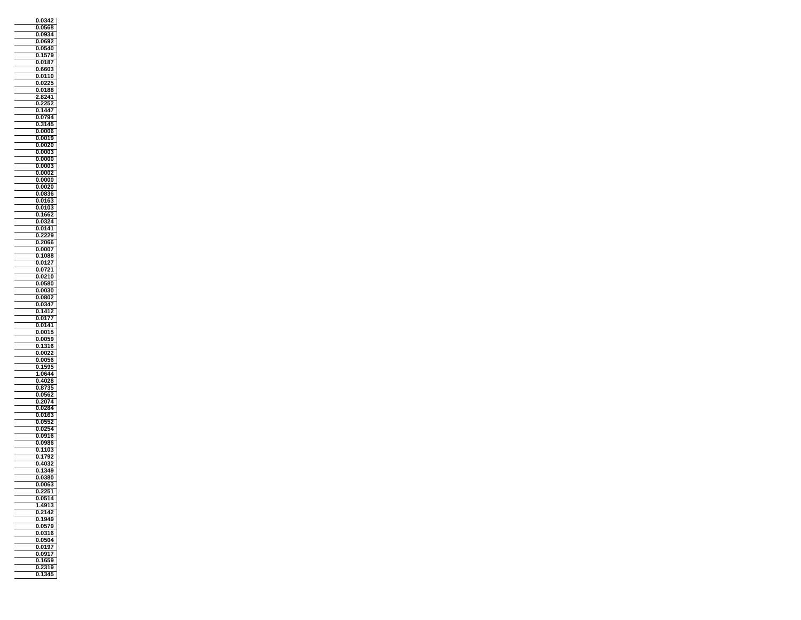| 42<br>0<br>0                    |
|---------------------------------|
| )!<br>١                         |
| 09<br>۱Ā<br>0                   |
| Ó<br>X<br><b>92</b><br>١<br>(   |
| 40<br>0<br>0                    |
| 157<br>Έ<br>0                   |
| 0                               |
| 0187                            |
| 0<br>660<br>3                   |
| 01<br>10<br>0                   |
| 2!<br>02<br>Ō.<br>5             |
| 88<br>(<br>J<br>0<br>1          |
| 241                             |
| Ó<br>J<br>í                     |
| 0<br>144<br>í                   |
| .0794<br>0                      |
|                                 |
| 0<br>3145                       |
| 0006<br>0.                      |
| 00<br>19<br>١<br>(<br>J         |
| j<br>X<br>ď<br>(<br>Ī<br>(<br>J |
| Ō<br>000<br>ţ                   |
| 0<br>0000                       |
| 000<br>ì<br>0                   |
| 0<br>0002                       |
| .0000<br>0                      |
|                                 |
| 0<br>0020                       |
| j<br>(<br>J<br>08<br>I.<br>36   |
| 0<br>010<br>ţ                   |
| 010<br>3<br>0                   |
| 2<br>ï<br>j<br>1<br>50<br>ì     |
| 4<br>,<br>0<br>J                |
| .0141<br>0                      |
| 0<br>2229                       |
|                                 |
| 2066<br>(<br>J                  |
| 0007<br>0                       |
| 1088<br>Ō                       |
| O<br>01<br>,<br>l               |
| $\frac{1}{21}$<br>0<br>0        |
| 210<br>Ó<br>J<br>J.             |
| 0580<br>O                       |
| 00<br>80<br>0                   |
| 0<br>08<br>302                  |
| 0.0347                          |
| 2                               |
| 141<br>0<br>$\vec{r}$           |
| 7<br>Ō<br>01                    |
| 0141<br>0                       |
| 001<br>0                        |
| j.<br>t<br>00<br>ï9<br>١        |
| Ō<br>1<br>316                   |
| 0.002                           |
| 0<br>005<br>56                  |
| 19<br>59!<br>0                  |
| l<br>1<br>0<br>١4<br>L          |
|                                 |
| 0<br>4028<br>ï                  |
| ĺ<br>8<br>١<br>١                |
| 0<br>i6<br>0                    |
| 207<br>4<br>0                   |
| 0284<br>O.                      |
| 0<br>010<br>ŝ                   |
| 0.<br>5!<br>0<br>$\frac{1}{2}$  |
| yī<br>l<br>Z<br>O<br>0          |
| 091<br>0                        |
| j<br>l<br>)98<br>(<br>30        |
|                                 |
| J.<br>1<br>10<br>j<br>(<br>١    |
| O<br>1<br>792                   |
| Ō<br>40<br>2<br>١               |
| 1<br>34<br>9<br>Ö.              |
| 0.0380                          |
| 006<br>3<br>0                   |
| 51<br>24<br>Ō                   |
| 0.05<br>514                     |
| .4913<br>ī<br>1                 |
| 0<br>2                          |
| 214                             |
| .1949<br>0                      |
| .0579<br>0                      |
| 0<br>0316                       |
| 0504<br>0                       |
| 0.0197                          |
| 7<br>0.091                      |
| 1659<br>0                       |
| Ō<br>19                         |
| $\frac{23}{12}$<br>345<br>0.1   |
|                                 |
|                                 |